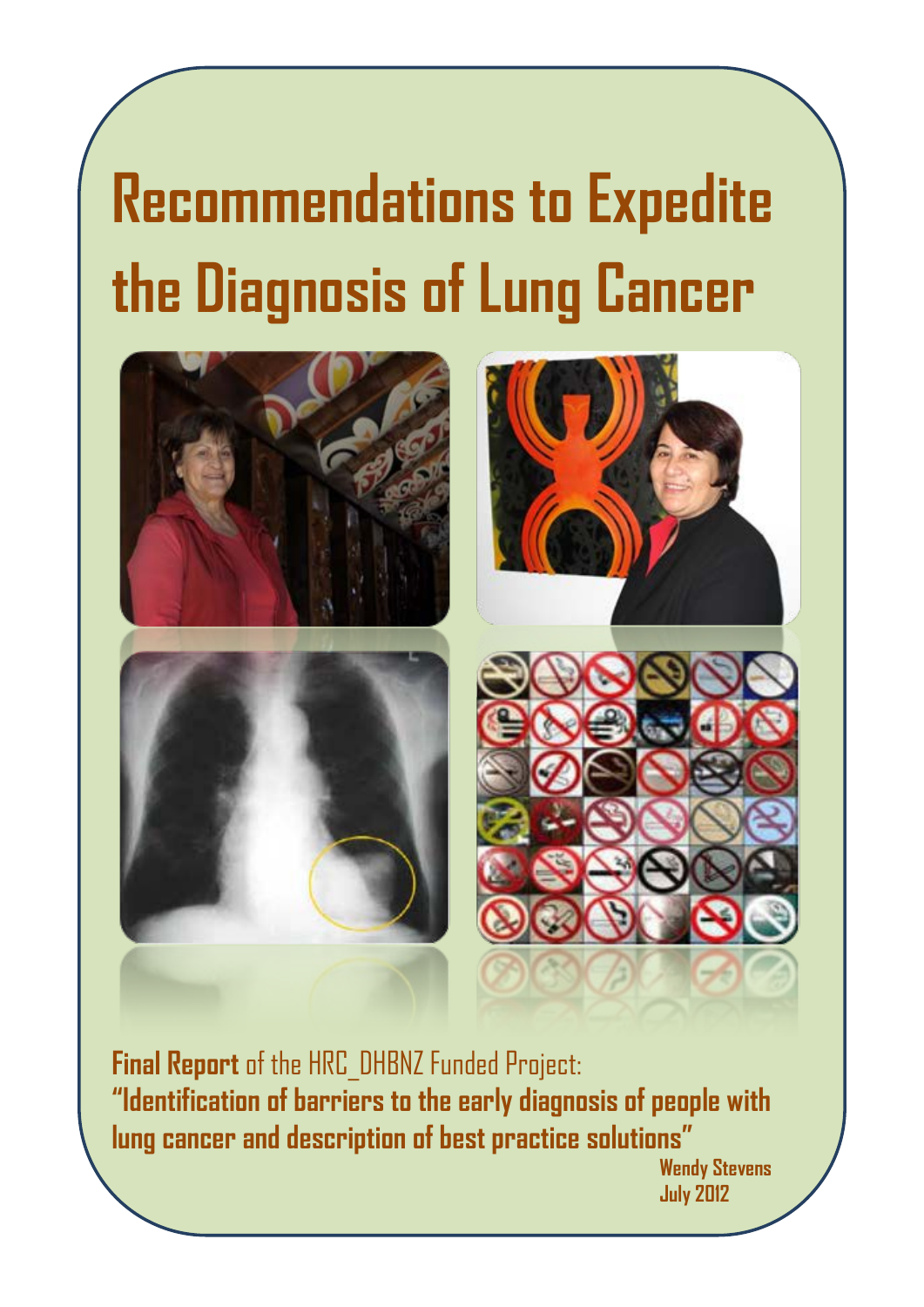# **Recommendations to Expedite the Diagnosis of Lung Cancer**



**Final Report** of the HRC\_DHBNZ Funded Project: **"Identification of barriers to the early diagnosis of people with lung cancer and description of best practice solutions"**

**Wendy Stevens July 2012**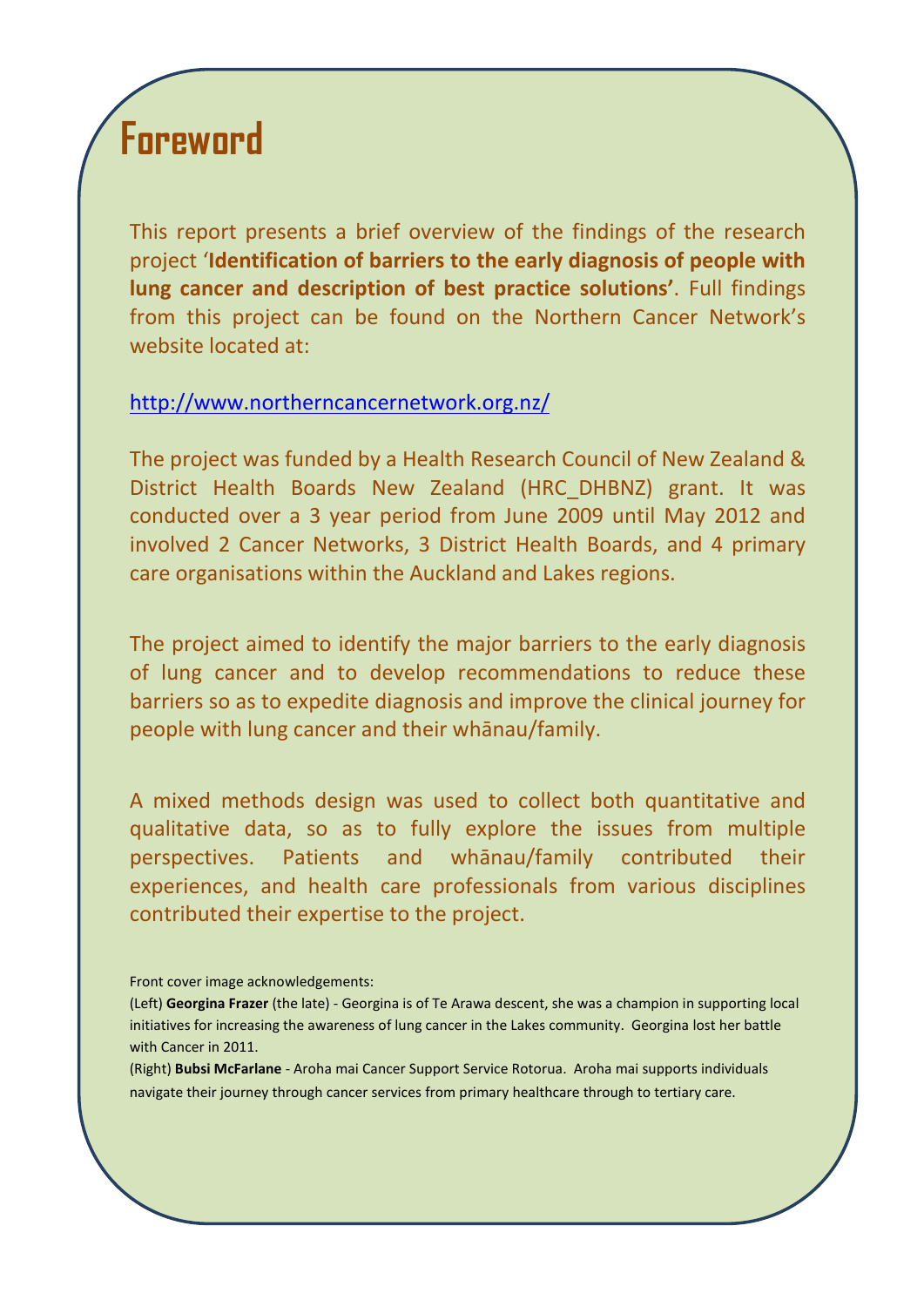## **Foreword**

This report presents a brief overview of the findings of the research project '**Identification of barriers to the early diagnosis of people with lung cancer and description of best practice solutions'**. Full findings from this project can be found on the Northern Cancer Network's website located at:

#### [http://www.northerncancernetwork.org.nz/](http://www.northerncancernetwork.org.nz/Research/LungCancerResearchProject/tabid/117/language/en-US/Default.aspx)

The project was funded by a Health Research Council of New Zealand & District Health Boards New Zealand (HRC\_DHBNZ) grant. It was conducted over a 3 year period from June 2009 until May 2012 and involved 2 Cancer Networks, 3 District Health Boards, and 4 primary care organisations within the Auckland and Lakes regions.

The project aimed to identify the major barriers to the early diagnosis of lung cancer and to develop recommendations to reduce these barriers so as to expedite diagnosis and improve the clinical journey for people with lung cancer and their whānau/family.

A mixed methods design was used to collect both quantitative and qualitative data, so as to fully explore the issues from multiple perspectives. Patients and whānau/family contributed their experiences, and health care professionals from various disciplines contributed their expertise to the project.

(Right) **Bubsi McFarlane** - Aroha mai Cancer Support Service Rotorua. Aroha mai supports individuals navigate their journey through cancer services from primary healthcare through to tertiary care.

Front cover image acknowledgements:

<sup>(</sup>Left) **Georgina Frazer** (the late) - Georgina is of Te Arawa descent, she was a champion in supporting local initiatives for increasing the awareness of lung cancer in the Lakes community. Georgina lost her battle with Cancer in 2011.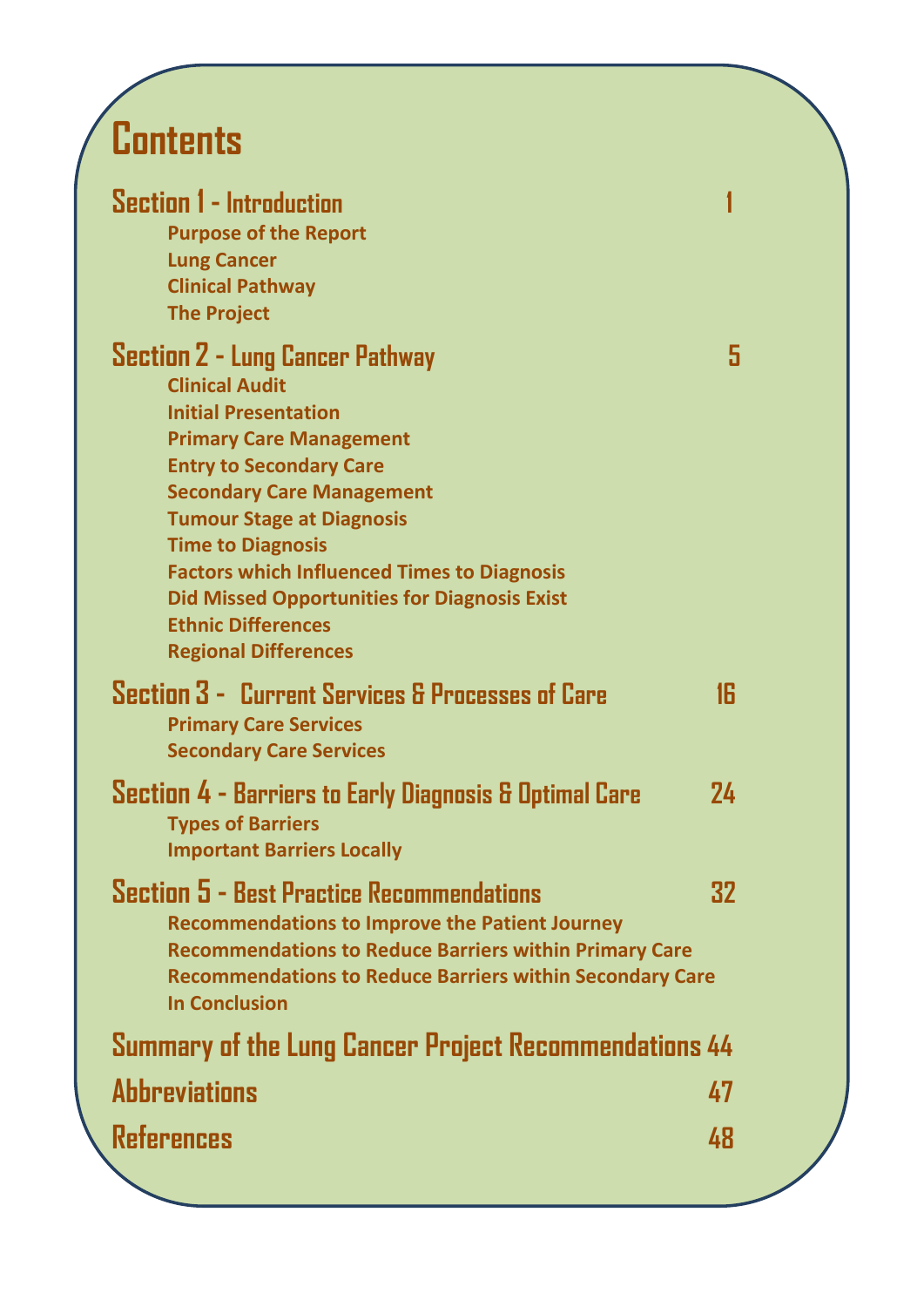## **Contents**

| <b>Section 1 - Introduction</b><br><b>Purpose of the Report</b><br><b>Lung Cancer</b><br><b>Clinical Pathway</b><br><b>The Project</b>                                                                                                                                                                                                                                                                                                          |    |
|-------------------------------------------------------------------------------------------------------------------------------------------------------------------------------------------------------------------------------------------------------------------------------------------------------------------------------------------------------------------------------------------------------------------------------------------------|----|
| <b>Section 2 - Lung Cancer Pathway</b><br><b>Clinical Audit</b><br><b>Initial Presentation</b><br><b>Primary Care Management</b><br><b>Entry to Secondary Care</b><br><b>Secondary Care Management</b><br><b>Tumour Stage at Diagnosis</b><br><b>Time to Diagnosis</b><br><b>Factors which Influenced Times to Diagnosis</b><br><b>Did Missed Opportunities for Diagnosis Exist</b><br><b>Ethnic Differences</b><br><b>Regional Differences</b> | 5  |
| Section 3 - Current Services & Processes of Care<br><b>Primary Care Services</b><br><b>Secondary Care Services</b>                                                                                                                                                                                                                                                                                                                              | 16 |
| Section 4 - Barriers to Early Diagnosis & Optimal Care<br><b>Types of Barriers</b><br><b>Important Barriers Locally</b>                                                                                                                                                                                                                                                                                                                         | 24 |
| Section 5 - Best Practice Recommendations<br><b>Recommendations to Improve the Patient Journey</b><br><b>Recommendations to Reduce Barriers within Primary Care</b><br><b>Recommendations to Reduce Barriers within Secondary Care</b><br><b>In Conclusion</b>                                                                                                                                                                                  | 32 |
| Summary of the Lung Cancer Project Recommendations 44                                                                                                                                                                                                                                                                                                                                                                                           |    |
| <b>Abbreviations</b>                                                                                                                                                                                                                                                                                                                                                                                                                            | 47 |
| References                                                                                                                                                                                                                                                                                                                                                                                                                                      | 48 |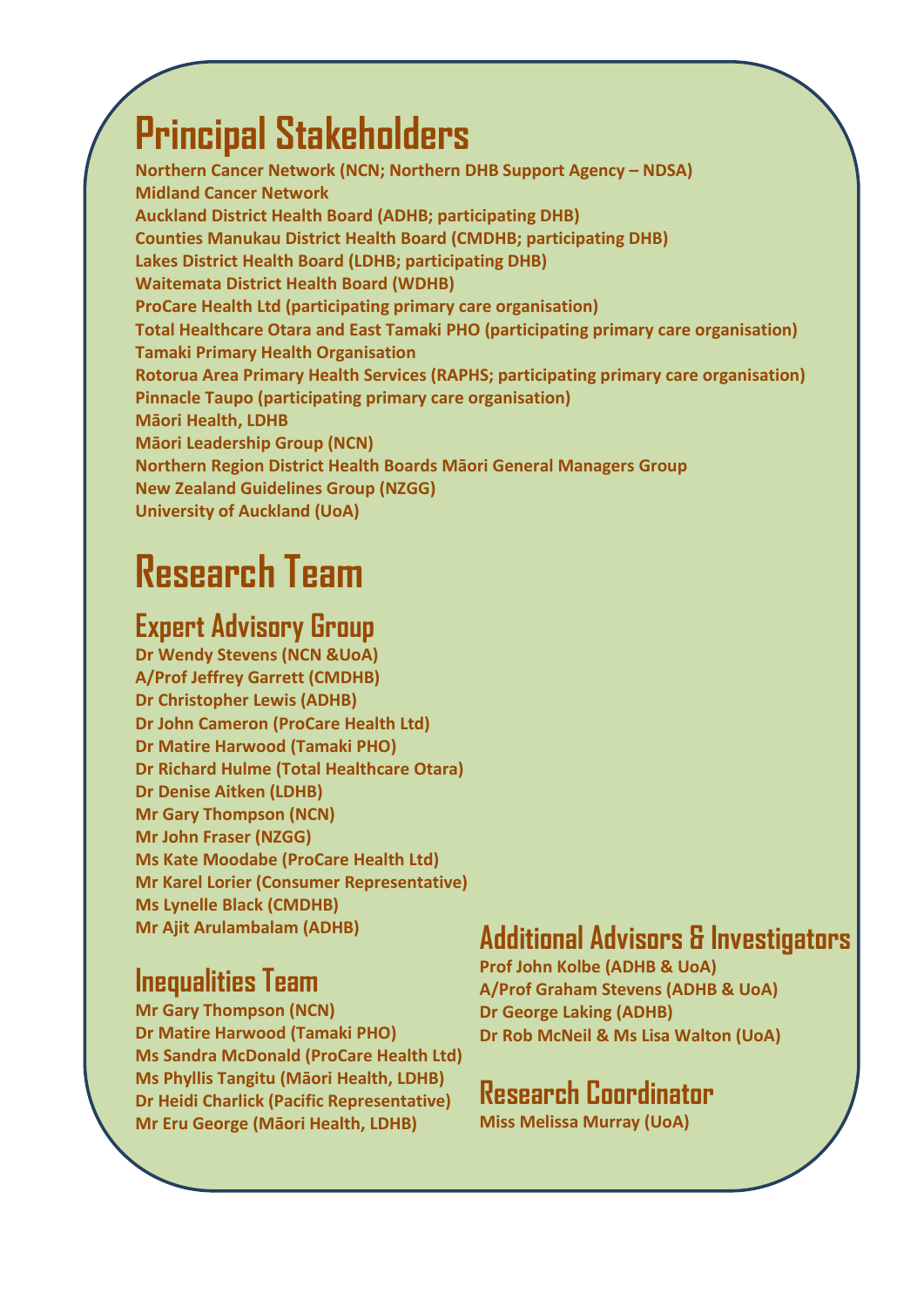## **Principal Stakeholders**

**Northern Cancer Network (NCN; Northern DHB Support Agency – NDSA) Midland Cancer Network Auckland District Health Board (ADHB; participating DHB) Counties Manukau District Health Board (CMDHB; participating DHB) Lakes District Health Board (LDHB; participating DHB) Waitemata District Health Board (WDHB) ProCare Health Ltd (participating primary care organisation) Total Healthcare Otara and East Tamaki PHO (participating primary care organisation) Tamaki Primary Health Organisation Rotorua Area Primary Health Services (RAPHS; participating primary care organisation) Pinnacle Taupo (participating primary care organisation) Māori Health, LDHB Māori Leadership Group (NCN) Northern Region District Health Boards Māori General Managers Group New Zealand Guidelines Group (NZGG) University of Auckland (UoA)**

## **Research Team**

### **Expert Advisory Group**

**Dr Wendy Stevens (NCN &UoA) A/Prof Jeffrey Garrett (CMDHB) Dr Christopher Lewis (ADHB) Dr John Cameron (ProCare Health Ltd) Dr Matire Harwood (Tamaki PHO) Dr Richard Hulme (Total Healthcare Otara) Dr Denise Aitken (LDHB) Mr Gary Thompson (NCN) Mr John Fraser (NZGG) Ms Kate Moodabe (ProCare Health Ltd) Mr Karel Lorier (Consumer Representative) Ms Lynelle Black (CMDHB) Mr Ajit Arulambalam (ADHB)** 

## **Inequalities Team**

**Mr Gary Thompson (NCN) Dr Matire Harwood (Tamaki PHO) Ms Sandra McDonald (ProCare Health Ltd) Ms Phyllis Tangitu (Māori Health, LDHB) Dr Heidi Charlick (Pacific Representative) Mr Eru George (Māori Health, LDHB)**

## **Additional Advisors & Investigators**

**Prof John Kolbe (ADHB & UoA) A/Prof Graham Stevens (ADHB & UoA) Dr George Laking (ADHB) Dr Rob McNeil & Ms Lisa Walton (UoA)**

### **Research Coordinator**

**Miss Melissa Murray (UoA)**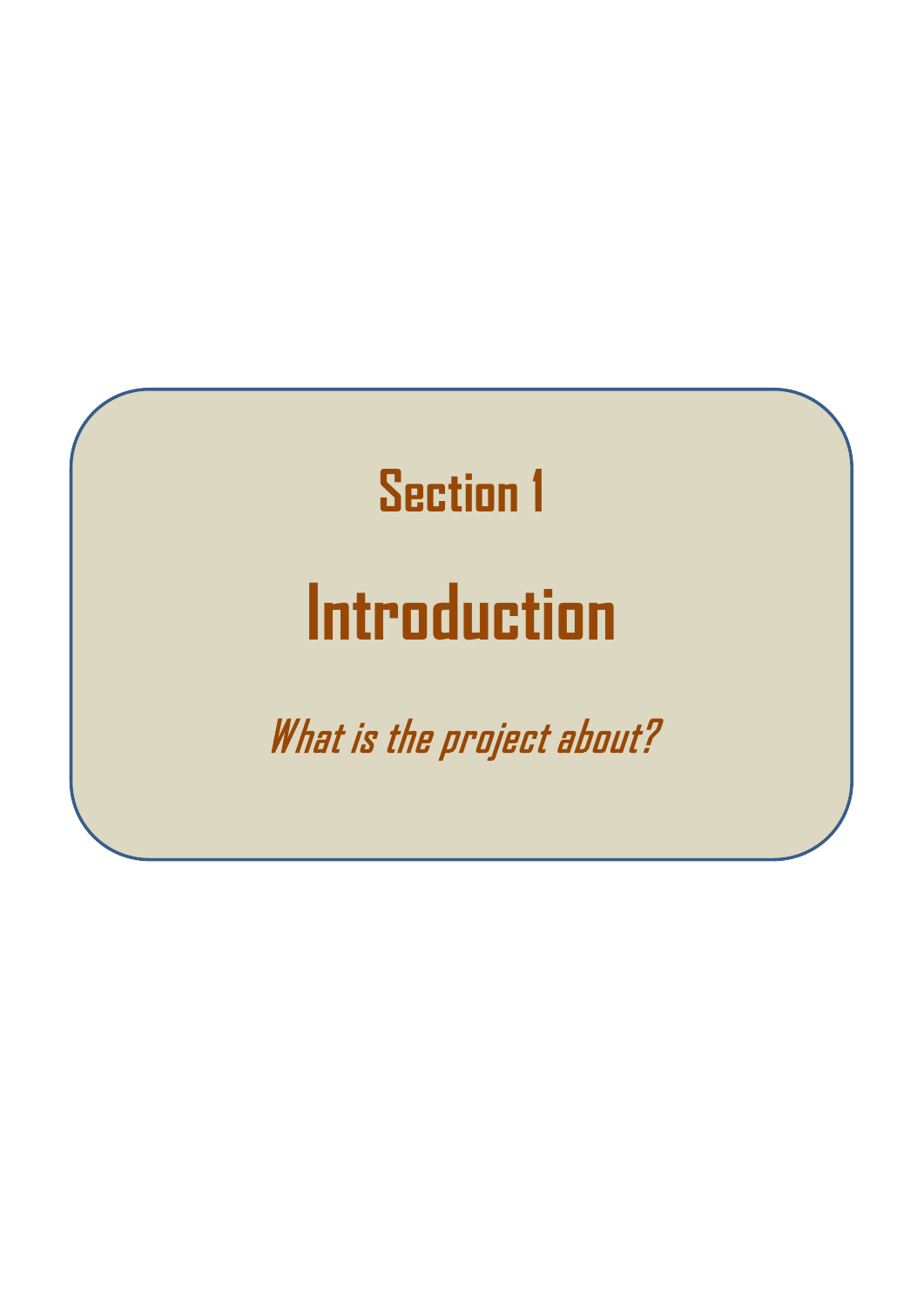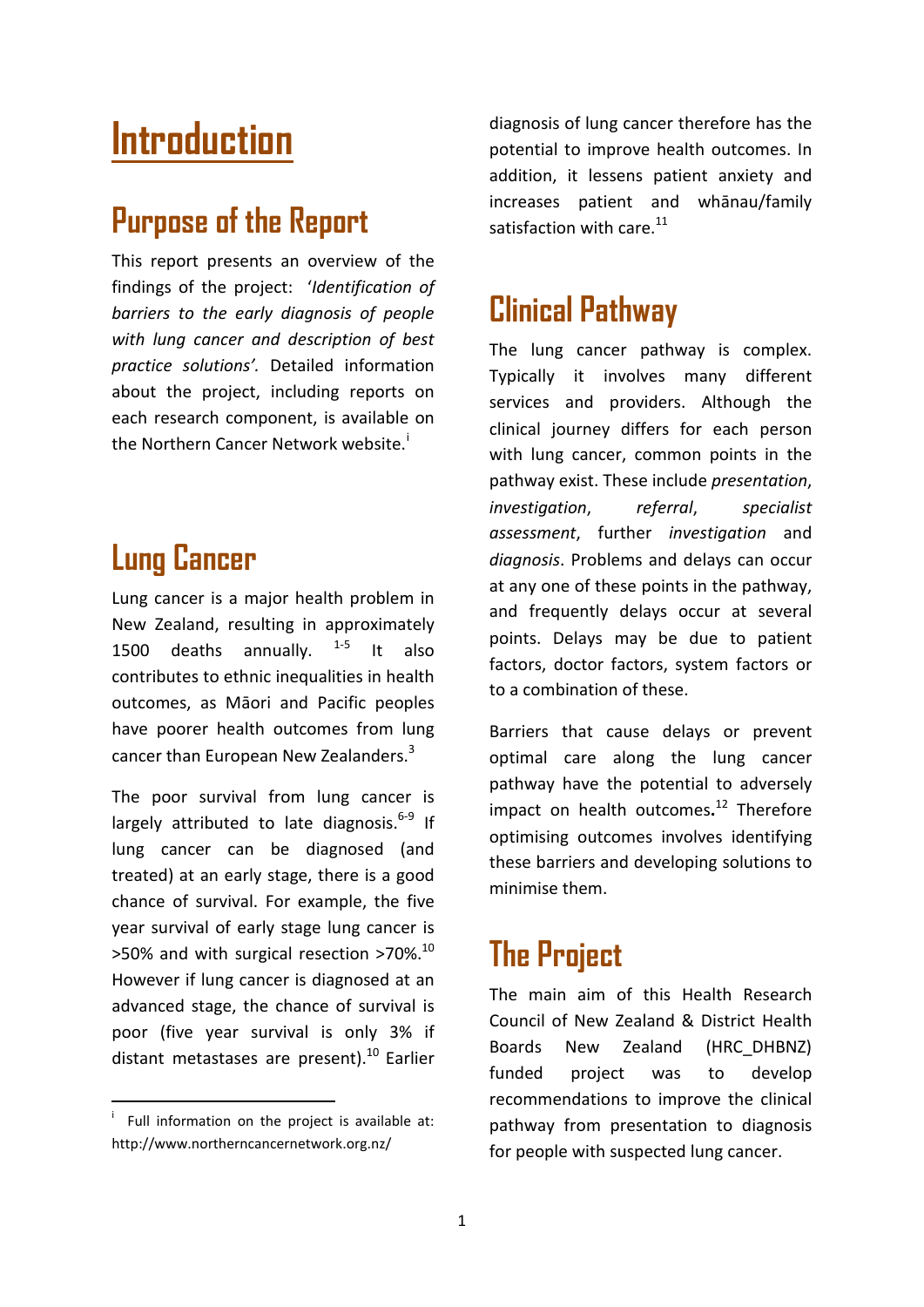## **Introduction**

## **Purpose of the Report**

This report presents an overview of the findings of the project: '*Identification of barriers to the early diagnosis of people with lung cancer and description of best practice solutions'.* Detailed information about the project, including reports on each research component, is available on the Northern Cancer Network webs[i](#page-5-0)te.<sup>i</sup>

## **Lung Cancer**

Lung cancer is a major health problem in New Zealand, resulting in approximately 1500 deaths annually.  $1-5$  It also contributes to ethnic inequalities in health outcomes, as Māori and Pacific peoples have poorer health outcomes from lung cancer than European New Zealanders.<sup>3</sup>

The poor survival from lung cancer is largely attributed to late diagnosis. $6-9$  If lung cancer can be diagnosed (and treated) at an early stage, there is a good chance of survival. For example, the five year survival of early stage lung cancer is >50% and with surgical resection >70%.10 However if lung cancer is diagnosed at an advanced stage, the chance of survival is poor (five year survival is only 3% if distant metastases are present). $^{10}$  Earlier

diagnosis of lung cancer therefore has the potential to improve health outcomes. In addition, it lessens patient anxiety and increases patient and whānau/family satisfaction with care.<sup>11</sup>

## **Clinical Pathway**

The lung cancer pathway is complex. Typically it involves many different services and providers. Although the clinical journey differs for each person with lung cancer, common points in the pathway exist. These include *presentation*, *investigation*, *referral*, *specialist assessment*, further *investigation* and *diagnosis*. Problems and delays can occur at any one of these points in the pathway, and frequently delays occur at several points. Delays may be due to patient factors, doctor factors, system factors or to a combination of these.

Barriers that cause delays or prevent optimal care along the lung cancer pathway have the potential to adversely impact on health outcomes**.** <sup>12</sup> Therefore optimising outcomes involves identifying these barriers and developing solutions to minimise them.

## **The Project**

The main aim of this Health Research Council of New Zealand & District Health Boards New Zealand (HRC\_DHBNZ) funded project was to develop recommendations to improve the clinical pathway from presentation to diagnosis for people with suspected lung cancer.

<span id="page-5-0"></span>i  $\overline{a}$  Full information on the project is available at: http://www.northerncancernetwork.org.nz/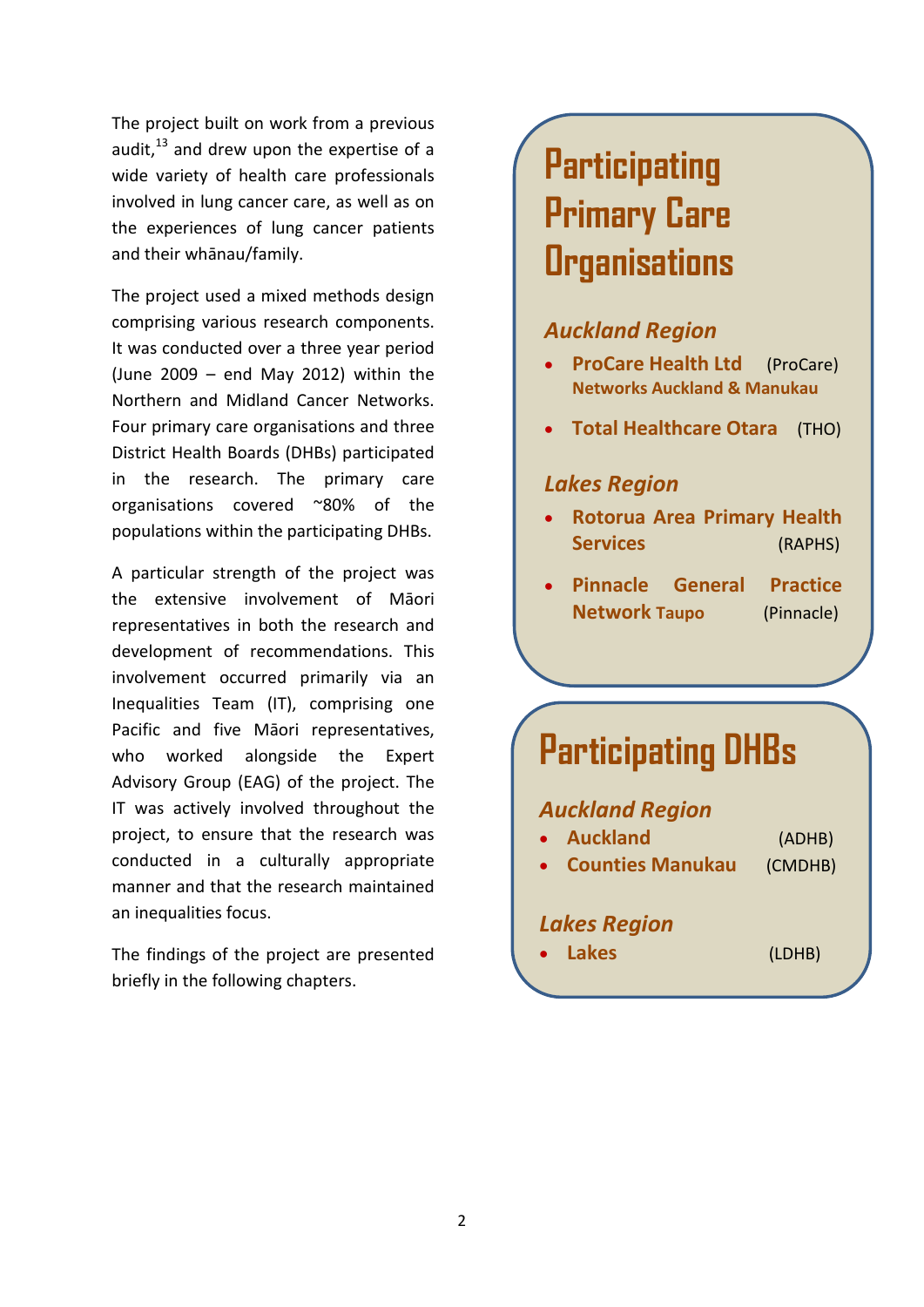The project built on work from a previous audit, $13$  and drew upon the expertise of a wide variety of health care professionals involved in lung cancer care, as well as on the experiences of lung cancer patients and their whānau/family.

The project used a mixed methods design comprising various research components. It was conducted over a three year period (June 2009 – end May 2012) within the Northern and Midland Cancer Networks. Four primary care organisations and three District Health Boards (DHBs) participated in the research. The primary care organisations covered ~80% of the populations within the participating DHBs.

A particular strength of the project was the extensive involvement of Māori representatives in both the research and development of recommendations. This involvement occurred primarily via an Inequalities Team (IT), comprising one Pacific and five Māori representatives, who worked alongside the Expert Advisory Group (EAG) of the project. The IT was actively involved throughout the project, to ensure that the research was conducted in a culturally appropriate manner and that the research maintained an inequalities focus.

The findings of the project are presented briefly in the following chapters.

## **Participating Primary Care Organisations**

#### *Auckland Region*

- **ProCare Health Ltd** (ProCare) **Networks Auckland & Manukau**
- **Total Healthcare Otara** (THO)

#### *Lakes Region*

- **Rotorua Area Primary Health Services** (RAPHS)
- **Pinnacle General Practice Network Taupo** (Pinnacle)

## **Participating DHBs**

#### *Auckland Region*

| • Auckland          | (ADHB)  |
|---------------------|---------|
| • Counties Manukau  | (CMDHB) |
|                     |         |
| <b>Lakes Region</b> |         |

• **Lakes** (LDHB)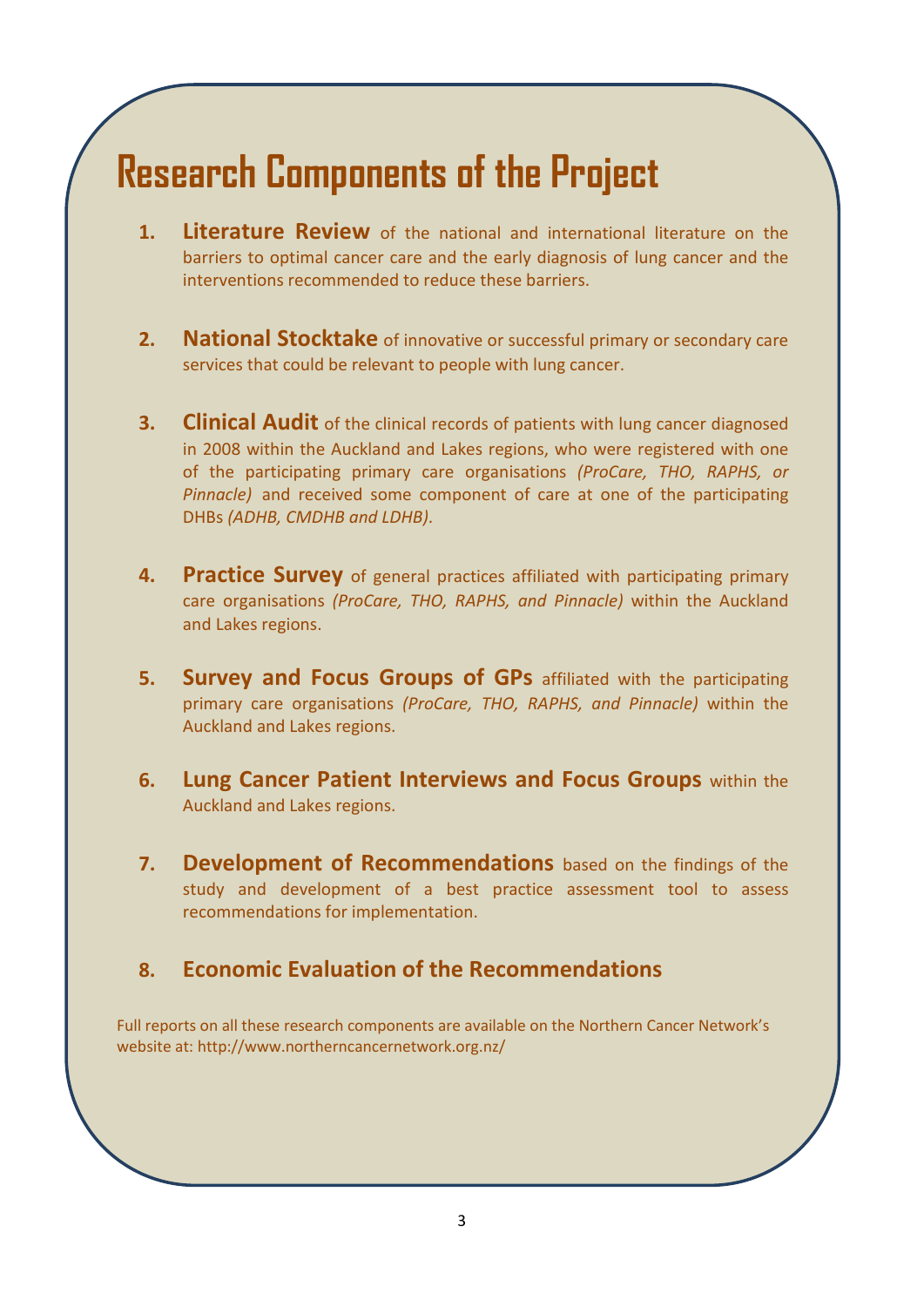## **Research Components of the Project**

- **1. Literature Review** of the national and international literature on the barriers to optimal cancer care and the early diagnosis of lung cancer and the interventions recommended to reduce these barriers.
- **2. National Stocktake** of innovative or successful primary or secondary care services that could be relevant to people with lung cancer.
- **3. Clinical Audit** of the clinical records of patients with lung cancer diagnosed in 2008 within the Auckland and Lakes regions, who were registered with one of the participating primary care organisations *(ProCare, THO, RAPHS, or Pinnacle)* and received some component of care at one of the participating DHBs *(ADHB, CMDHB and LDHB)*.
- **4. Practice Survey** of general practices affiliated with participating primary care organisations *(ProCare, THO, RAPHS, and Pinnacle)* within the Auckland and Lakes regions.
- **5. Survey and Focus Groups of GPs** affiliated with the participating primary care organisations *(ProCare, THO, RAPHS, and Pinnacle)* within the Auckland and Lakes regions.
- **6. Lung Cancer Patient Interviews and Focus Groups** within the Auckland and Lakes regions.
- **7. Development of Recommendations** based on the findings of the study and development of a best practice assessment tool to assess recommendations for implementation.

#### **8. Economic Evaluation of the Recommendations**

Full reports on all these research components are available on the Northern Cancer Network's website at: http://www.northerncancernetwork.org.nz/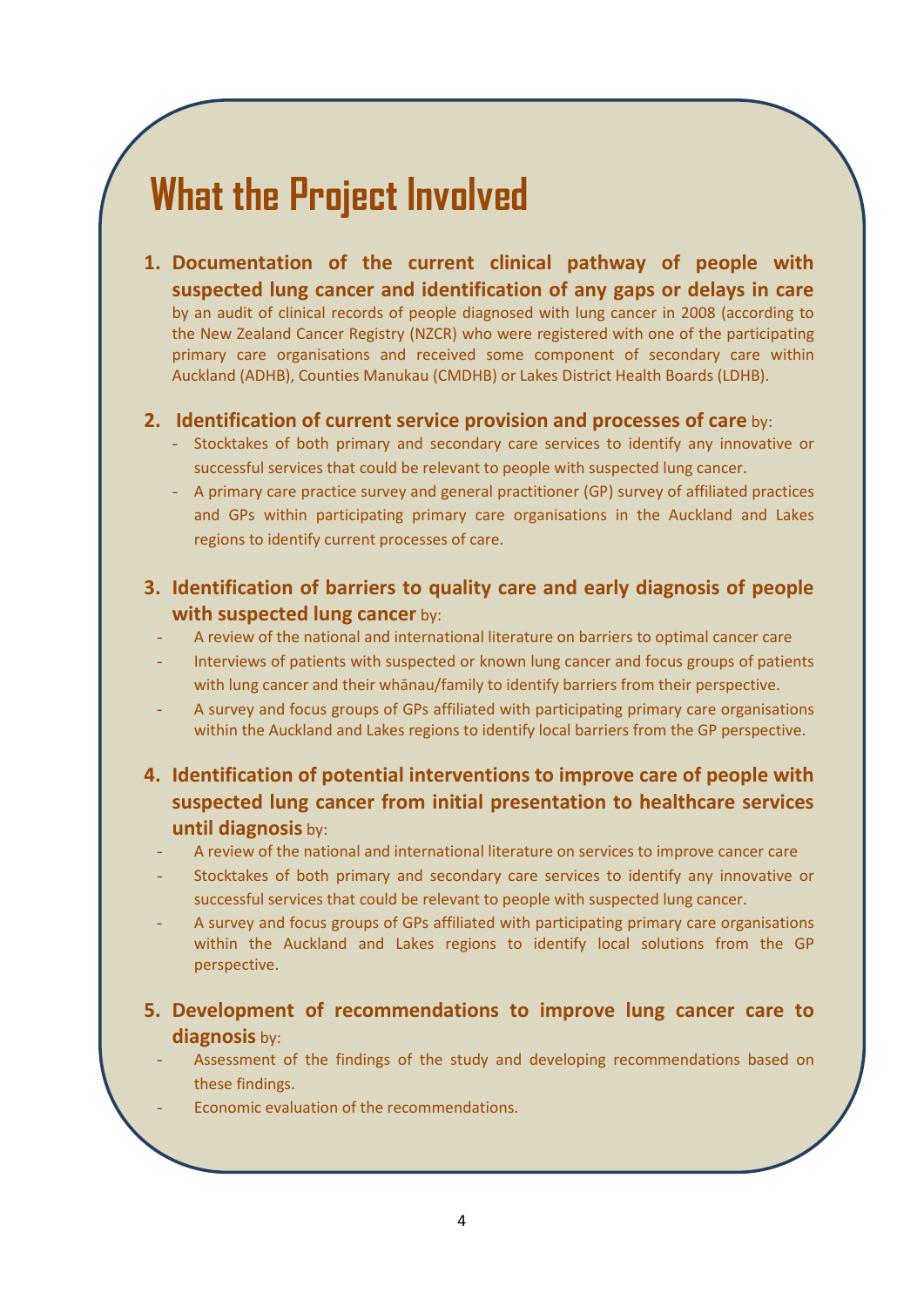## **What the Project Involved**

**1. Documentation of the current clinical pathway of people with suspected lung cancer and identification of any gaps or delays in care** by an audit of clinical records of people diagnosed with lung cancer in 2008 (according to the New Zealand Cancer Registry (NZCR) who were registered with one of the participating primary care organisations and received some component of secondary care within Auckland (ADHB), Counties Manukau (CMDHB) or Lakes District Health Boards (LDHB).

#### **2. Identification of current service provision and processes of care** by:

- Stocktakes of both primary and secondary care services to identify any innovative or successful services that could be relevant to people with suspected lung cancer.
- A primary care practice survey and general practitioner (GP) survey of affiliated practices and GPs within participating primary care organisations in the Auckland and Lakes regions to identify current processes of care.
- **3. Identification of barriers to quality care and early diagnosis of people with suspected lung cancer** by:
	- A review of the national and international literature on barriers to optimal cancer care
	- Interviews of patients with suspected or known lung cancer and focus groups of patients with lung cancer and their whānau/family to identify barriers from their perspective.
	- A survey and focus groups of GPs affiliated with participating primary care organisations within the Auckland and Lakes regions to identify local barriers from the GP perspective.
- **4. Identification of potential interventions to improve care of people with suspected lung cancer from initial presentation to healthcare services until diagnosis** by:
	- A review of the national and international literature on services to improve cancer care
	- Stocktakes of both primary and secondary care services to identify any innovative or successful services that could be relevant to people with suspected lung cancer.
	- A survey and focus groups of GPs affiliated with participating primary care organisations within the Auckland and Lakes regions to identify local solutions from the GP perspective.
- **5. Development of recommendations to improve lung cancer care to diagnosis** by:
	- Assessment of the findings of the study and developing recommendations based on these findings.
		- Economic evaluation of the recommendations.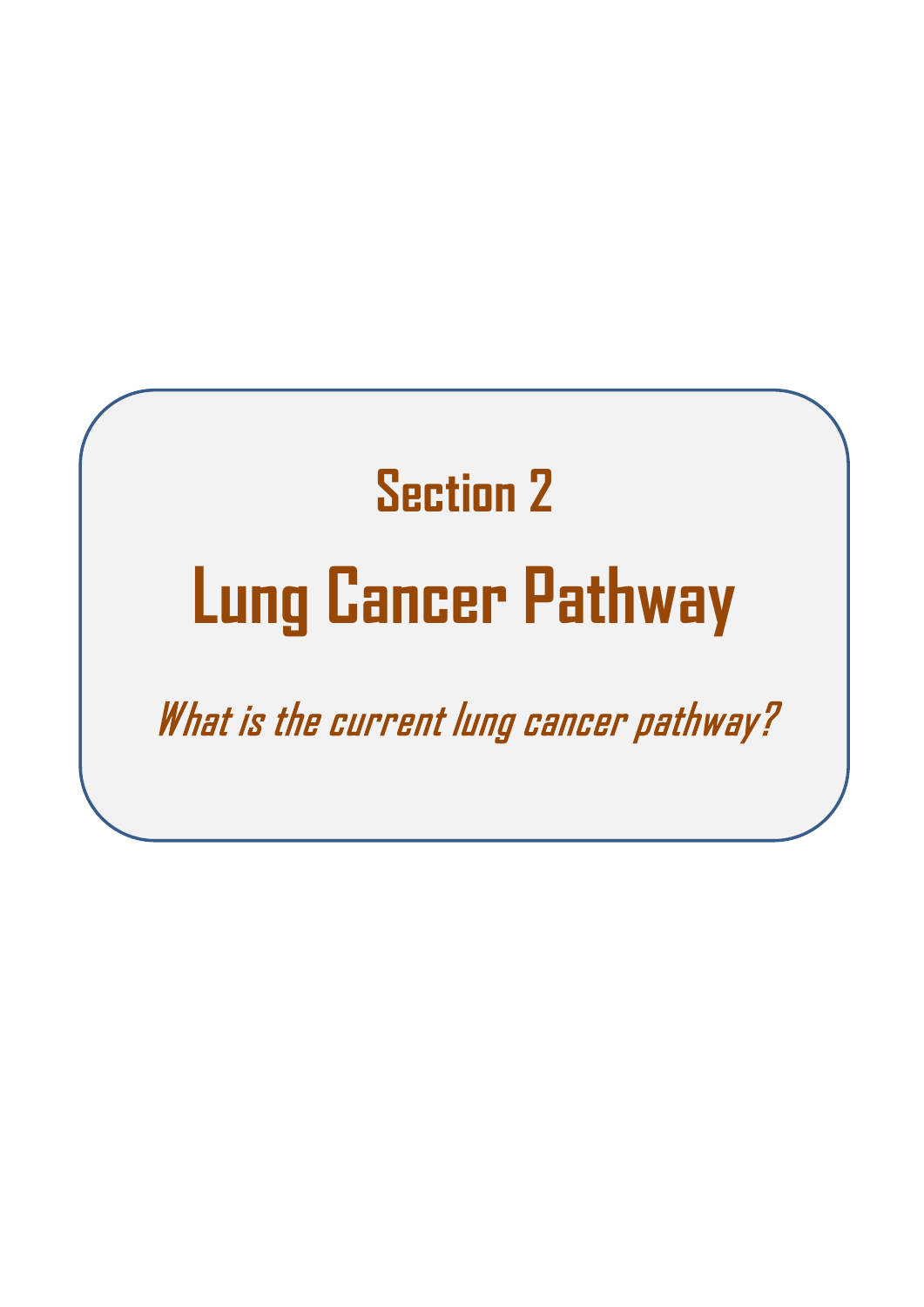# **Section 2 Lung Cancer Pathway**

What is the current lung cancer pathway?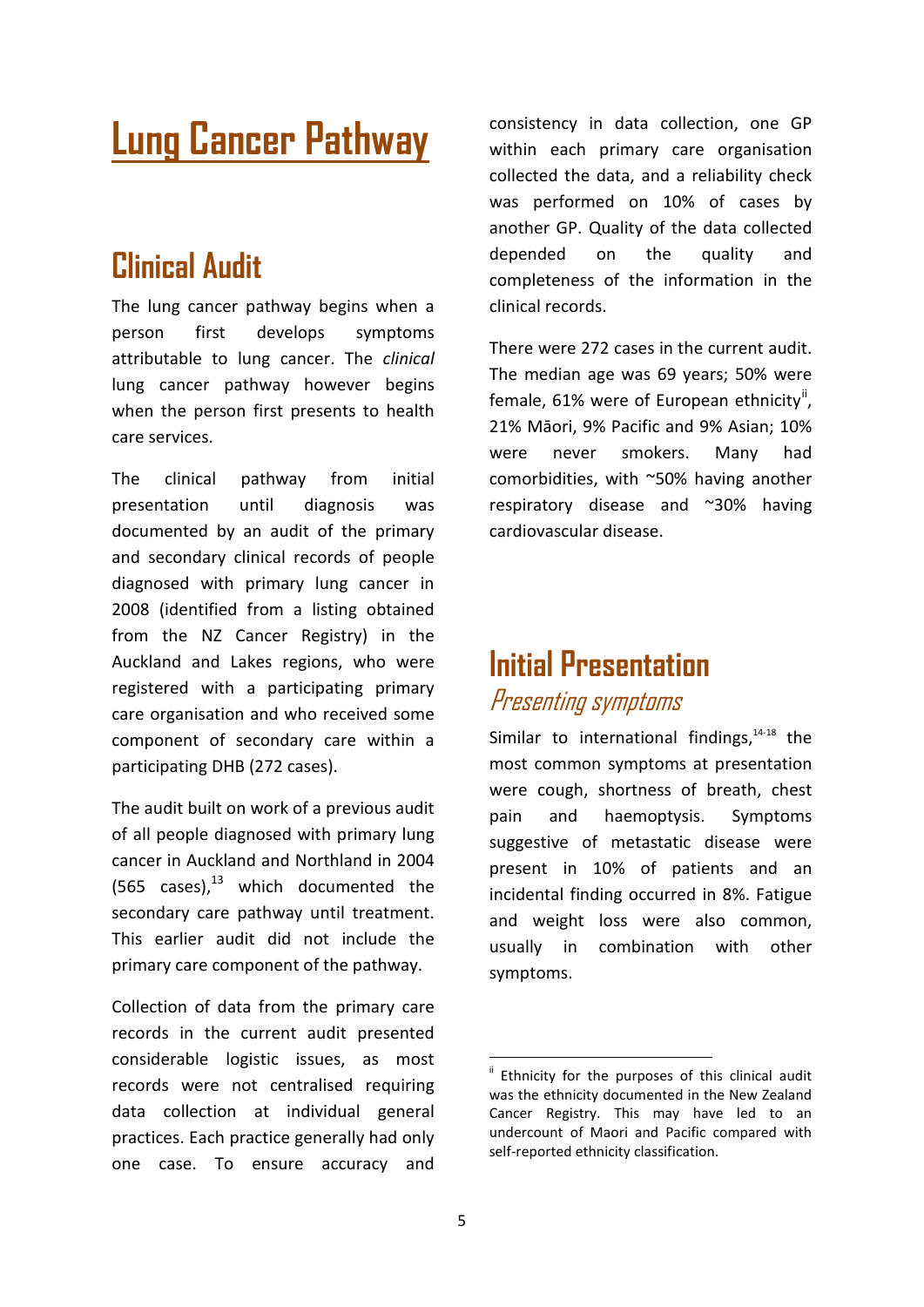## **Lung Cancer Pathway**

## **Clinical Audit**

The lung cancer pathway begins when a person first develops symptoms attributable to lung cancer. The *clinical* lung cancer pathway however begins when the person first presents to health care services.

The clinical pathway from initial presentation until diagnosis was documented by an audit of the primary and secondary clinical records of people diagnosed with primary lung cancer in 2008 (identified from a listing obtained from the NZ Cancer Registry) in the Auckland and Lakes regions, who were registered with a participating primary care organisation and who received some component of secondary care within a participating DHB (272 cases).

The audit built on work of a previous audit of all people diagnosed with primary lung cancer in Auckland and Northland in 2004 (565 cases), $^{13}$  which documented the secondary care pathway until treatment. This earlier audit did not include the primary care component of the pathway.

<span id="page-10-0"></span>Collection of data from the primary care records in the current audit presented considerable logistic issues, as most records were not centralised requiring data collection at individual general practices. Each practice generally had only one case. To ensure accuracy and consistency in data collection, one GP within each primary care organisation collected the data, and a reliability check was performed on 10% of cases by another GP. Quality of the data collected depended on the quality and completeness of the information in the clinical records.

There were 272 cases in the current audit. The median age was 69 years; 50% were female, 61% were of European ethnicity<sup>[ii](#page-10-0)</sup>, 21% Māori, 9% Pacific and 9% Asian; 10% were never smokers. Many had comorbidities, with ~50% having another respiratory disease and ~30% having cardiovascular disease.

### **Initial Presentation**  Presenting symptoms

Similar to international findings, $14-18$  the most common symptoms at presentation were cough, shortness of breath, chest pain and haemoptysis. Symptoms suggestive of metastatic disease were present in 10% of patients and an incidental finding occurred in 8%. Fatigue and weight loss were also common, usually in combination with other symptoms.

Ethnicity for the purposes of this clinical audit was the ethnicity documented in the New Zealand Cancer Registry. This may have led to an undercount of Maori and Pacific compared with self-reported ethnicity classification.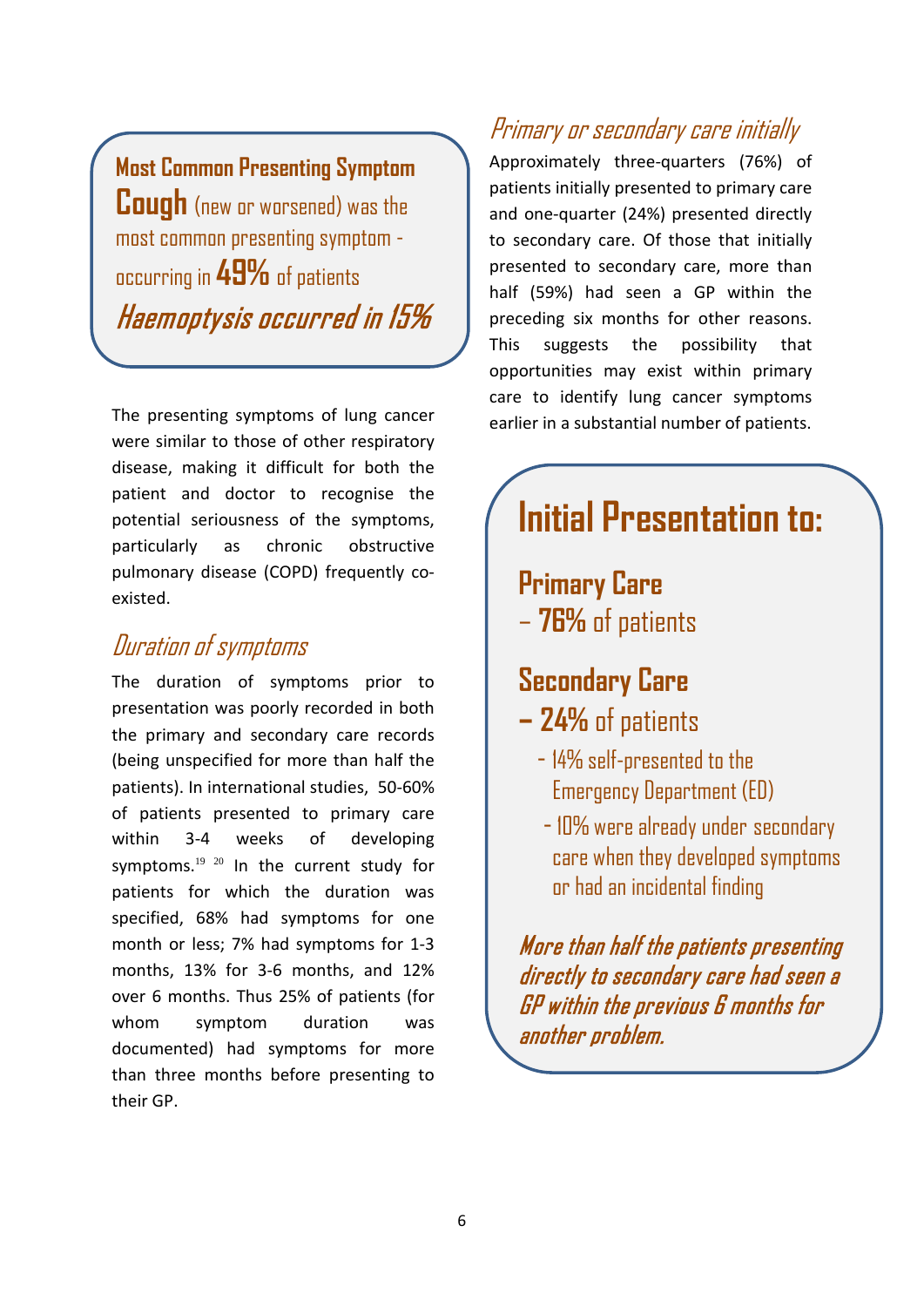**Most Common Presenting Symptom Cough** (new or worsened) was the most common presenting symptom occurring in **49%** of patients Haemoptysis occurred in 15%

The presenting symptoms of lung cancer were similar to those of other respiratory disease, making it difficult for both the patient and doctor to recognise the potential seriousness of the symptoms, particularly as chronic obstructive pulmonary disease (COPD) frequently coexisted.

### Duration of symptoms

-

The duration of symptoms prior to presentation was poorly recorded in both the primary and secondary care records (being unspecified for more than half the patients). In international studies, 50-60% of patients presented to primary care within 3-4 weeks of developing symptoms. $1920$  In the current study for patients for which the duration was specified, 68% had symptoms for one month or less; 7% had symptoms for 1-3 months, 13% for 3-6 months, and 12% over 6 months. Thus 25% of patients (for whom symptom duration was documented) had symptoms for more than three months before presenting to their GP.

### Primary or secondary care initially

Approximately three-quarters (76%) of patients initially presented to primary care and one-quarter (24%) presented directly to secondary care. Of those that initially presented to secondary care, more than half (59%) had seen a GP within the preceding six months for other reasons. This suggests the possibility that opportunities may exist within primary care to identify lung cancer symptoms earlier in a substantial number of patients.

## **Initial Presentation to:**

**Primary Care**  – **76%** of patients

## **Secondary Care**

- **– 24%** of patients
	- 14% self-presented to the Emergency Department (ED)
	- 10% were already under secondary care when they developed symptoms or had an incidental finding

More than half the patients presenting directly to secondary care had seen a GP within the previous 6 months for another problem.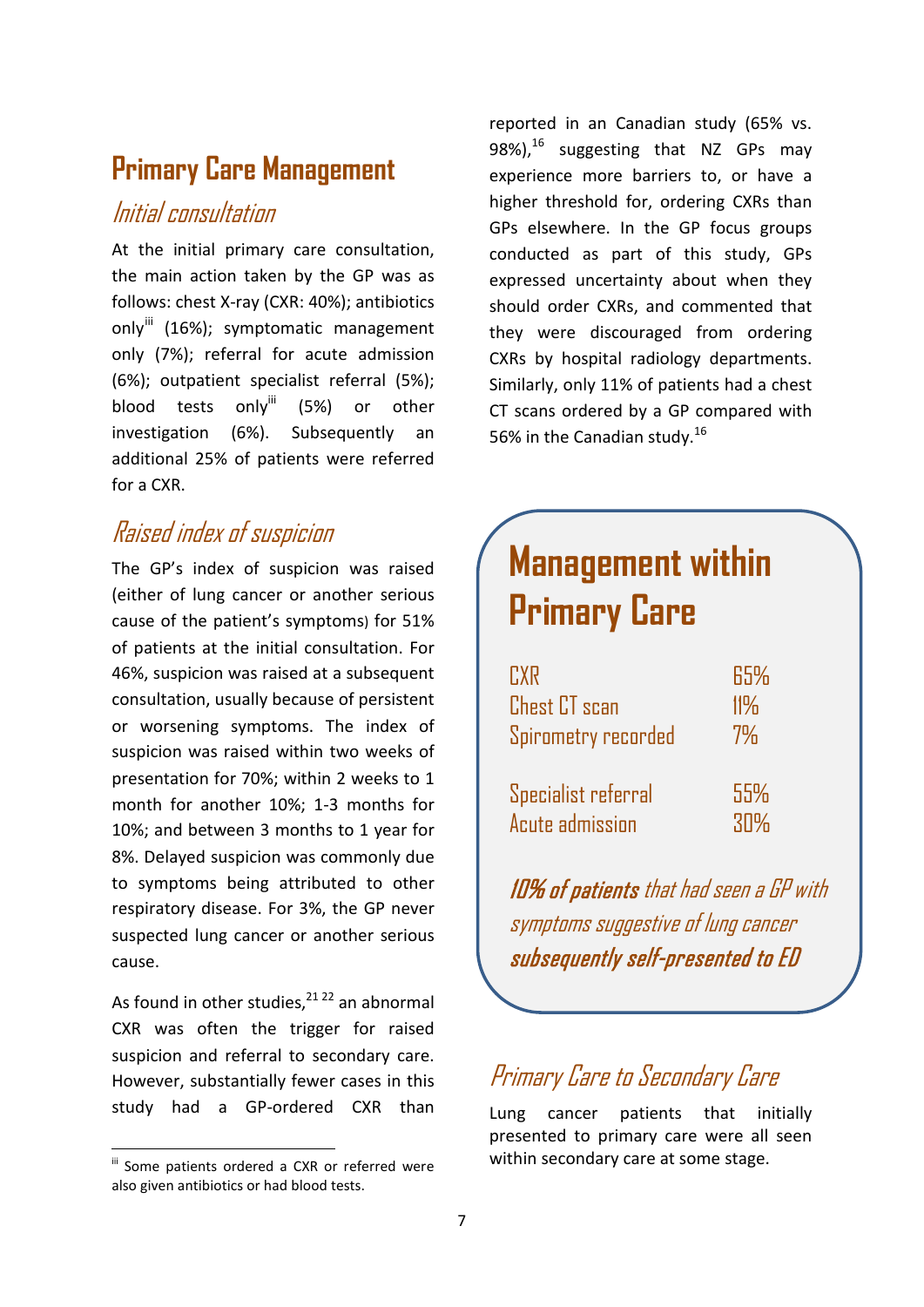### **Primary Care Management**

### Initial consultation

At the initial primary care consultation, the main action taken by the GP was as follows: chest X-ray (CXR: 40%); antibiotics only<sup>[iii](#page-12-0)</sup> (16%); symptomatic management only (7%); referral for acute admission (6%); outpatient specialist referral (5%); blood tests only<sup>iii</sup> (5%) or other investigation (6%). Subsequently an additional 25% of patients were referred for a CXR.

### Raised index of suspicion

The GP's index of suspicion was raised (either of lung cancer or another serious cause of the patient's symptoms) for 51% of patients at the initial consultation. For 46%, suspicion was raised at a subsequent consultation, usually because of persistent or worsening symptoms. The index of suspicion was raised within two weeks of presentation for 70%; within 2 weeks to 1 month for another 10%; 1-3 months for 10%; and between 3 months to 1 year for 8%. Delayed suspicion was commonly due to symptoms being attributed to other respiratory disease. For 3%, the GP never suspected lung cancer or another serious cause.

As found in other studies,  $21 22$  an abnormal CXR was often the trigger for raised suspicion and referral to secondary care. However, substantially fewer cases in this study had a GP-ordered CXR than

reported in an Canadian study (65% vs. 98%), $^{16}$  suggesting that NZ GPs may experience more barriers to, or have a higher threshold for, ordering CXRs than GPs elsewhere. In the GP focus groups conducted as part of this study, GPs expressed uncertainty about when they should order CXRs, and commented that they were discouraged from ordering CXRs by hospital radiology departments. Similarly, only 11% of patients had a chest CT scans ordered by a GP compared with 56% in the Canadian study.<sup>16</sup>

## **Management within Primary Care**

| <b>TXR</b>             | 65% |
|------------------------|-----|
| <b>Chest CT</b> scan   | 11% |
| Spirometry recorded    | 7%  |
|                        |     |
| Specialist referral    | 55% |
| <b>Acute admission</b> | 30% |

10% of patients that had seen a GP with symptoms suggestive of lung cancer subsequently self-presented to ED

### Primary Care to Secondary Care

Lung cancer patients that initially presented to primary care were all seen within secondary care at some stage.

<span id="page-12-0"></span> $\mathbf{u}$  Some patients ordered a CXR or referred were also given antibiotics or had blood tests.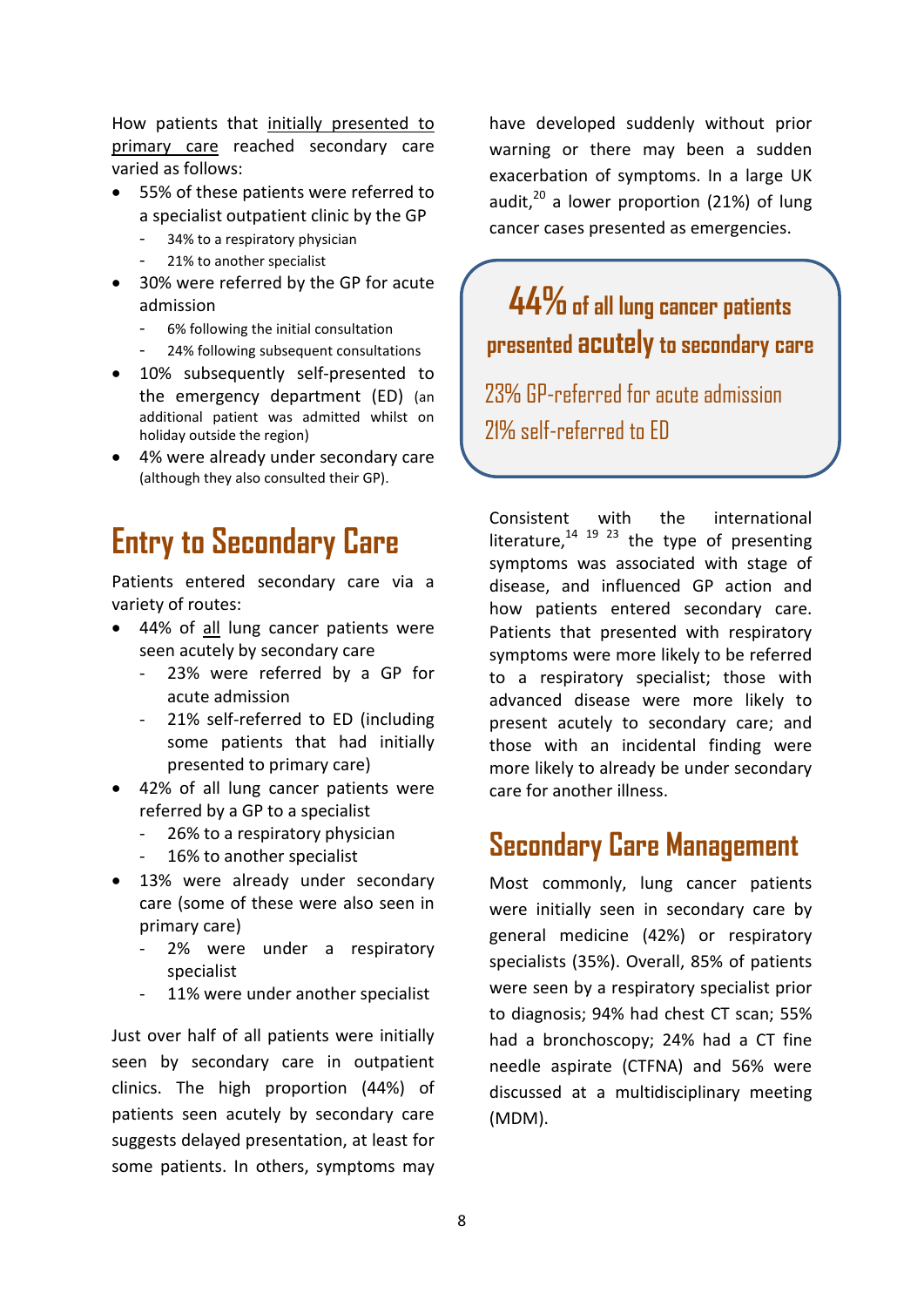How patients that initially presented to primary care reached secondary care varied as follows:

- 55% of these patients were referred to a specialist outpatient clinic by the GP
	- 34% to a respiratory physician
	- 21% to another specialist
- 30% were referred by the GP for acute admission
	- 6% following the initial consultation
	- 24% following subsequent consultations
- 10% subsequently self-presented to the emergency department (ED) (an additional patient was admitted whilst on holiday outside the region)
- 4% were already under secondary care (although they also consulted their GP).

## **Entry to Secondary Care**

Patients entered secondary care via a variety of routes:

- 44% of all lung cancer patients were seen acutely by secondary care
	- 23% were referred by a GP for acute admission
	- 21% self-referred to ED (including some patients that had initially presented to primary care)
- 42% of all lung cancer patients were referred by a GP to a specialist
	- 26% to a respiratory physician
	- 16% to another specialist
- 13% were already under secondary care (some of these were also seen in primary care)
	- 2% were under a respiratory specialist
	- 11% were under another specialist

Just over half of all patients were initially seen by secondary care in outpatient clinics. The high proportion (44%) of patients seen acutely by secondary care suggests delayed presentation, at least for some patients. In others, symptoms may have developed suddenly without prior warning or there may been a sudden exacerbation of symptoms. In a large UK audit, $^{20}$  a lower proportion (21%) of lung cancer cases presented as emergencies.

**44%of all lung cancer patients presented acutelyto secondary care**

23% GP-referred for acute admission 21% self-referred to ED

Consistent with the international literature, $14$   $19$   $23$  the type of presenting symptoms was associated with stage of disease, and influenced GP action and how patients entered secondary care. Patients that presented with respiratory symptoms were more likely to be referred to a respiratory specialist; those with advanced disease were more likely to present acutely to secondary care; and those with an incidental finding were more likely to already be under secondary care for another illness.

### **Secondary Care Management**

Most commonly, lung cancer patients were initially seen in secondary care by general medicine (42%) or respiratory specialists (35%). Overall, 85% of patients were seen by a respiratory specialist prior to diagnosis; 94% had chest CT scan; 55% had a bronchoscopy; 24% had a CT fine needle aspirate (CTFNA) and 56% were discussed at a multidisciplinary meeting (MDM).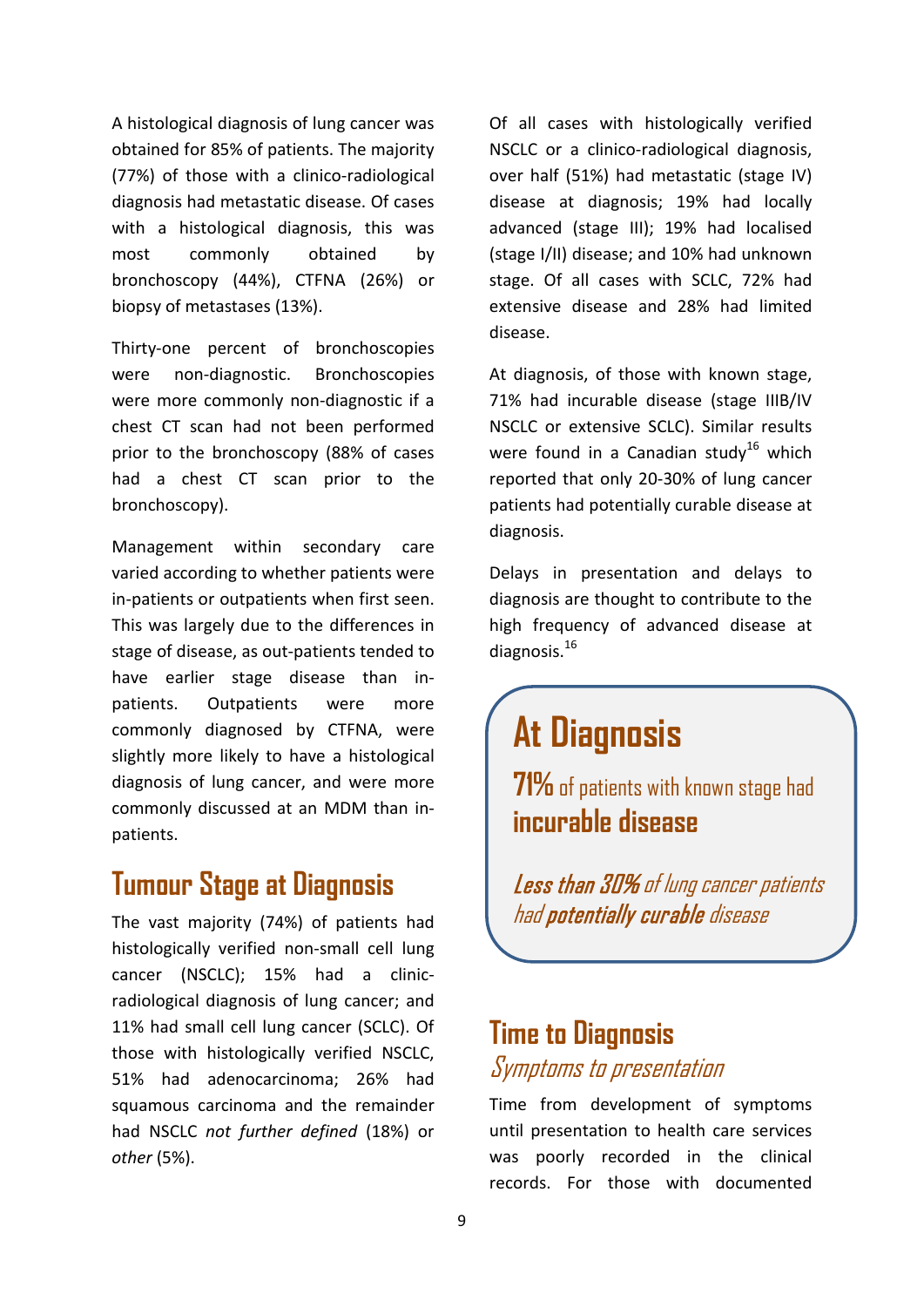A histological diagnosis of lung cancer was obtained for 85% of patients. The majority (77%) of those with a clinico-radiological diagnosis had metastatic disease. Of cases with a histological diagnosis, this was most commonly obtained by bronchoscopy (44%), CTFNA (26%) or biopsy of metastases (13%).

Thirty-one percent of bronchoscopies were non-diagnostic. Bronchoscopies were more commonly non-diagnostic if a chest CT scan had not been performed prior to the bronchoscopy (88% of cases had a chest CT scan prior to the bronchoscopy).

Management within secondary care varied according to whether patients were in-patients or outpatients when first seen. This was largely due to the differences in stage of disease, as out-patients tended to have earlier stage disease than inpatients. Outpatients were more commonly diagnosed by CTFNA, were slightly more likely to have a histological diagnosis of lung cancer, and were more commonly discussed at an MDM than inpatients.

### **Tumour Stage at Diagnosis**

The vast majority (74%) of patients had histologically verified non-small cell lung cancer (NSCLC); 15% had a clinicradiological diagnosis of lung cancer; and 11% had small cell lung cancer (SCLC). Of those with histologically verified NSCLC, 51% had adenocarcinoma; 26% had squamous carcinoma and the remainder had NSCLC *not further defined* (18%) or *other* (5%).

Of all cases with histologically verified NSCLC or a clinico-radiological diagnosis, over half (51%) had metastatic (stage IV) disease at diagnosis; 19% had locally advanced (stage III); 19% had localised (stage I/II) disease; and 10% had unknown stage. Of all cases with SCLC, 72% had extensive disease and 28% had limited disease.

At diagnosis, of those with known stage, 71% had incurable disease (stage IIIB/IV NSCLC or extensive SCLC). Similar results were found in a Canadian study<sup>16</sup> which reported that only 20-30% of lung cancer patients had potentially curable disease at diagnosis.

Delays in presentation and delays to diagnosis are thought to contribute to the high frequency of advanced disease at diagnosis.<sup>16</sup>

## **At Diagnosis**

**71%** of patients with known stage had **incurable disease**

Less than 30% of lung cancer patients had potentially curable disease

### **Time to Diagnosis** Symptoms to presentation

Time from development of symptoms until presentation to health care services was poorly recorded in the clinical records. For those with documented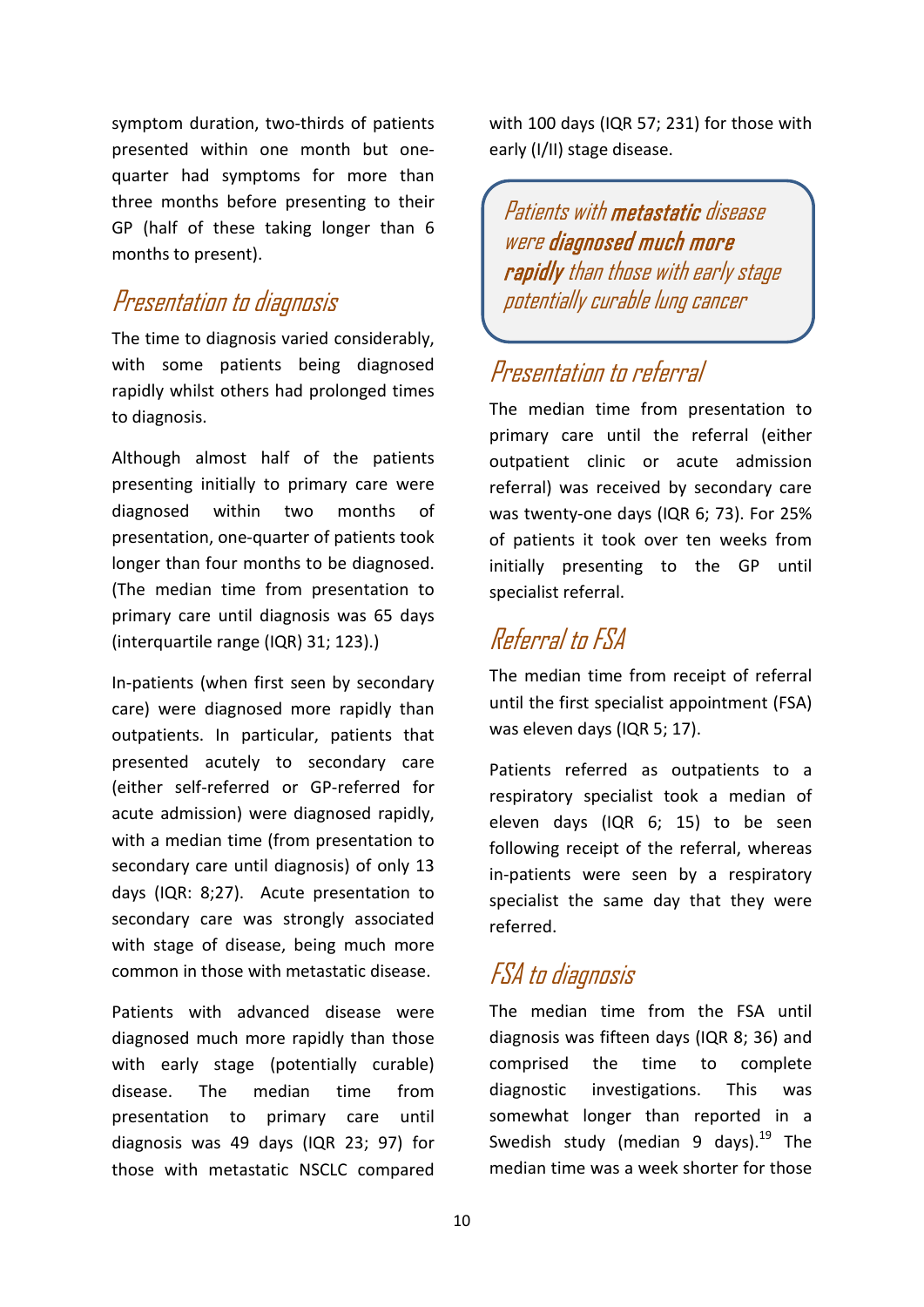symptom duration, two-thirds of patients presented within one month but onequarter had symptoms for more than three months before presenting to their GP (half of these taking longer than 6 months to present).

### Presentation to diagnosis

The time to diagnosis varied considerably, with some patients being diagnosed rapidly whilst others had prolonged times to diagnosis.

Although almost half of the patients presenting initially to primary care were diagnosed within two months of presentation, one-quarter of patients took longer than four months to be diagnosed. (The median time from presentation to primary care until diagnosis was 65 days (interquartile range (IQR) 31; 123).)

In-patients (when first seen by secondary care) were diagnosed more rapidly than outpatients. In particular, patients that presented acutely to secondary care (either self-referred or GP-referred for acute admission) were diagnosed rapidly, with a median time (from presentation to secondary care until diagnosis) of only 13 days (IQR: 8;27). Acute presentation to secondary care was strongly associated with stage of disease, being much more common in those with metastatic disease.

Patients with advanced disease were diagnosed much more rapidly than those with early stage (potentially curable) disease. The median time from presentation to primary care until diagnosis was 49 days (IQR 23; 97) for those with metastatic NSCLC compared with 100 days (IQR 57; 231) for those with early (I/II) stage disease.

Patients with metastatic disease were diagnosed much more rapidly than those with early stage potentially curable lung cancer

### Presentation to referral

The median time from presentation to primary care until the referral (either outpatient clinic or acute admission referral) was received by secondary care was twenty-one days (IQR 6; 73). For 25% of patients it took over ten weeks from initially presenting to the GP until specialist referral.

### Referral to FSA

The median time from receipt of referral until the first specialist appointment (FSA) was eleven days (IQR 5; 17).

Patients referred as outpatients to a respiratory specialist took a median of eleven days (IQR 6; 15) to be seen following receipt of the referral, whereas in-patients were seen by a respiratory specialist the same day that they were referred.

### FSA to diagnosis

The median time from the FSA until diagnosis was fifteen days (IQR 8; 36) and comprised the time to complete diagnostic investigations. This was somewhat longer than reported in a Swedish study (median 9 days). $^{19}$  The median time was a week shorter for those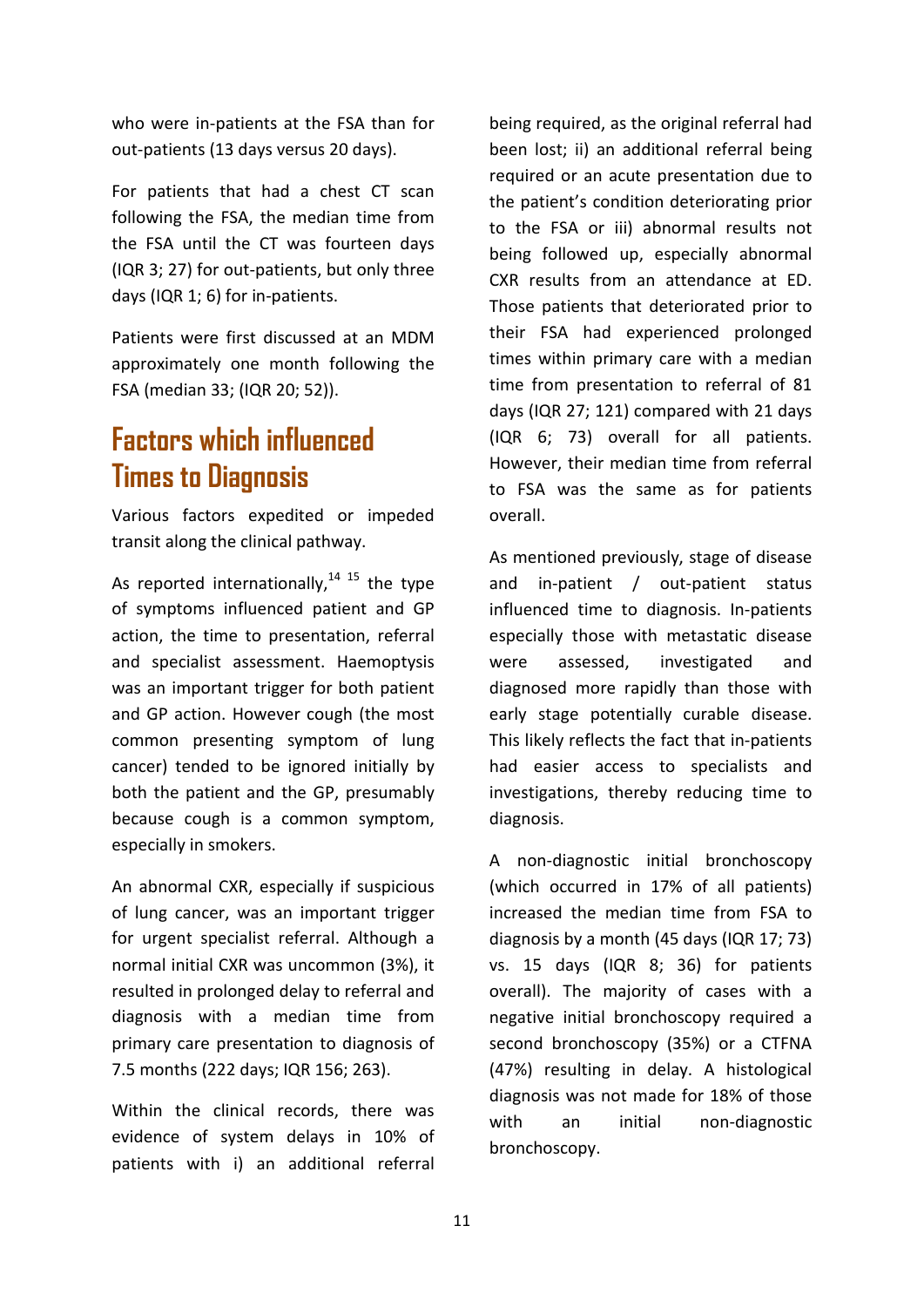who were in-patients at the FSA than for out-patients (13 days versus 20 days).

For patients that had a chest CT scan following the FSA, the median time from the FSA until the CT was fourteen days (IQR 3; 27) for out-patients, but only three days (IQR 1; 6) for in-patients.

Patients were first discussed at an MDM approximately one month following the FSA (median 33; (IQR 20; 52)).

## **Factors which influenced Times to Diagnosis**

Various factors expedited or impeded transit along the clinical pathway.

As reported internationally, $14$  15 the type of symptoms influenced patient and GP action, the time to presentation, referral and specialist assessment. Haemoptysis was an important trigger for both patient and GP action. However cough (the most common presenting symptom of lung cancer) tended to be ignored initially by both the patient and the GP, presumably because cough is a common symptom, especially in smokers.

An abnormal CXR, especially if suspicious of lung cancer, was an important trigger for urgent specialist referral. Although a normal initial CXR was uncommon (3%), it resulted in prolonged delay to referral and diagnosis with a median time from primary care presentation to diagnosis of 7.5 months (222 days; IQR 156; 263).

Within the clinical records, there was evidence of system delays in 10% of patients with i) an additional referral

being required, as the original referral had been lost; ii) an additional referral being required or an acute presentation due to the patient's condition deteriorating prior to the FSA or iii) abnormal results not being followed up, especially abnormal CXR results from an attendance at ED. Those patients that deteriorated prior to their FSA had experienced prolonged times within primary care with a median time from presentation to referral of 81 days (IQR 27; 121) compared with 21 days (IQR 6; 73) overall for all patients. However, their median time from referral to FSA was the same as for patients overall.

As mentioned previously, stage of disease and in-patient / out-patient status influenced time to diagnosis. In-patients especially those with metastatic disease were assessed, investigated and diagnosed more rapidly than those with early stage potentially curable disease. This likely reflects the fact that in-patients had easier access to specialists and investigations, thereby reducing time to diagnosis.

A non-diagnostic initial bronchoscopy (which occurred in 17% of all patients) increased the median time from FSA to diagnosis by a month (45 days (IQR 17; 73) vs. 15 days (IQR 8; 36) for patients overall). The majority of cases with a negative initial bronchoscopy required a second bronchoscopy (35%) or a CTFNA (47%) resulting in delay. A histological diagnosis was not made for 18% of those with an initial non-diagnostic bronchoscopy.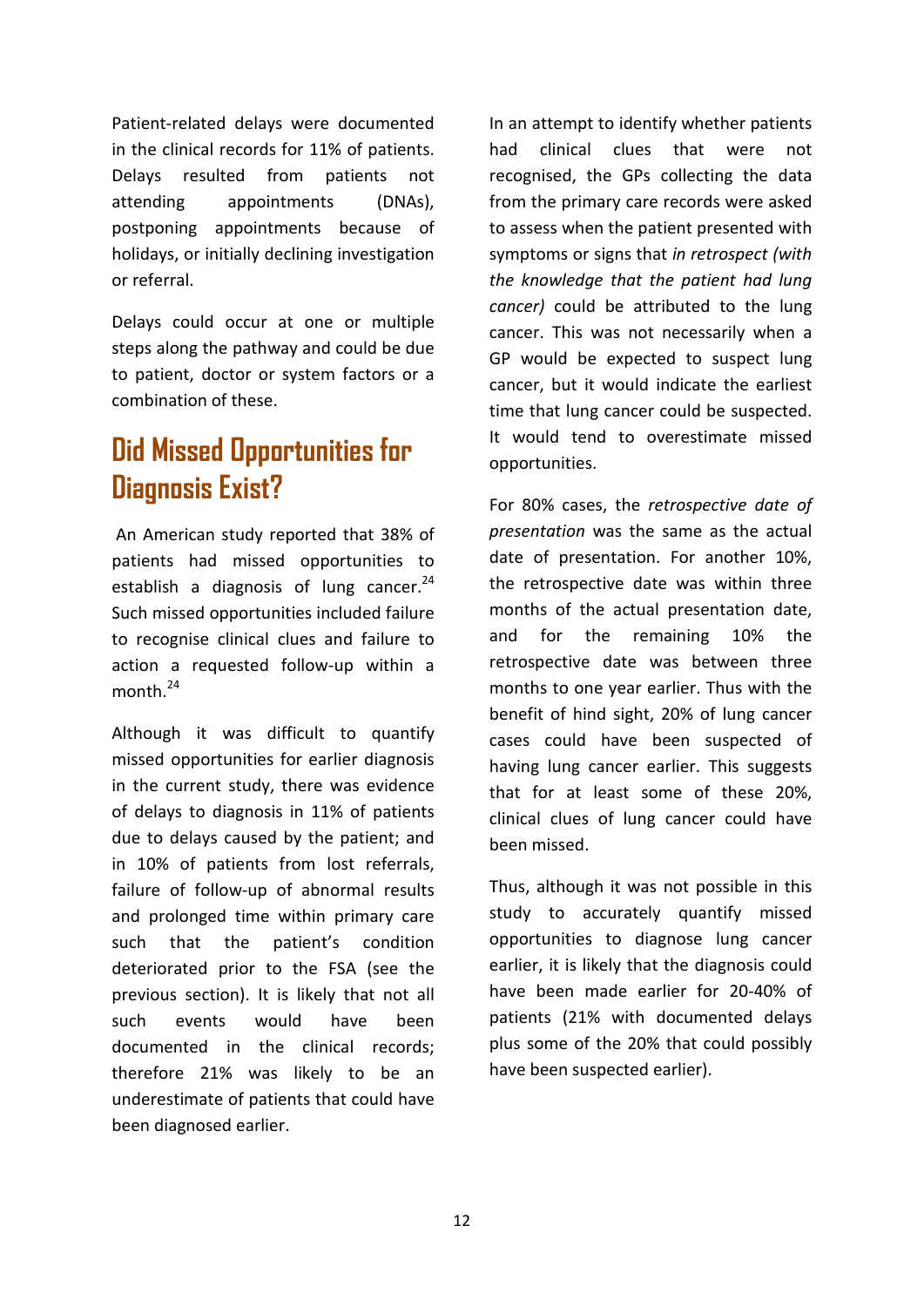Patient-related delays were documented in the clinical records for 11% of patients. Delays resulted from patients not attending appointments (DNAs), postponing appointments because of holidays, or initially declining investigation or referral.

Delays could occur at one or multiple steps along the pathway and could be due to patient, doctor or system factors or a combination of these.

## **Did Missed Opportunities for Diagnosis Exist?**

An American study reported that 38% of patients had missed opportunities to establish a diagnosis of lung cancer.<sup>24</sup> Such missed opportunities included failure to recognise clinical clues and failure to action a requested follow-up within a month $^{24}$ 

Although it was difficult to quantify missed opportunities for earlier diagnosis in the current study, there was evidence of delays to diagnosis in 11% of patients due to delays caused by the patient; and in 10% of patients from lost referrals, failure of follow-up of abnormal results and prolonged time within primary care such that the patient's condition deteriorated prior to the FSA (see the previous section). It is likely that not all such events would have been documented in the clinical records; therefore 21% was likely to be an underestimate of patients that could have been diagnosed earlier.

In an attempt to identify whether patients had clinical clues that were not recognised, the GPs collecting the data from the primary care records were asked to assess when the patient presented with symptoms or signs that *in retrospect (with the knowledge that the patient had lung cancer)* could be attributed to the lung cancer. This was not necessarily when a GP would be expected to suspect lung cancer, but it would indicate the earliest time that lung cancer could be suspected. It would tend to overestimate missed opportunities.

For 80% cases, the *retrospective date of presentation* was the same as the actual date of presentation. For another 10%, the retrospective date was within three months of the actual presentation date, and for the remaining 10% the retrospective date was between three months to one year earlier. Thus with the benefit of hind sight, 20% of lung cancer cases could have been suspected of having lung cancer earlier. This suggests that for at least some of these 20%, clinical clues of lung cancer could have been missed.

Thus, although it was not possible in this study to accurately quantify missed opportunities to diagnose lung cancer earlier, it is likely that the diagnosis could have been made earlier for 20-40% of patients (21% with documented delays plus some of the 20% that could possibly have been suspected earlier).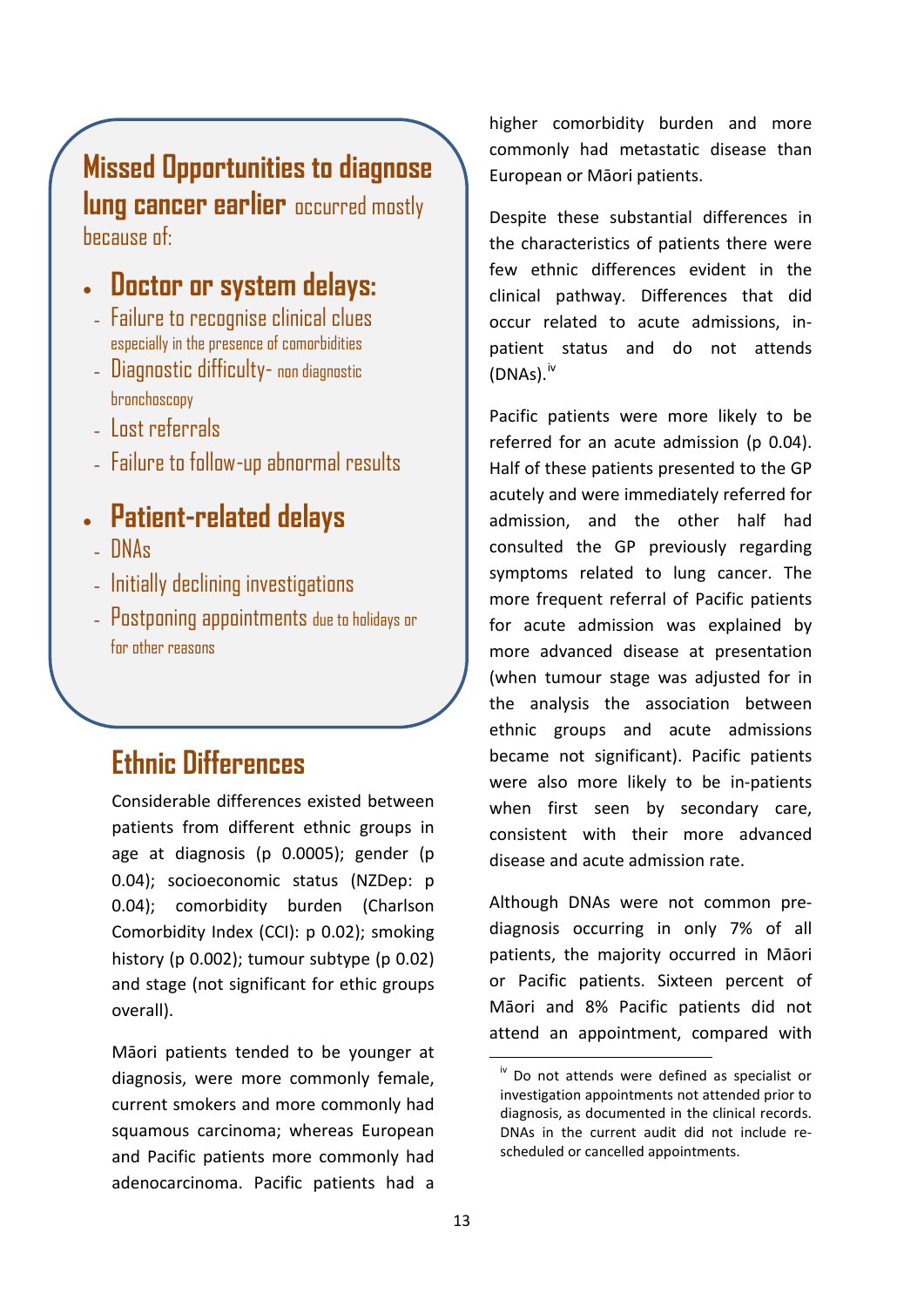### **Missed Opportunities to diagnose lung cancer earlier** occurred mostly because of:

## • **Doctor or system delays:**

- Failure to recognise clinical clues especially in the presence of comorbidities
- Diagnostic difficulty- non diagnostic bronchoscopy
- Lost referrals
- Failure to follow-up abnormal results

## • **Patient-related delays**

- DNAs
- Initially declining investigations
- Postponing appointments due to holidays or for other reasons

## **Ethnic Differences**

Considerable differences existed between patients from different ethnic groups in age at diagnosis (p 0.0005); gender (p 0.04); socioeconomic status (NZDep: p 0.04); comorbidity burden (Charlson Comorbidity Index (CCI): p 0.02); smoking history (p 0.002); tumour subtype (p 0.02) and stage (not significant for ethic groups overall).

<span id="page-18-0"></span>Māori patients tended to be younger at diagnosis, were more commonly female, current smokers and more commonly had squamous carcinoma; whereas European and Pacific patients more commonly had adenocarcinoma. Pacific patients had a

higher comorbidity burden and more commonly had metastatic disease than European or Māori patients.

Despite these substantial differences in the characteristics of patients there were few ethnic differences evident in the clinical pathway. Differences that did occur related to acute admissions, inpatient status and do not attends  $(DNAS).$ <sup>[iv](#page-18-0)</sup>

Pacific patients were more likely to be referred for an acute admission (p 0.04). Half of these patients presented to the GP acutely and were immediately referred for admission, and the other half had consulted the GP previously regarding symptoms related to lung cancer. The more frequent referral of Pacific patients for acute admission was explained by more advanced disease at presentation (when tumour stage was adjusted for in the analysis the association between ethnic groups and acute admissions became not significant). Pacific patients were also more likely to be in-patients when first seen by secondary care, consistent with their more advanced disease and acute admission rate.

Although DNAs were not common prediagnosis occurring in only 7% of all patients, the majority occurred in Māori or Pacific patients. Sixteen percent of Māori and 8% Pacific patients did not attend an appointment, compared with

 $\frac{1}{10}$  Do not attends were defined as specialist or investigation appointments not attended prior to diagnosis, as documented in the clinical records. DNAs in the current audit did not include rescheduled or cancelled appointments.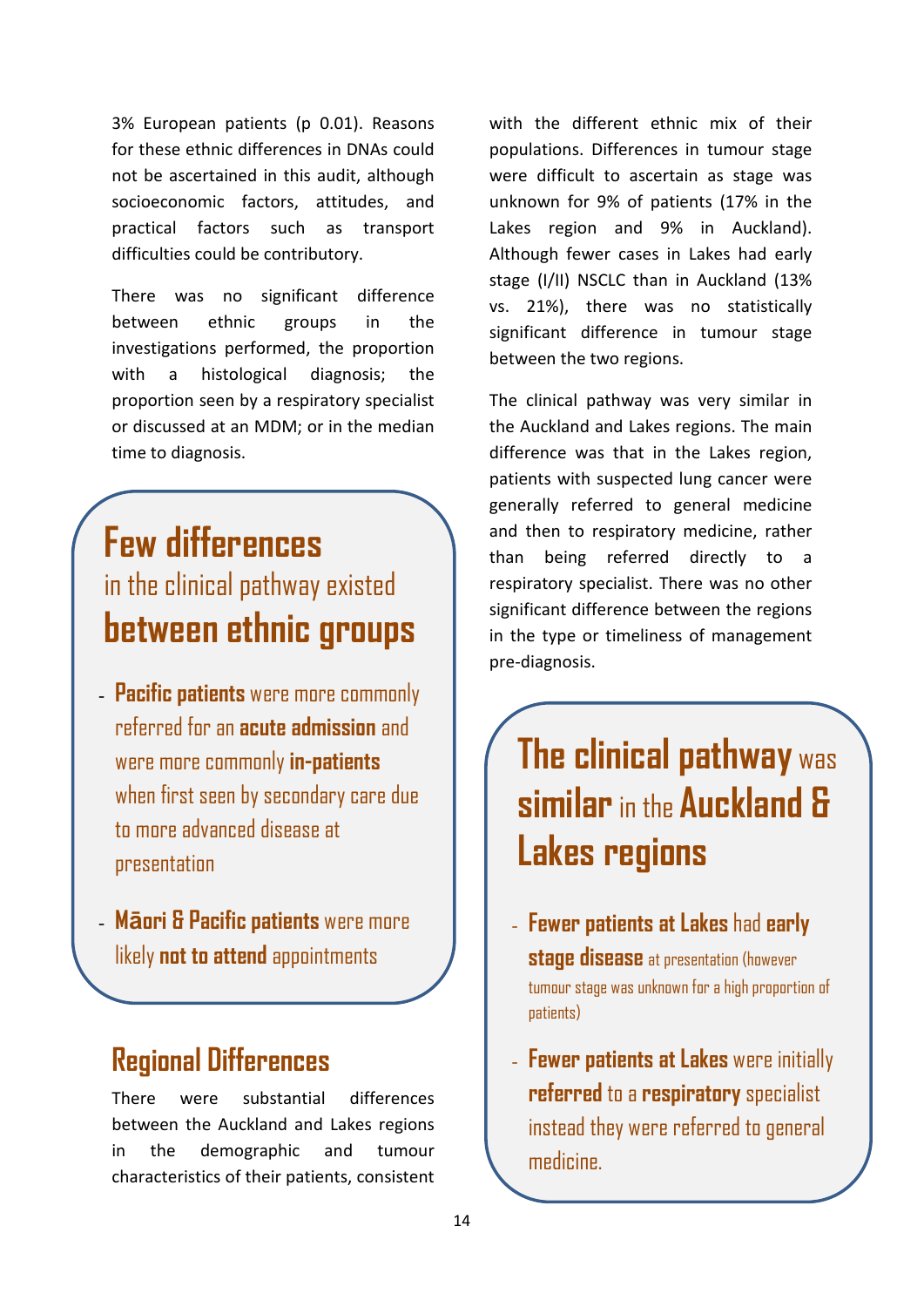3% European patients (p 0.01). Reasons for these ethnic differences in DNAs could not be ascertained in this audit, although socioeconomic factors, attitudes, and practical factors such as transport difficulties could be contributory.

There was no significant difference between ethnic groups in the investigations performed, the proportion with a histological diagnosis; the proportion seen by a respiratory specialist or discussed at an MDM; or in the median time to diagnosis.

## **Few differences**  in the clinical pathway existed **between ethnic groups**

- **Pacific patients** were more commonly referred for an **acute admission** and were more commonly **in-patients** when first seen by secondary care due to more advanced disease at presentation
- **Māori & Pacific patients** were more likely **not to attend** appointments

### **Regional Differences**

There were substantial differences between the Auckland and Lakes regions in the demographic and tumour characteristics of their patients, consistent

with the different ethnic mix of their populations. Differences in tumour stage were difficult to ascertain as stage was unknown for 9% of patients (17% in the Lakes region and 9% in Auckland). Although fewer cases in Lakes had early stage (I/II) NSCLC than in Auckland (13% vs. 21%), there was no statistically significant difference in tumour stage between the two regions.

The clinical pathway was very similar in the Auckland and Lakes regions. The main difference was that in the Lakes region, patients with suspected lung cancer were generally referred to general medicine and then to respiratory medicine, rather than being referred directly to respiratory specialist. There was no other significant difference between the regions in the type or timeliness of management pre-diagnosis.

## **The clinical pathway** was **similar**in the **Auckland & Lakes regions**

- **Fewer patients at Lakes** had **early stage disease** at presentation (however tumour stage was unknown for a high proportion of patients)
- **Fewer patients at Lakes** were initially **referred** to a **respiratory** specialist instead they were referred to general medicine.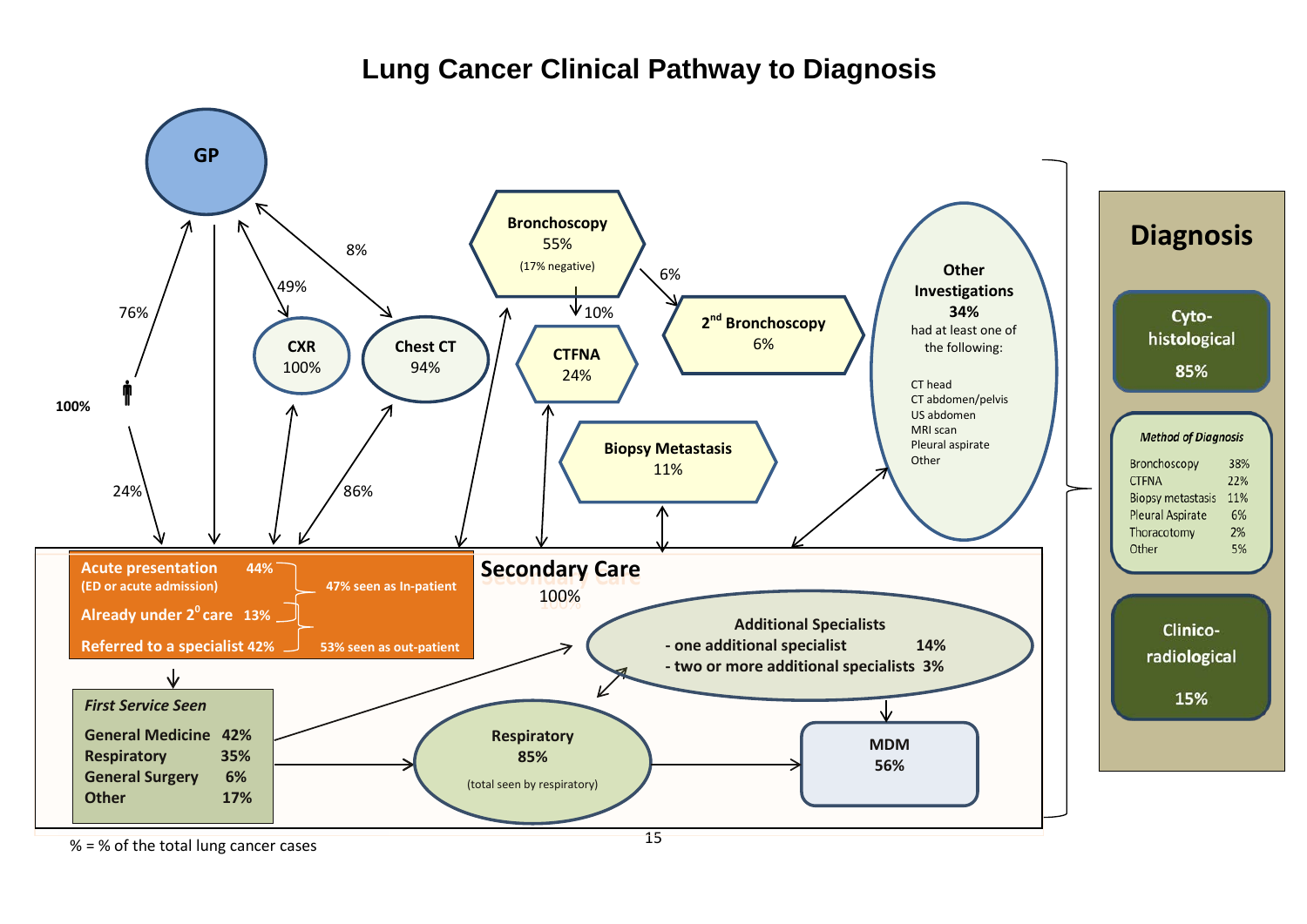### **Lung Cancer Clinical Pathway to Diagnosis**



% = % of the total lung cancer cases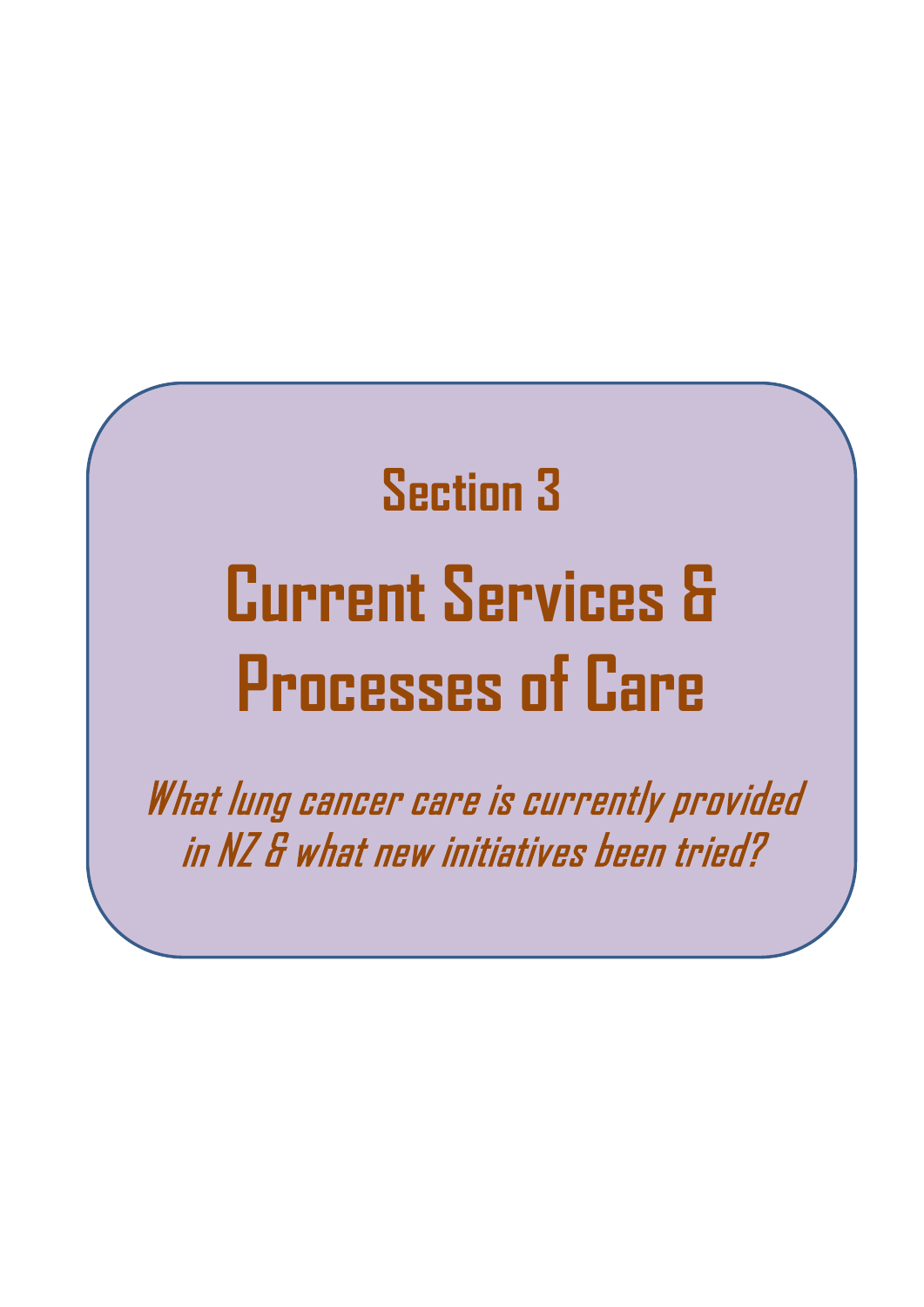# **Section 3 Current Services & Processes of Care**

What lung cancer care is currently provided in NZ & what new initiatives been tried?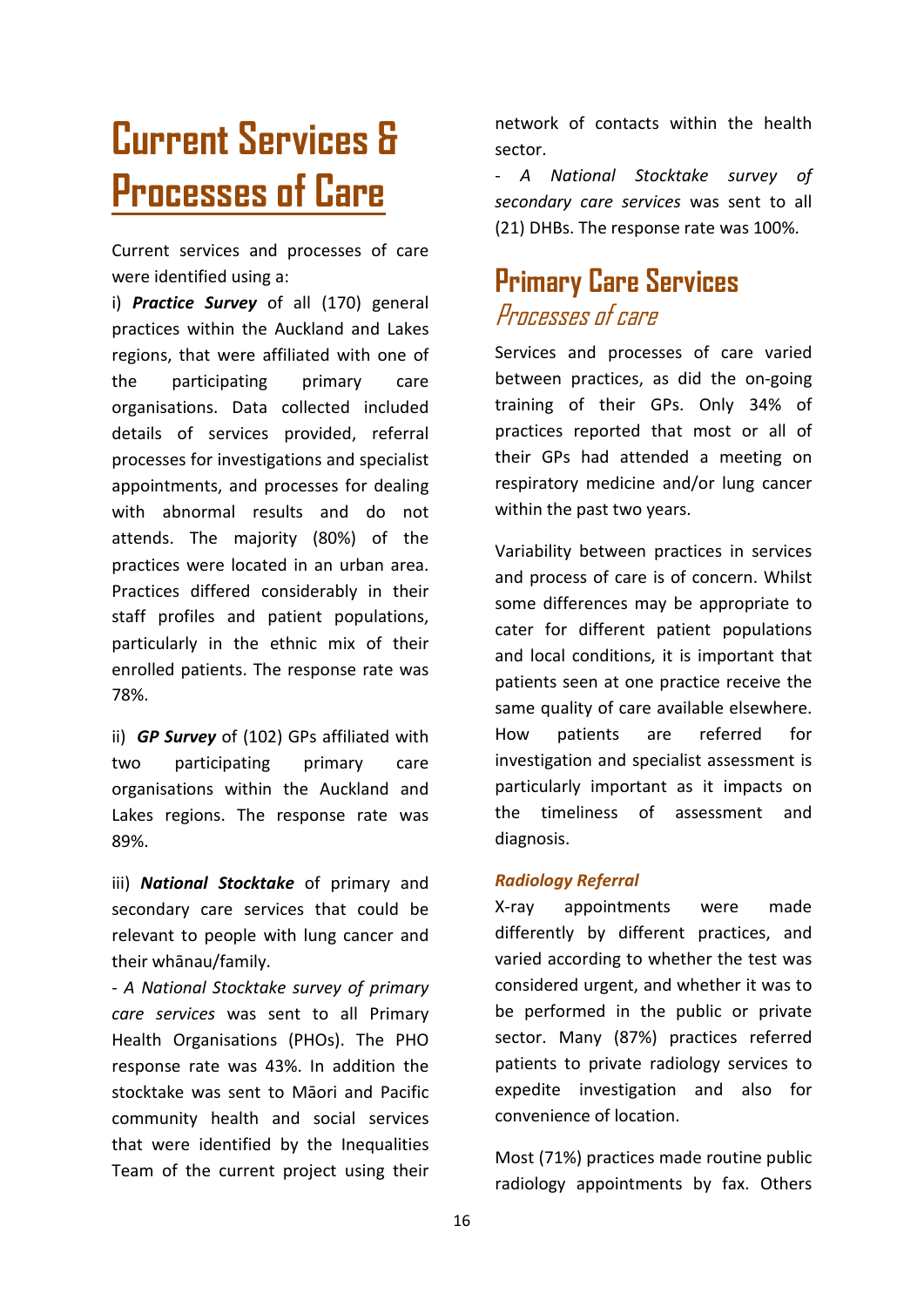## **Current Services & Processes of Care**

Current services and processes of care were identified using a:

i) *Practice Survey* of all (170) general practices within the Auckland and Lakes regions, that were affiliated with one of the participating primary care organisations. Data collected included details of services provided, referral processes for investigations and specialist appointments, and processes for dealing with abnormal results and do not attends. The majority (80%) of the practices were located in an urban area. Practices differed considerably in their staff profiles and patient populations, particularly in the ethnic mix of their enrolled patients. The response rate was 78%.

ii) *GP Survey* of (102) GPs affiliated with two participating primary care organisations within the Auckland and Lakes regions. The response rate was 89%.

iii) *National Stocktake* of primary and secondary care services that could be relevant to people with lung cancer and their whānau/family.

- *A National Stocktake survey of primary care services* was sent to all Primary Health Organisations (PHOs). The PHO response rate was 43%. In addition the stocktake was sent to Māori and Pacific community health and social services that were identified by the Inequalities Team of the current project using their

network of contacts within the health sector.

- *A National Stocktake survey of secondary care services* was sent to all (21) DHBs. The response rate was 100%.

### **Primary Care Services** Processes of care

Services and processes of care varied between practices, as did the on-going training of their GPs. Only 34% of practices reported that most or all of their GPs had attended a meeting on respiratory medicine and/or lung cancer within the past two years.

Variability between practices in services and process of care is of concern. Whilst some differences may be appropriate to cater for different patient populations and local conditions, it is important that patients seen at one practice receive the same quality of care available elsewhere. How patients are referred for investigation and specialist assessment is particularly important as it impacts on the timeliness of assessment and diagnosis.

#### *Radiology Referral*

X-ray appointments were made differently by different practices, and varied according to whether the test was considered urgent, and whether it was to be performed in the public or private sector. Many (87%) practices referred patients to private radiology services to expedite investigation and also for convenience of location.

Most (71%) practices made routine public radiology appointments by fax. Others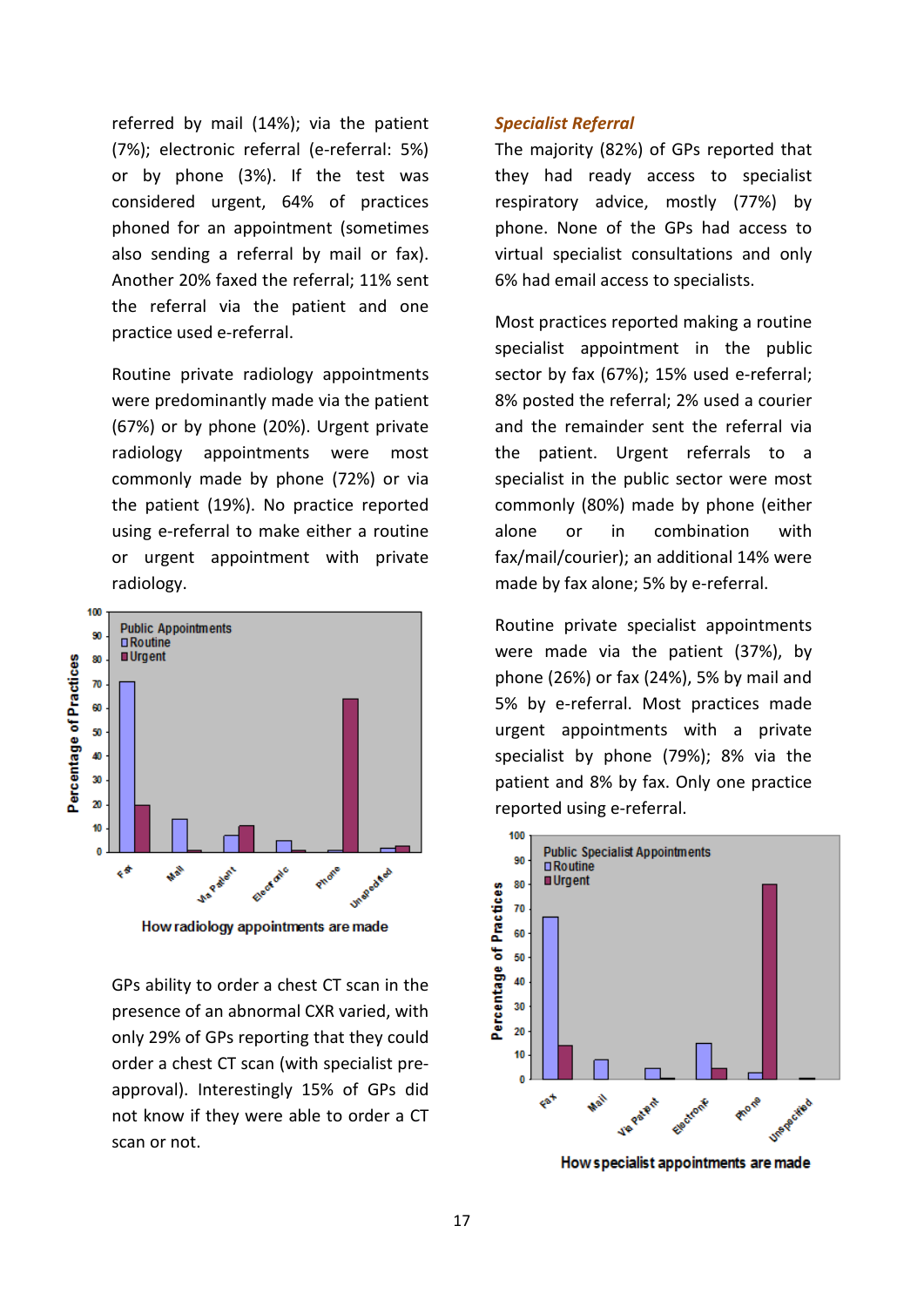referred by mail (14%); via the patient (7%); electronic referral (e-referral: 5%) or by phone (3%). If the test was considered urgent, 64% of practices phoned for an appointment (sometimes also sending a referral by mail or fax). Another 20% faxed the referral; 11% sent the referral via the patient and one practice used e-referral.

Routine private radiology appointments were predominantly made via the patient (67%) or by phone (20%). Urgent private radiology appointments were most commonly made by phone (72%) or via the patient (19%). No practice reported using e-referral to make either a routine or urgent appointment with private radiology.



How radiology appointments are made

GPs ability to order a chest CT scan in the presence of an abnormal CXR varied, with only 29% of GPs reporting that they could order a chest CT scan (with specialist preapproval). Interestingly 15% of GPs did not know if they were able to order a CT scan or not.

#### *Specialist Referral*

The majority (82%) of GPs reported that they had ready access to specialist respiratory advice, mostly (77%) by phone. None of the GPs had access to virtual specialist consultations and only 6% had email access to specialists.

Most practices reported making a routine specialist appointment in the public sector by fax (67%); 15% used e-referral; 8% posted the referral; 2% used a courier and the remainder sent the referral via the patient. Urgent referrals to a specialist in the public sector were most commonly (80%) made by phone (either alone or in combination with fax/mail/courier); an additional 14% were made by fax alone; 5% by e-referral.

Routine private specialist appointments were made via the patient (37%), by phone (26%) or fax (24%), 5% by mail and 5% by e-referral. Most practices made urgent appointments with a private specialist by phone (79%); 8% via the patient and 8% by fax. Only one practice reported using e-referral.



How specialist appointments are made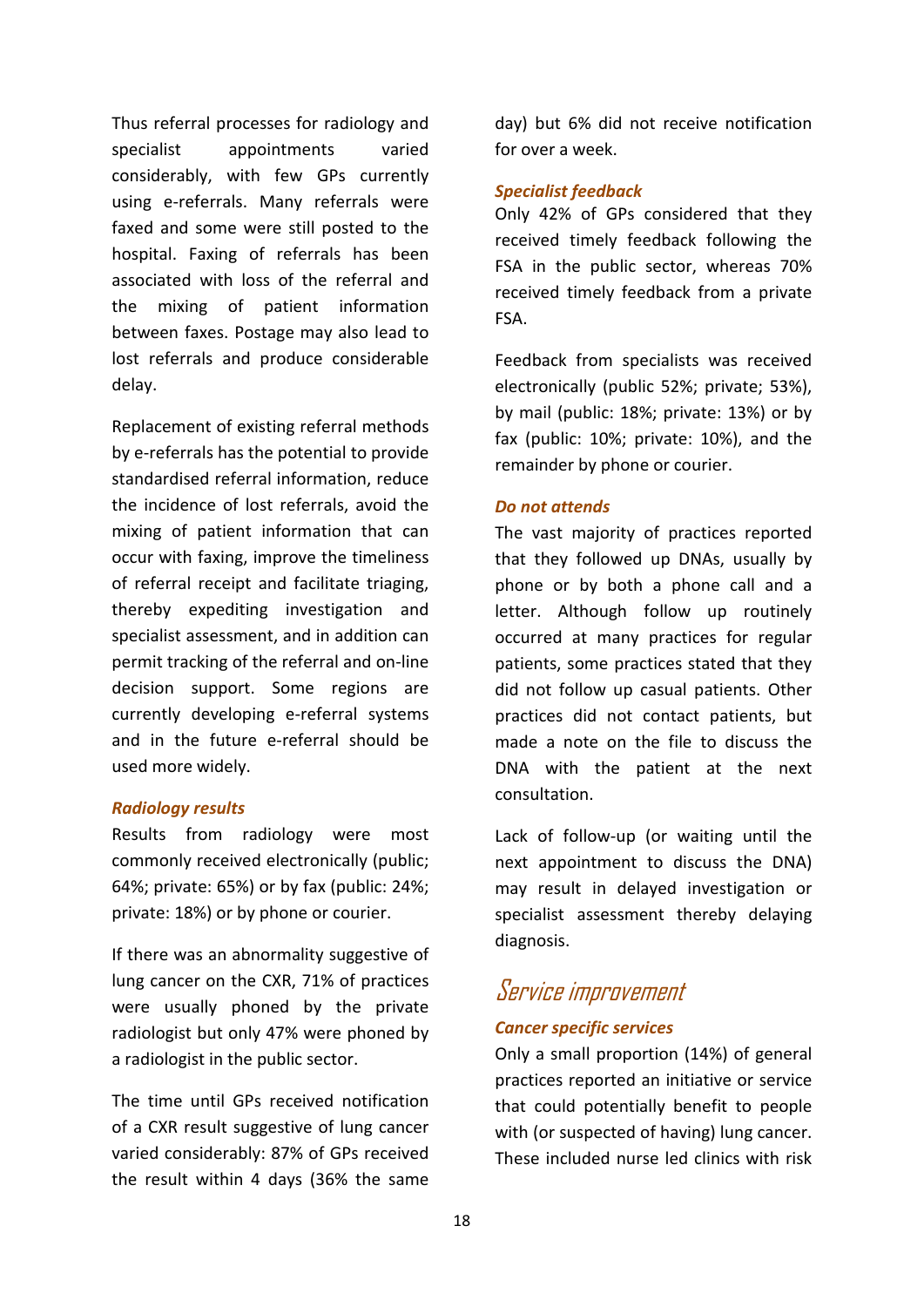Thus referral processes for radiology and specialist appointments varied considerably, with few GPs currently using e-referrals. Many referrals were faxed and some were still posted to the hospital. Faxing of referrals has been associated with loss of the referral and the mixing of patient information between faxes. Postage may also lead to lost referrals and produce considerable delay.

Replacement of existing referral methods by e-referrals has the potential to provide standardised referral information, reduce the incidence of lost referrals, avoid the mixing of patient information that can occur with faxing, improve the timeliness of referral receipt and facilitate triaging, thereby expediting investigation and specialist assessment, and in addition can permit tracking of the referral and on-line decision support. Some regions are currently developing e-referral systems and in the future e-referral should be used more widely.

#### *Radiology results*

Results from radiology were most commonly received electronically (public; 64%; private: 65%) or by fax (public: 24%; private: 18%) or by phone or courier.

If there was an abnormality suggestive of lung cancer on the CXR, 71% of practices were usually phoned by the private radiologist but only 47% were phoned by a radiologist in the public sector.

The time until GPs received notification of a CXR result suggestive of lung cancer varied considerably: 87% of GPs received the result within 4 days (36% the same

day) but 6% did not receive notification for over a week.

#### *Specialist feedback*

Only 42% of GPs considered that they received timely feedback following the FSA in the public sector, whereas 70% received timely feedback from a private FSA.

Feedback from specialists was received electronically (public 52%; private; 53%), by mail (public: 18%; private: 13%) or by fax (public: 10%; private: 10%), and the remainder by phone or courier.

#### *Do not attends*

The vast majority of practices reported that they followed up DNAs, usually by phone or by both a phone call and a letter. Although follow up routinely occurred at many practices for regular patients, some practices stated that they did not follow up casual patients. Other practices did not contact patients, but made a note on the file to discuss the DNA with the patient at the next consultation.

Lack of follow-up (or waiting until the next appointment to discuss the DNA) may result in delayed investigation or specialist assessment thereby delaying diagnosis.

### Service improvement

#### *Cancer specific services*

Only a small proportion (14%) of general practices reported an initiative or service that could potentially benefit to people with (or suspected of having) lung cancer. These included nurse led clinics with risk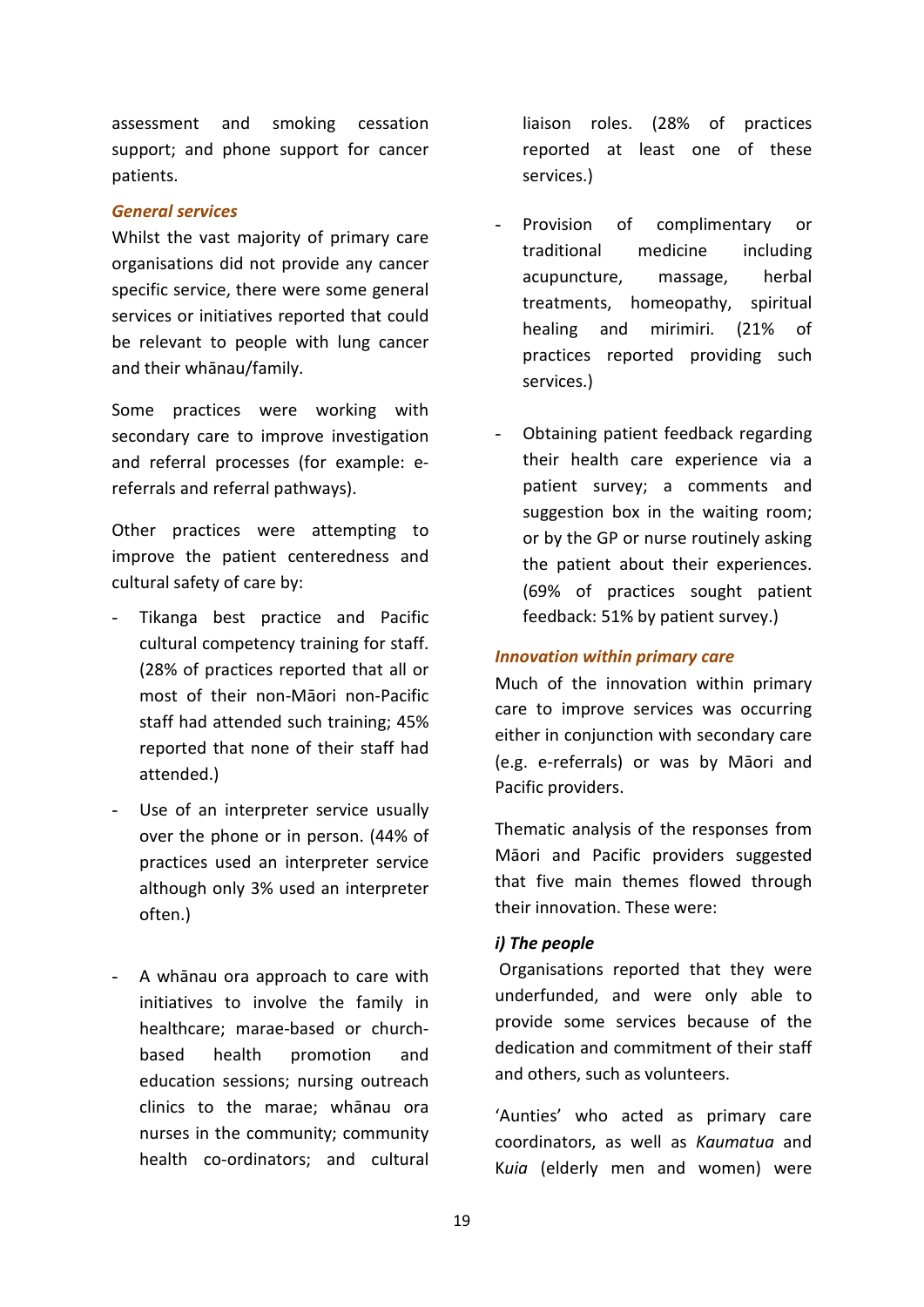assessment and smoking cessation support; and phone support for cancer patients.

#### *General services*

Whilst the vast majority of primary care organisations did not provide any cancer specific service, there were some general services or initiatives reported that could be relevant to people with lung cancer and their whānau/family.

Some practices were working with secondary care to improve investigation and referral processes (for example: ereferrals and referral pathways).

Other practices were attempting to improve the patient centeredness and cultural safety of care by:

- Tikanga best practice and Pacific cultural competency training for staff. (28% of practices reported that all or most of their non-Māori non-Pacific staff had attended such training; 45% reported that none of their staff had attended.)
- Use of an interpreter service usually over the phone or in person. (44% of practices used an interpreter service although only 3% used an interpreter often.)
- A whānau ora approach to care with initiatives to involve the family in healthcare; marae-based or churchbased health promotion and education sessions; nursing outreach clinics to the marae; whānau ora nurses in the community; community health co-ordinators; and cultural

liaison roles. (28% of practices reported at least one of these services.)

- Provision of complimentary or traditional medicine including acupuncture, massage, herbal treatments, homeopathy, spiritual healing and mirimiri. (21% of practices reported providing such services.)
- Obtaining patient feedback regarding their health care experience via a patient survey; a comments and suggestion box in the waiting room; or by the GP or nurse routinely asking the patient about their experiences. (69% of practices sought patient feedback: 51% by patient survey.)

#### *Innovation within primary care*

Much of the innovation within primary care to improve services was occurring either in conjunction with secondary care (e.g. e-referrals) or was by Māori and Pacific providers.

Thematic analysis of the responses from Māori and Pacific providers suggested that five main themes flowed through their innovation. These were:

#### *i) The people*

Organisations reported that they were underfunded, and were only able to provide some services because of the dedication and commitment of their staff and others, such as volunteers.

'Aunties' who acted as primary care coordinators, as well as *Kaumatua* and K*uia* (elderly men and women) were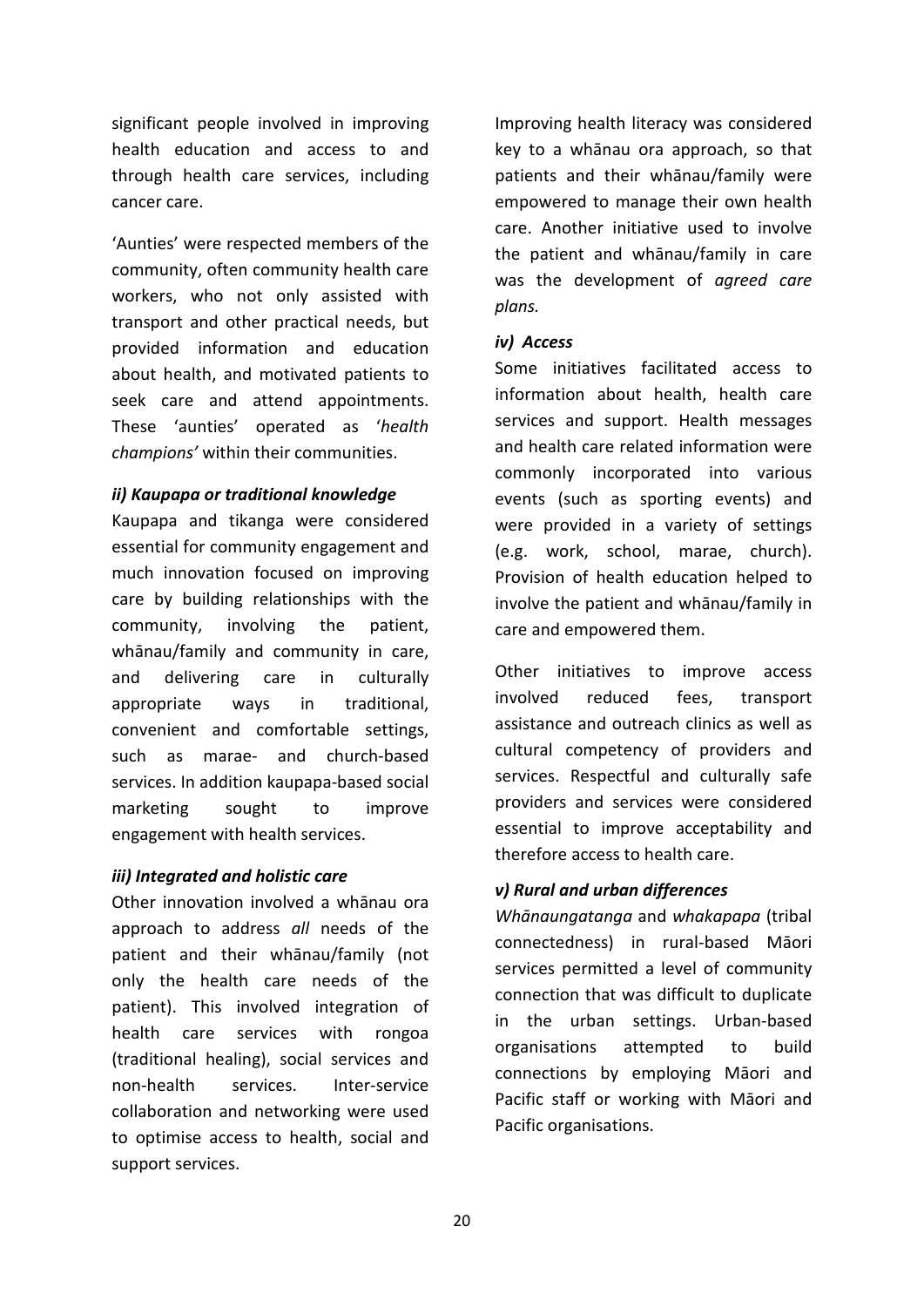significant people involved in improving health education and access to and through health care services, including cancer care.

'Aunties' were respected members of the community, often community health care workers, who not only assisted with transport and other practical needs, but provided information and education about health, and motivated patients to seek care and attend appointments. These 'aunties' operated as '*health champions'* within their communities.

#### *ii) Kaupapa or traditional knowledge*

Kaupapa and tikanga were considered essential for community engagement and much innovation focused on improving care by building relationships with the community, involving the patient, whānau/family and community in care, and delivering care in culturally appropriate ways in traditional, convenient and comfortable settings, such as marae- and church-based services. In addition kaupapa-based social marketing sought to improve engagement with health services.

#### *iii) Integrated and holistic care*

Other innovation involved a whānau ora approach to address *all* needs of the patient and their whānau/family (not only the health care needs of the patient). This involved integration of health care services with rongoa (traditional healing), social services and non-health services. Inter-service collaboration and networking were used to optimise access to health, social and support services.

Improving health literacy was considered key to a whānau ora approach, so that patients and their whānau/family were empowered to manage their own health care. Another initiative used to involve the patient and whānau/family in care was the development of *agreed care plans.*

#### *iv) Access*

Some initiatives facilitated access to information about health, health care services and support. Health messages and health care related information were commonly incorporated into various events (such as sporting events) and were provided in a variety of settings (e.g. work, school, marae, church). Provision of health education helped to involve the patient and whānau/family in care and empowered them.

Other initiatives to improve access involved reduced fees, transport assistance and outreach clinics as well as cultural competency of providers and services. Respectful and culturally safe providers and services were considered essential to improve acceptability and therefore access to health care.

#### *v) Rural and urban differences*

*Whānaungatanga* and *whakapapa* (tribal connectedness) in rural-based Māori services permitted a level of community connection that was difficult to duplicate in the urban settings. Urban-based organisations attempted to build connections by employing Māori and Pacific staff or working with Māori and Pacific organisations.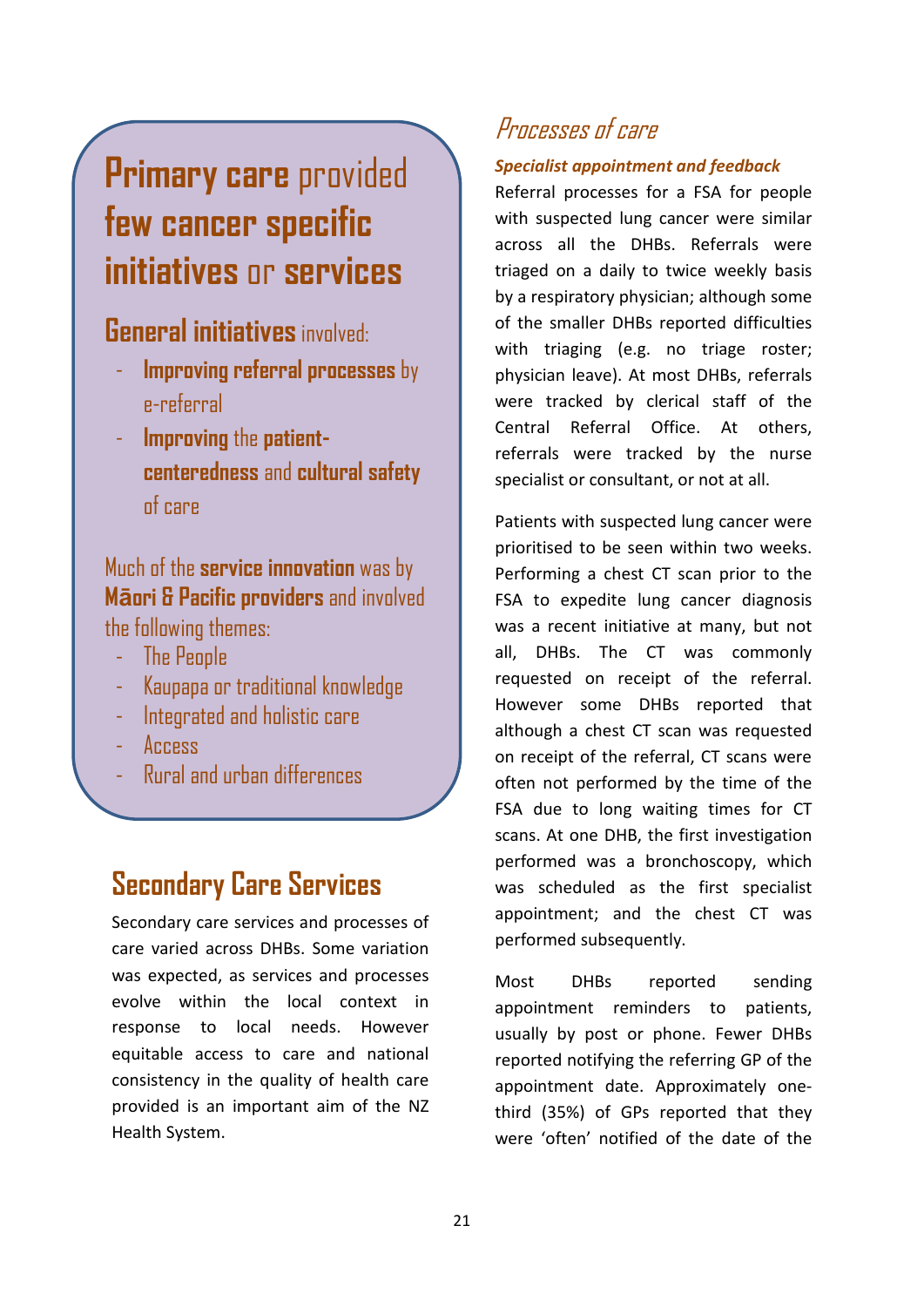## **Primary care** provided **few cancer specific initiatives** or **services**

### **General initiatives**involved:

- **Improving referral processes** by e-referral
- **Improving** the **patientcenteredness** and **cultural safety**  of care

### Much of the **service innovation** was by **Māori & Pacific providers** and involved the following themes:

- The People
- Kaupapa or traditional knowledge
- Integrated and holistic care
- Access
- Rural and urban differences

## **Secondary Care Services**

Secondary care services and processes of care varied across DHBs. Some variation was expected, as services and processes evolve within the local context in response to local needs. However equitable access to care and national consistency in the quality of health care provided is an important aim of the NZ Health System.

## Processes of care

#### *Specialist appointment and feedback*

Referral processes for a FSA for people with suspected lung cancer were similar across all the DHBs. Referrals were triaged on a daily to twice weekly basis by a respiratory physician; although some of the smaller DHBs reported difficulties with triaging (e.g. no triage roster; physician leave). At most DHBs, referrals were tracked by clerical staff of the Central Referral Office. At others, referrals were tracked by the nurse specialist or consultant, or not at all.

Patients with suspected lung cancer were prioritised to be seen within two weeks. Performing a chest CT scan prior to the FSA to expedite lung cancer diagnosis was a recent initiative at many, but not all, DHBs. The CT was commonly requested on receipt of the referral. However some DHBs reported that although a chest CT scan was requested on receipt of the referral, CT scans were often not performed by the time of the FSA due to long waiting times for CT scans. At one DHB, the first investigation performed was a bronchoscopy, which was scheduled as the first specialist appointment; and the chest CT was performed subsequently.

Most DHBs reported sending appointment reminders to patients, usually by post or phone. Fewer DHBs reported notifying the referring GP of the appointment date. Approximately onethird (35%) of GPs reported that they were 'often' notified of the date of the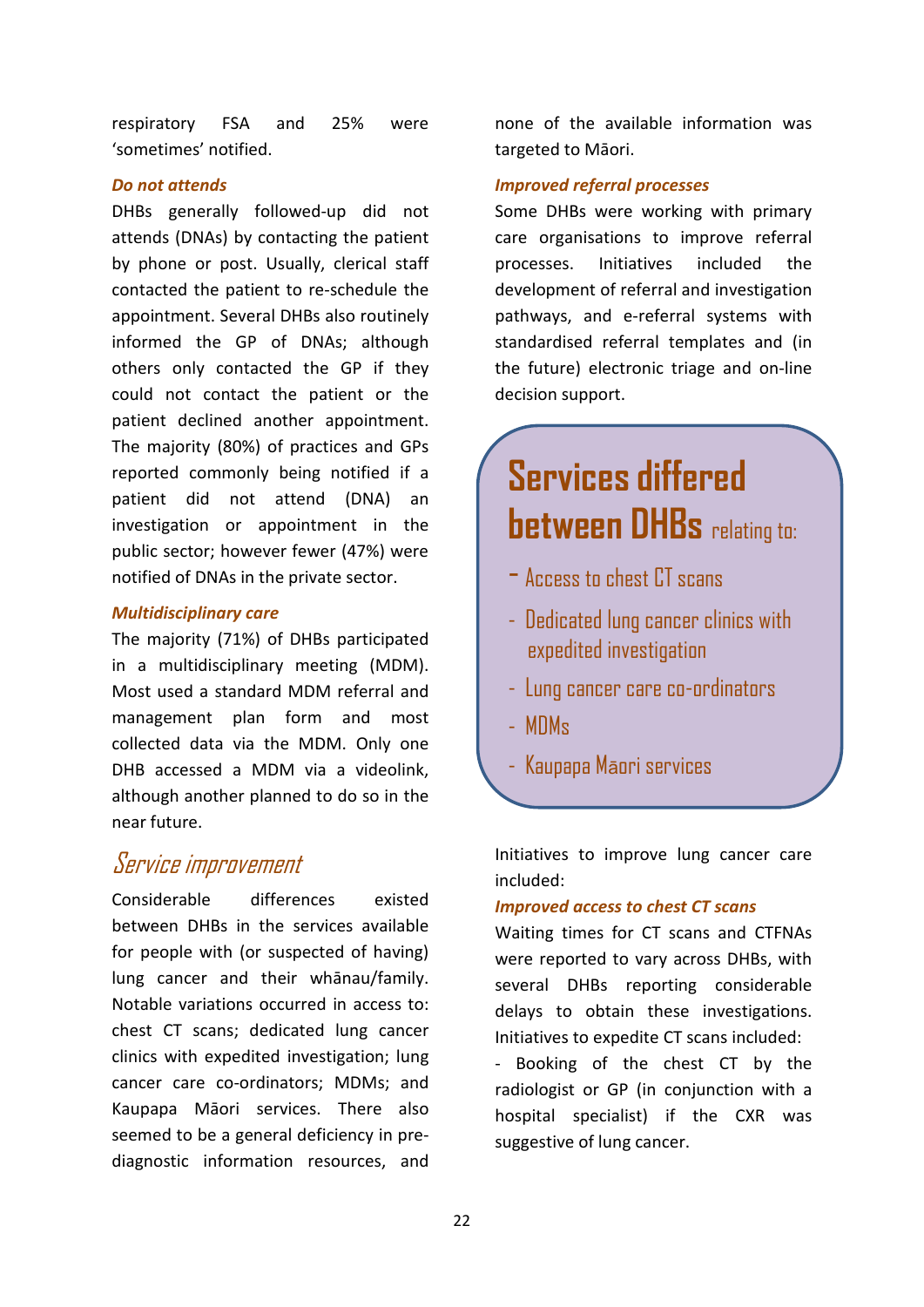respiratory FSA and 25% were 'sometimes' notified.

#### *Do not attends*

DHBs generally followed-up did not attends (DNAs) by contacting the patient by phone or post. Usually, clerical staff contacted the patient to re-schedule the appointment. Several DHBs also routinely informed the GP of DNAs; although others only contacted the GP if they could not contact the patient or the patient declined another appointment. The majority (80%) of practices and GPs reported commonly being notified if a patient did not attend (DNA) an investigation or appointment in the public sector; however fewer (47%) were notified of DNAs in the private sector.

#### *Multidisciplinary care*

The majority (71%) of DHBs participated in a multidisciplinary meeting (MDM). Most used a standard MDM referral and management plan form and most collected data via the MDM. Only one DHB accessed a MDM via a videolink, although another planned to do so in the near future.

#### Service improvement

Considerable differences existed between DHBs in the services available for people with (or suspected of having) lung cancer and their whānau/family. Notable variations occurred in access to: chest CT scans; dedicated lung cancer clinics with expedited investigation; lung cancer care co-ordinators; MDMs; and Kaupapa Māori services. There also seemed to be a general deficiency in prediagnostic information resources, and

none of the available information was targeted to Māori.

#### *Improved referral processes*

Some DHBs were working with primary care organisations to improve referral processes. Initiatives included the development of referral and investigation pathways, and e-referral systems with standardised referral templates and (in the future) electronic triage and on-line decision support.

## **Services differed between DHBs** relating to:

- Access to chest CT scans
- Dedicated lung cancer clinics with expedited investigation
- Lung cancer care co-ordinators
- MDMs
- Kaupapa Māori services

Initiatives to improve lung cancer care included:

#### *Improved access to chest CT scans*

Waiting times for CT scans and CTFNAs were reported to vary across DHBs, with several DHBs reporting considerable delays to obtain these investigations. Initiatives to expedite CT scans included:

- Booking of the chest CT by the radiologist or GP (in conjunction with a hospital specialist) if the CXR was suggestive of lung cancer.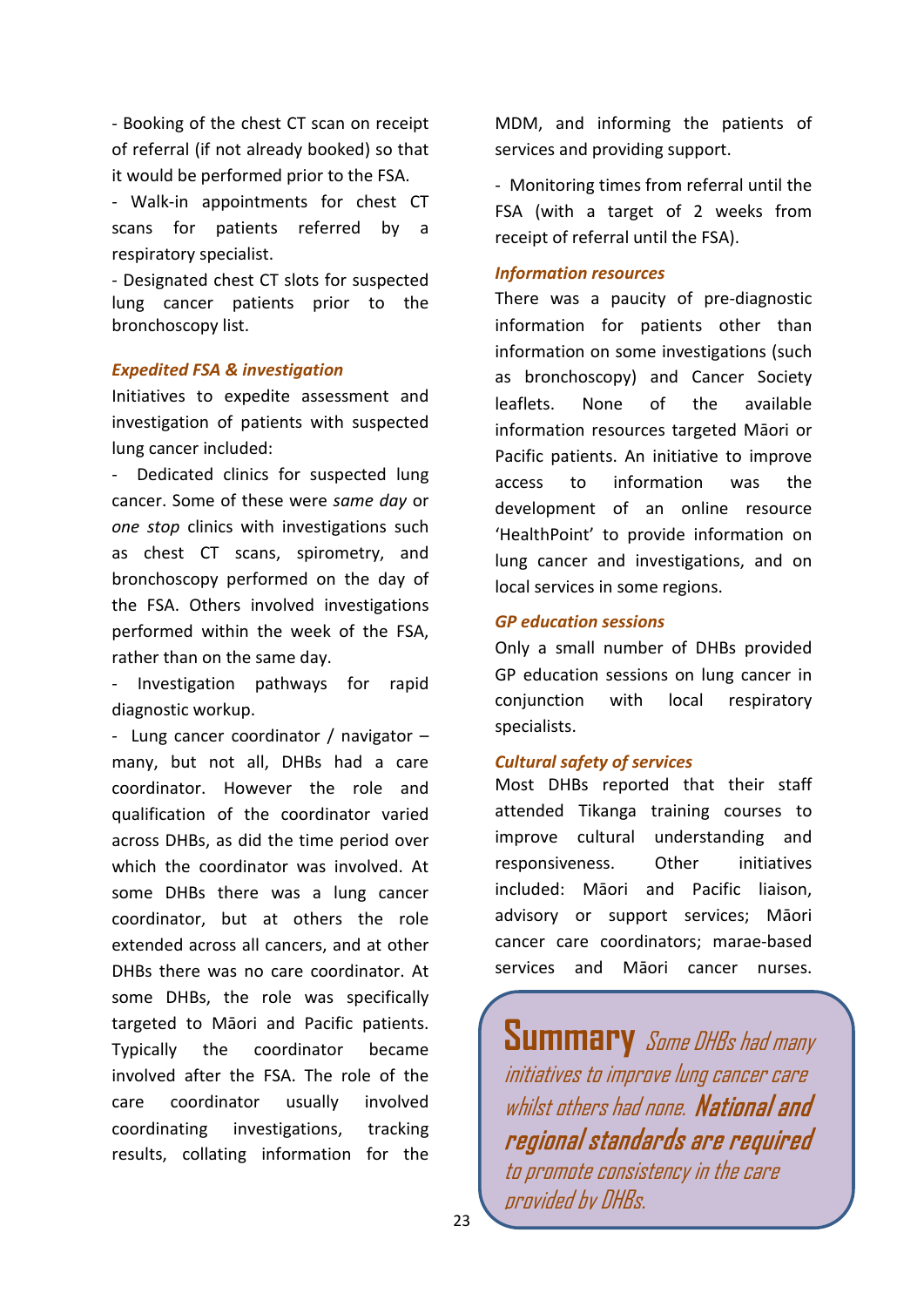- Booking of the chest CT scan on receipt of referral (if not already booked) so that it would be performed prior to the FSA.

- Walk-in appointments for chest CT scans for patients referred by a respiratory specialist.

- Designated chest CT slots for suspected lung cancer patients prior to the bronchoscopy list.

#### *Expedited FSA & investigation*

Initiatives to expedite assessment and investigation of patients with suspected lung cancer included:

- Dedicated clinics for suspected lung cancer. Some of these were *same day* or *one stop* clinics with investigations such as chest CT scans, spirometry, and bronchoscopy performed on the day of the FSA. Others involved investigations performed within the week of the FSA, rather than on the same day.

Investigation pathways for rapid diagnostic workup.

- Lung cancer coordinator / navigator – many, but not all, DHBs had a care coordinator. However the role and qualification of the coordinator varied across DHBs, as did the time period over which the coordinator was involved. At some DHBs there was a lung cancer coordinator, but at others the role extended across all cancers, and at other DHBs there was no care coordinator. At some DHBs, the role was specifically targeted to Māori and Pacific patients. Typically the coordinator became involved after the FSA. The role of the care coordinator usually involved coordinating investigations, tracking results, collating information for the

MDM, and informing the patients of services and providing support.

- Monitoring times from referral until the FSA (with a target of 2 weeks from receipt of referral until the FSA).

#### *Information resources*

There was a paucity of pre-diagnostic information for patients other than information on some investigations (such as bronchoscopy) and Cancer Society leaflets. None of the available information resources targeted Māori or Pacific patients. An initiative to improve access to information was the development of an online resource 'HealthPoint' to provide information on lung cancer and investigations, and on local services in some regions.

#### *GP education sessions*

Only a small number of DHBs provided GP education sessions on lung cancer in conjunction with local respiratory specialists.

#### *Cultural safety of services*

Most DHBs reported that their staff attended Tikanga training courses to improve cultural understanding and responsiveness. Other initiatives included: Māori and Pacific liaison, advisory or support services; Māori cancer care coordinators; marae-based services and Māori cancer nurses.

**Summary** Some DHBs had many initiatives to improve lung cancer care whilst others had none. National and regional standards are required to promote consistency in the care provided by DHBs.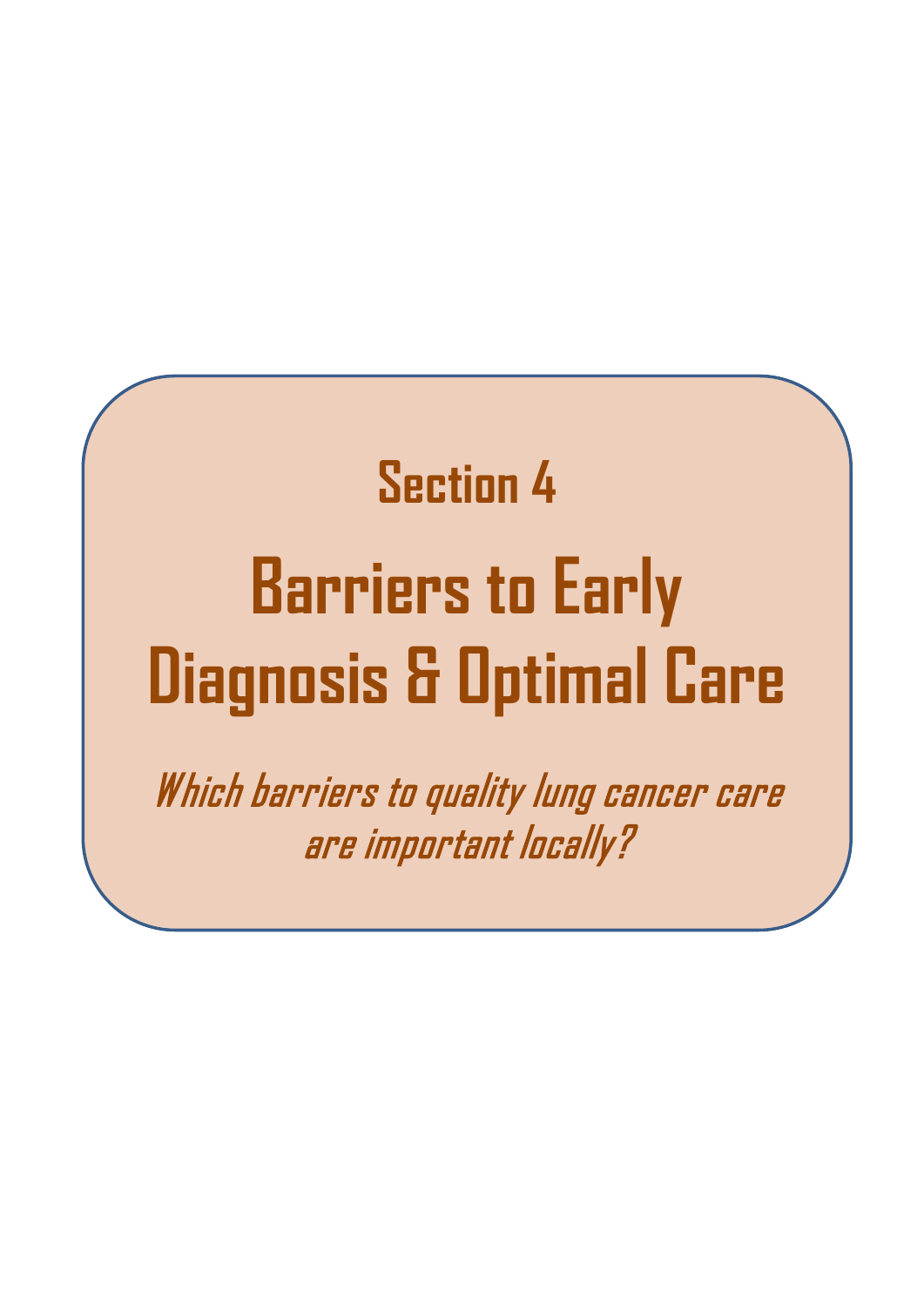# **Section 4 Barriers to Early Diagnosis & Optimal Care**

Which barriers to quality lung cancer care are important locally?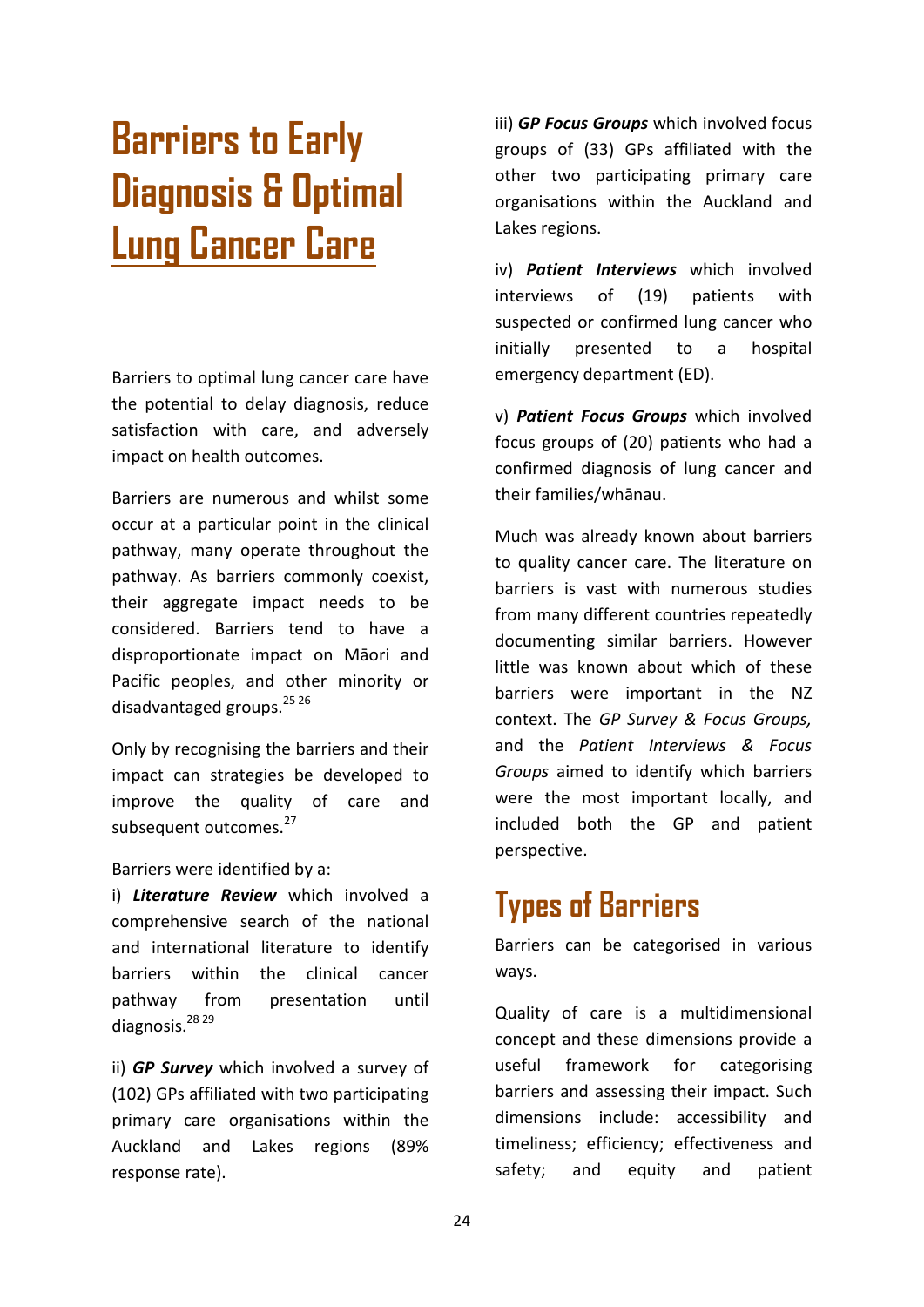## **Barriers to Early Diagnosis & Optimal Lung Cancer Care**

Barriers to optimal lung cancer care have the potential to delay diagnosis, reduce satisfaction with care, and adversely impact on health outcomes.

Barriers are numerous and whilst some occur at a particular point in the clinical pathway, many operate throughout the pathway. As barriers commonly coexist, their aggregate impact needs to be considered. Barriers tend to have a disproportionate impact on Māori and Pacific peoples, and other minority or disadvantaged groups. $^{25,26}$ 

Only by recognising the barriers and their impact can strategies be developed to improve the quality of care and subsequent outcomes.<sup>27</sup>

#### Barriers were identified by a:

i) *Literature Review* which involved a comprehensive search of the national and international literature to identify barriers within the clinical cancer pathway from presentation until diagnosis.<sup>28</sup> 29

ii) *GP Survey* which involved a survey of (102) GPs affiliated with two participating primary care organisations within the Auckland and Lakes regions (89% response rate).

iii) *GP Focus Groups* which involved focus groups of (33) GPs affiliated with the other two participating primary care organisations within the Auckland and Lakes regions.

iv) *Patient Interviews* which involved interviews of (19) patients with suspected or confirmed lung cancer who initially presented to a hospital emergency department (ED).

v) *Patient Focus Groups* which involved focus groups of (20) patients who had a confirmed diagnosis of lung cancer and their families/whānau.

Much was already known about barriers to quality cancer care. The literature on barriers is vast with numerous studies from many different countries repeatedly documenting similar barriers. However little was known about which of these barriers were important in the NZ context. The *GP Survey & Focus Groups,*  and the *Patient Interviews & Focus Groups* aimed to identify which barriers were the most important locally, and included both the GP and patient perspective.

## **Types of Barriers**

Barriers can be categorised in various ways.

Quality of care is a multidimensional concept and these dimensions provide a useful framework for categorising barriers and assessing their impact. Such dimensions include: accessibility and timeliness; efficiency; effectiveness and safety; and equity and patient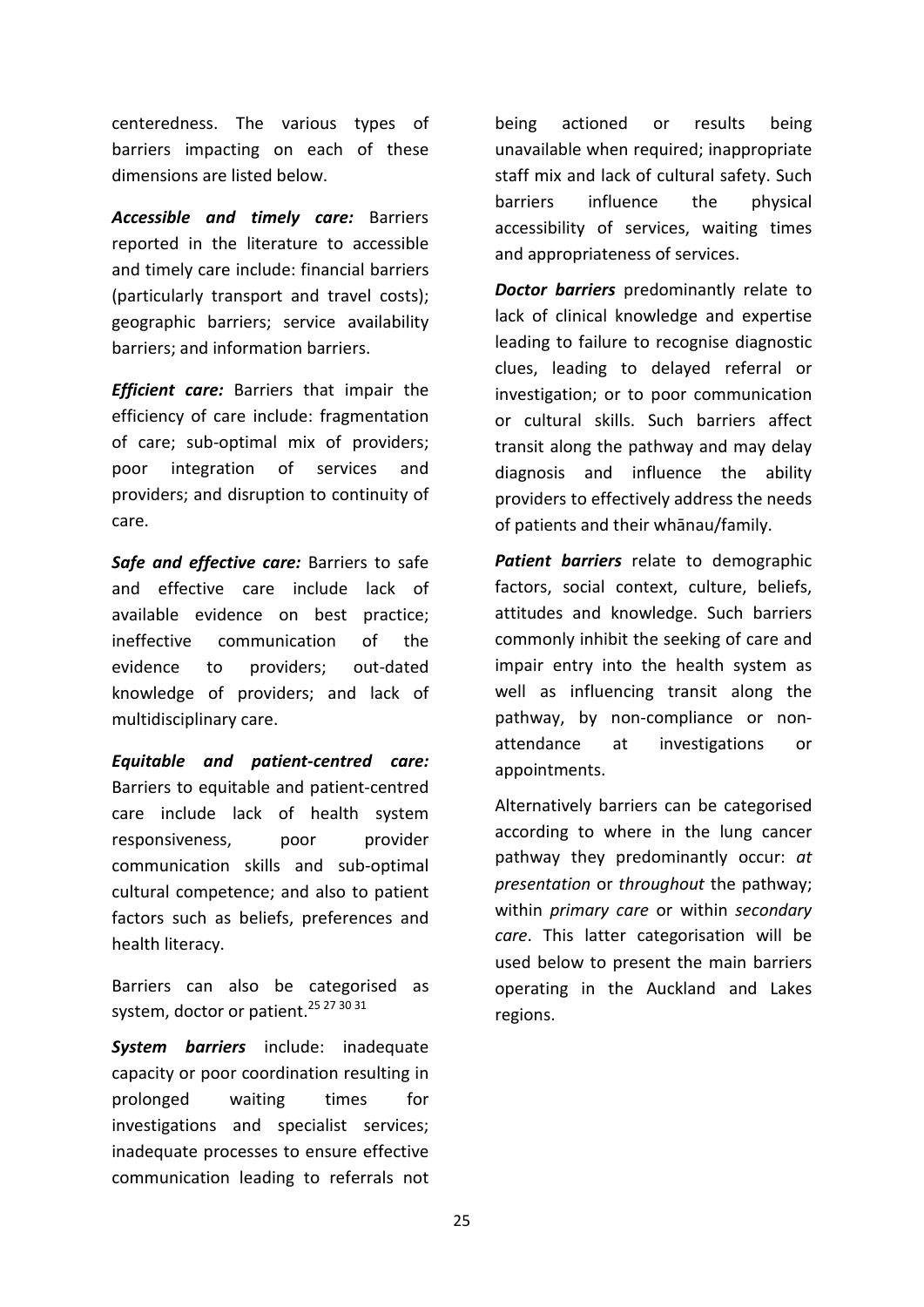centeredness. The various types of barriers impacting on each of these dimensions are listed below.

*Accessible and timely care:* Barriers reported in the literature to accessible and timely care include: financial barriers (particularly transport and travel costs); geographic barriers; service availability barriers; and information barriers.

*Efficient care:* Barriers that impair the efficiency of care include: fragmentation of care; sub-optimal mix of providers; poor integration of services and providers; and disruption to continuity of care.

*Safe and effective care:* Barriers to safe and effective care include lack of available evidence on best practice; ineffective communication of the evidence to providers; out-dated knowledge of providers; and lack of multidisciplinary care.

*Equitable and patient-centred care:*  Barriers to equitable and patient-centred care include lack of health system responsiveness, poor provider communication skills and sub-optimal cultural competence; and also to patient factors such as beliefs, preferences and health literacy.

Barriers can also be categorised as system, doctor or patient.<sup>25 27 30 31</sup>

*System barriers* include: inadequate capacity or poor coordination resulting in prolonged waiting times for investigations and specialist services; inadequate processes to ensure effective communication leading to referrals not being actioned or results being unavailable when required; inappropriate staff mix and lack of cultural safety. Such barriers influence the physical accessibility of services, waiting times and appropriateness of services.

*Doctor barriers* predominantly relate to lack of clinical knowledge and expertise leading to failure to recognise diagnostic clues, leading to delayed referral or investigation; or to poor communication or cultural skills. Such barriers affect transit along the pathway and may delay diagnosis and influence the ability providers to effectively address the needs of patients and their whānau/family.

*Patient barriers* relate to demographic factors, social context, culture, beliefs, attitudes and knowledge. Such barriers commonly inhibit the seeking of care and impair entry into the health system as well as influencing transit along the pathway, by non-compliance or nonattendance at investigations or appointments.

Alternatively barriers can be categorised according to where in the lung cancer pathway they predominantly occur: *at presentation* or *throughout* the pathway; within *primary care* or within *secondary care*. This latter categorisation will be used below to present the main barriers operating in the Auckland and Lakes regions.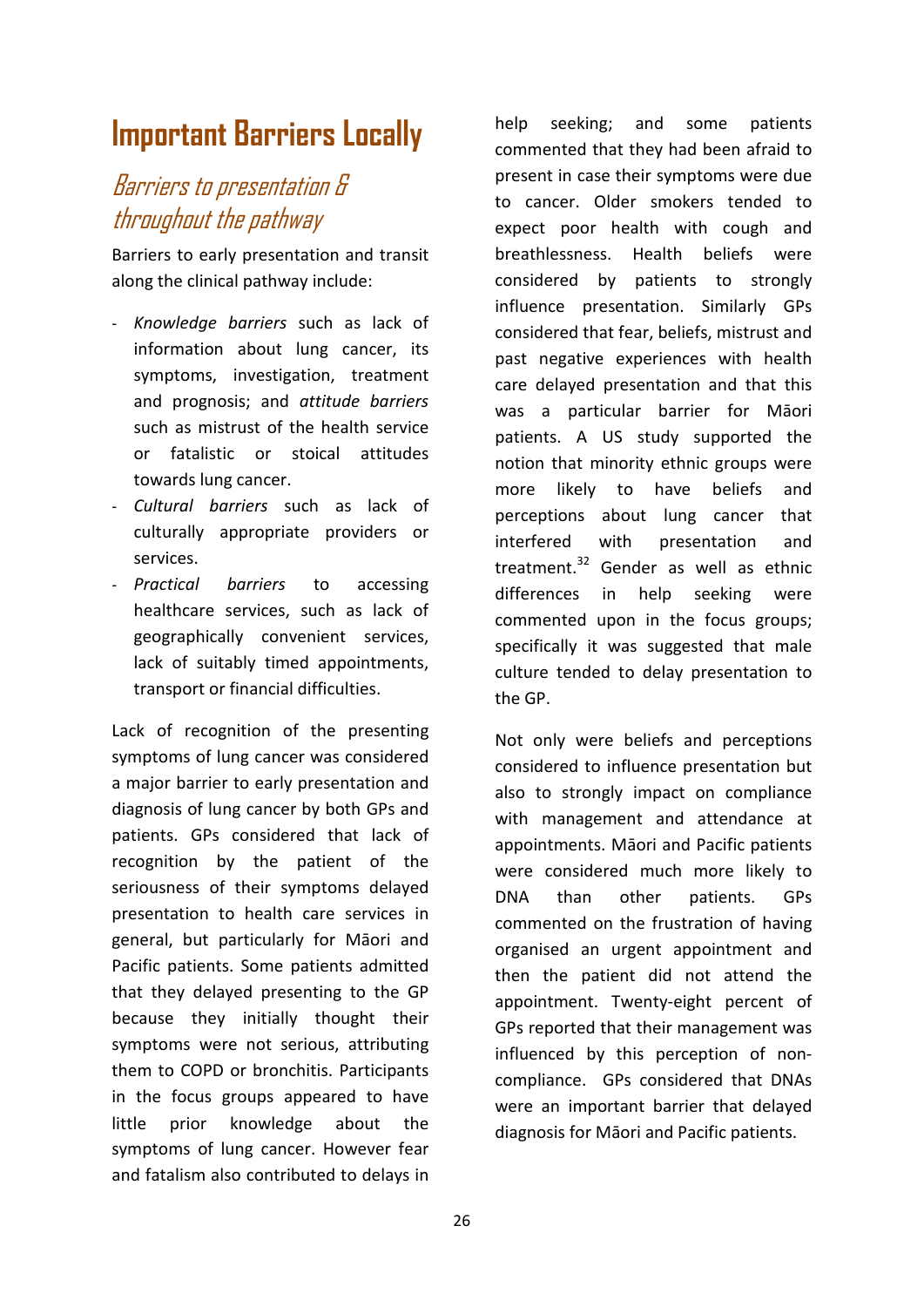## **Important Barriers Locally**

### Barriers to presentation & throughout the pathway

Barriers to early presentation and transit along the clinical pathway include:

- *Knowledge barriers* such as lack of information about lung cancer, its symptoms, investigation, treatment and prognosis; and *attitude barriers* such as mistrust of the health service or fatalistic or stoical attitudes towards lung cancer.
- *Cultural barriers* such as lack of culturally appropriate providers or services.
- *Practical barriers* to accessing healthcare services, such as lack of geographically convenient services, lack of suitably timed appointments, transport or financial difficulties.

Lack of recognition of the presenting symptoms of lung cancer was considered a major barrier to early presentation and diagnosis of lung cancer by both GPs and patients. GPs considered that lack of recognition by the patient of the seriousness of their symptoms delayed presentation to health care services in general, but particularly for Māori and Pacific patients. Some patients admitted that they delayed presenting to the GP because they initially thought their symptoms were not serious, attributing them to COPD or bronchitis. Participants in the focus groups appeared to have little prior knowledge about the symptoms of lung cancer. However fear and fatalism also contributed to delays in

help seeking; and some patients commented that they had been afraid to present in case their symptoms were due to cancer. Older smokers tended to expect poor health with cough and breathlessness. Health beliefs were considered by patients to strongly influence presentation. Similarly GPs considered that fear, beliefs, mistrust and past negative experiences with health care delayed presentation and that this was a particular barrier for Māori patients. A US study supported the notion that minority ethnic groups were more likely to have beliefs and perceptions about lung cancer that interfered with presentation and treatment.<sup>32</sup> Gender as well as ethnic differences in help seeking were commented upon in the focus groups; specifically it was suggested that male culture tended to delay presentation to the GP.

Not only were beliefs and perceptions considered to influence presentation but also to strongly impact on compliance with management and attendance at appointments. Māori and Pacific patients were considered much more likely to DNA than other patients. GPs commented on the frustration of having organised an urgent appointment and then the patient did not attend the appointment. Twenty-eight percent of GPs reported that their management was influenced by this perception of noncompliance. GPs considered that DNAs were an important barrier that delayed diagnosis for Māori and Pacific patients.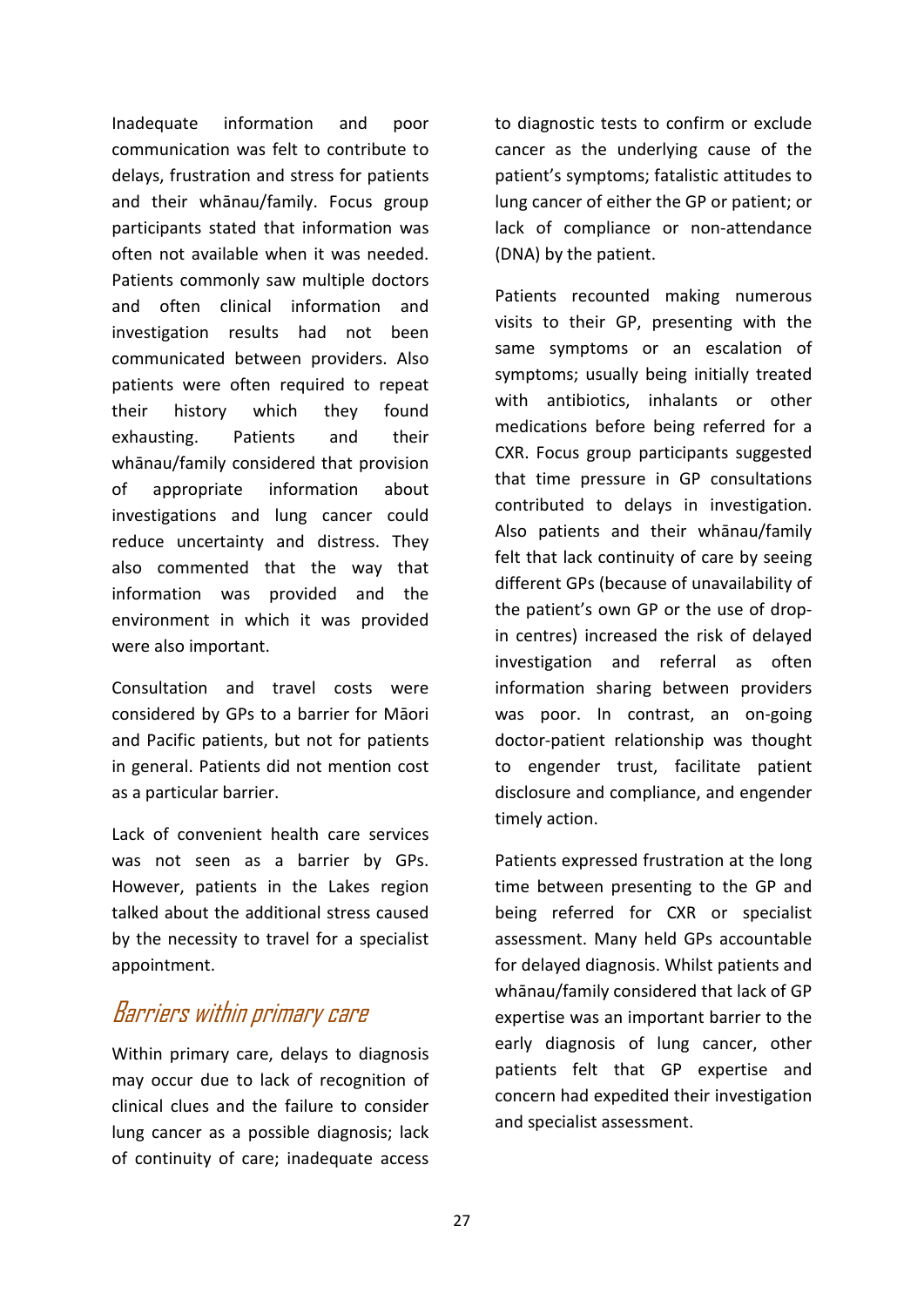Inadequate information and poor communication was felt to contribute to delays, frustration and stress for patients and their whānau/family. Focus group participants stated that information was often not available when it was needed. Patients commonly saw multiple doctors and often clinical information and investigation results had not been communicated between providers. Also patients were often required to repeat their history which they found exhausting. Patients and their whānau/family considered that provision of appropriate information about investigations and lung cancer could reduce uncertainty and distress. They also commented that the way that information was provided and the environment in which it was provided were also important.

Consultation and travel costs were considered by GPs to a barrier for Māori and Pacific patients, but not for patients in general. Patients did not mention cost as a particular barrier.

Lack of convenient health care services was not seen as a barrier by GPs. However, patients in the Lakes region talked about the additional stress caused by the necessity to travel for a specialist appointment.

### Barriers within primary care

Within primary care, delays to diagnosis may occur due to lack of recognition of clinical clues and the failure to consider lung cancer as a possible diagnosis; lack of continuity of care; inadequate access

to diagnostic tests to confirm or exclude cancer as the underlying cause of the patient's symptoms; fatalistic attitudes to lung cancer of either the GP or patient; or lack of compliance or non-attendance (DNA) by the patient.

Patients recounted making numerous visits to their GP, presenting with the same symptoms or an escalation of symptoms; usually being initially treated with antibiotics, inhalants or other medications before being referred for a CXR. Focus group participants suggested that time pressure in GP consultations contributed to delays in investigation. Also patients and their whānau/family felt that lack continuity of care by seeing different GPs (because of unavailability of the patient's own GP or the use of dropin centres) increased the risk of delayed investigation and referral as often information sharing between providers was poor. In contrast, an on-going doctor-patient relationship was thought to engender trust, facilitate patient disclosure and compliance, and engender timely action.

Patients expressed frustration at the long time between presenting to the GP and being referred for CXR or specialist assessment. Many held GPs accountable for delayed diagnosis. Whilst patients and whānau/family considered that lack of GP expertise was an important barrier to the early diagnosis of lung cancer, other patients felt that GP expertise and concern had expedited their investigation and specialist assessment.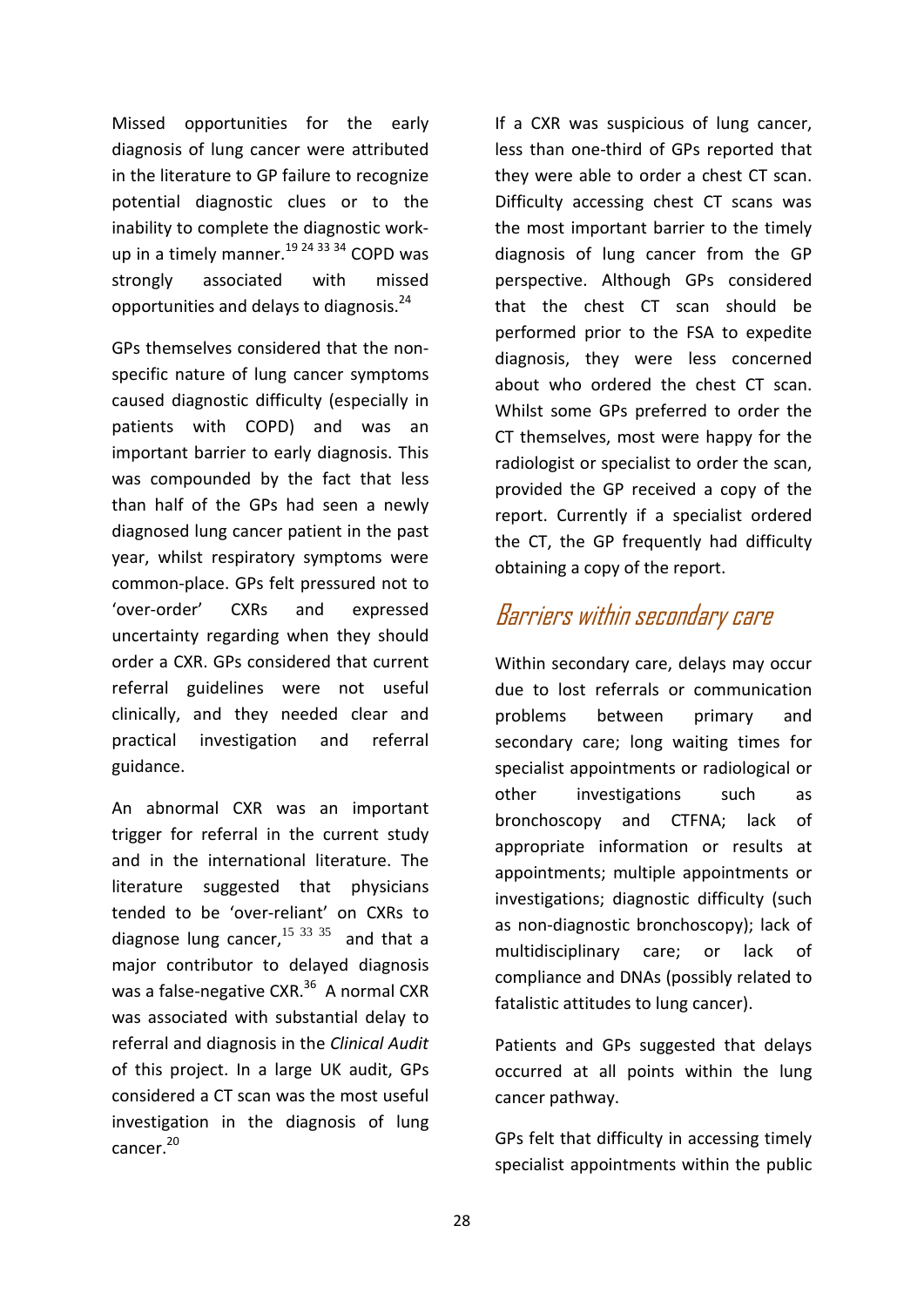Missed opportunities for the early diagnosis of lung cancer were attributed in the literature to GP failure to recognize potential diagnostic clues or to the inability to complete the diagnostic workup in a timely manner.<sup>19 24 33 34</sup> COPD was strongly associated with missed opportunities and delays to diagnosis.<sup>24</sup>

GPs themselves considered that the nonspecific nature of lung cancer symptoms caused diagnostic difficulty (especially in patients with COPD) and was an important barrier to early diagnosis. This was compounded by the fact that less than half of the GPs had seen a newly diagnosed lung cancer patient in the past year, whilst respiratory symptoms were common-place. GPs felt pressured not to 'over-order' CXRs and expressed uncertainty regarding when they should order a CXR. GPs considered that current referral guidelines were not useful clinically, and they needed clear and practical investigation and referral guidance.

An abnormal CXR was an important trigger for referral in the current study and in the international literature. The literature suggested that physicians tended to be 'over-reliant' on CXRs to diagnose lung cancer,  $15$  33 35 and that a major contributor to delayed diagnosis was a false-negative  $CXR<sup>36</sup>$  A normal CXR was associated with substantial delay to referral and diagnosis in the *Clinical Audit* of this project. In a large UK audit, GPs considered a CT scan was the most useful investigation in the diagnosis of lung cancer.20

If a CXR was suspicious of lung cancer, less than one-third of GPs reported that they were able to order a chest CT scan. Difficulty accessing chest CT scans was the most important barrier to the timely diagnosis of lung cancer from the GP perspective. Although GPs considered that the chest CT scan should be performed prior to the FSA to expedite diagnosis, they were less concerned about who ordered the chest CT scan. Whilst some GPs preferred to order the CT themselves, most were happy for the radiologist or specialist to order the scan, provided the GP received a copy of the report. Currently if a specialist ordered the CT, the GP frequently had difficulty obtaining a copy of the report.

### Barriers within secondary care

Within secondary care, delays may occur due to lost referrals or communication problems between primary and secondary care; long waiting times for specialist appointments or radiological or other investigations such as bronchoscopy and CTFNA; lack of appropriate information or results at appointments; multiple appointments or investigations; diagnostic difficulty (such as non-diagnostic bronchoscopy); lack of multidisciplinary care; or lack of compliance and DNAs (possibly related to fatalistic attitudes to lung cancer).

Patients and GPs suggested that delays occurred at all points within the lung cancer pathway.

GPs felt that difficulty in accessing timely specialist appointments within the public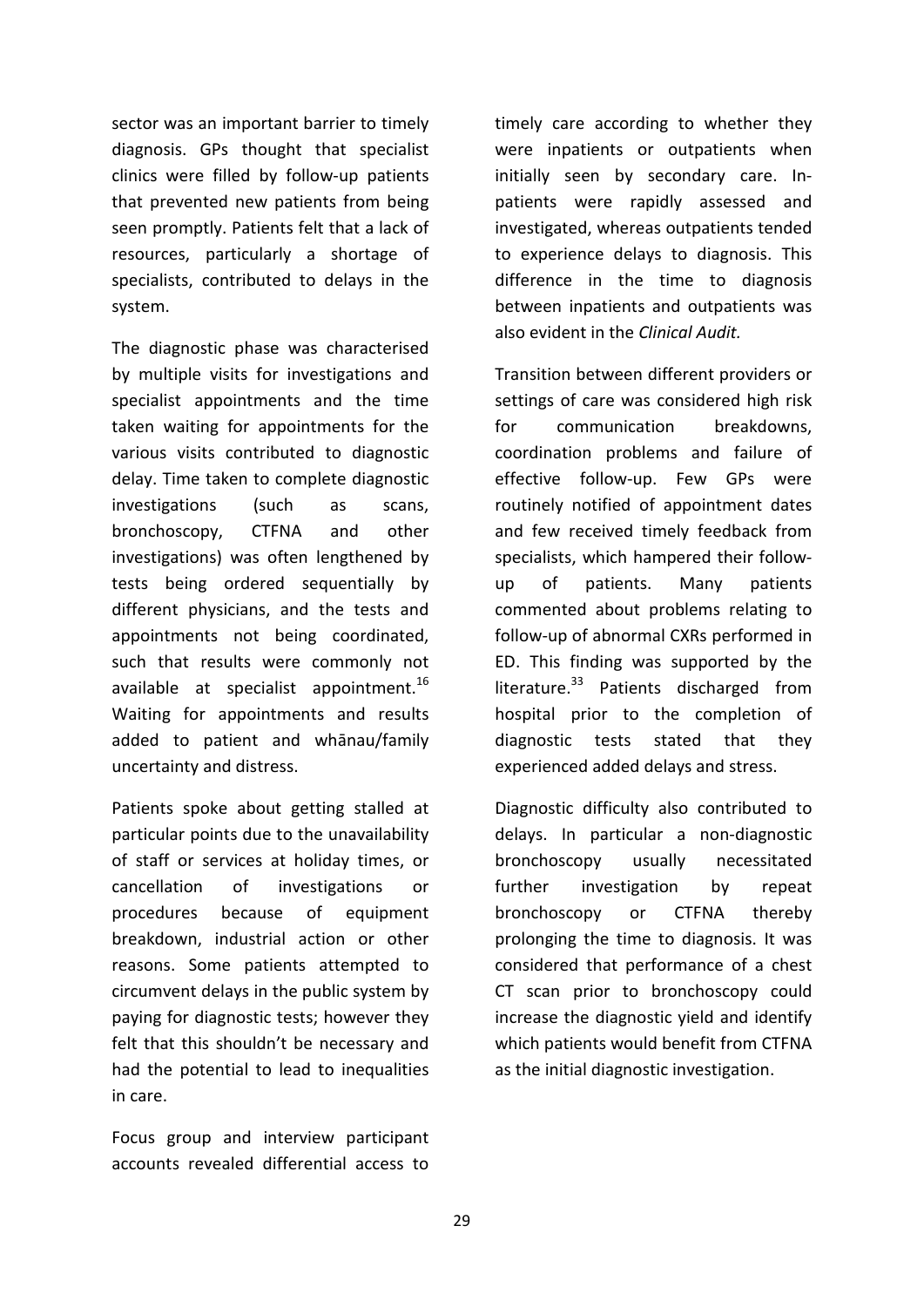sector was an important barrier to timely diagnosis. GPs thought that specialist clinics were filled by follow-up patients that prevented new patients from being seen promptly. Patients felt that a lack of resources, particularly a shortage of specialists, contributed to delays in the system.

The diagnostic phase was characterised by multiple visits for investigations and specialist appointments and the time taken waiting for appointments for the various visits contributed to diagnostic delay. Time taken to complete diagnostic investigations (such as scans, bronchoscopy, CTFNA and other investigations) was often lengthened by tests being ordered sequentially by different physicians, and the tests and appointments not being coordinated, such that results were commonly not available at specialist appointment.<sup>16</sup> Waiting for appointments and results added to patient and whānau/family uncertainty and distress.

Patients spoke about getting stalled at particular points due to the unavailability of staff or services at holiday times, or cancellation of investigations or procedures because of equipment breakdown, industrial action or other reasons. Some patients attempted to circumvent delays in the public system by paying for diagnostic tests; however they felt that this shouldn't be necessary and had the potential to lead to inequalities in care.

Focus group and interview participant accounts revealed differential access to timely care according to whether they were inpatients or outpatients when initially seen by secondary care. Inpatients were rapidly assessed and investigated, whereas outpatients tended to experience delays to diagnosis. This difference in the time to diagnosis between inpatients and outpatients was also evident in the *Clinical Audit.*

Transition between different providers or settings of care was considered high risk for communication breakdowns, coordination problems and failure of effective follow-up. Few GPs were routinely notified of appointment dates and few received timely feedback from specialists, which hampered their followup of patients. Many patients commented about problems relating to follow-up of abnormal CXRs performed in ED. This finding was supported by the literature. $33$  Patients discharged from hospital prior to the completion of diagnostic tests stated that they experienced added delays and stress.

Diagnostic difficulty also contributed to delays. In particular a non-diagnostic bronchoscopy usually necessitated further investigation by repeat bronchoscopy or CTFNA thereby prolonging the time to diagnosis. It was considered that performance of a chest CT scan prior to bronchoscopy could increase the diagnostic yield and identify which patients would benefit from CTFNA as the initial diagnostic investigation.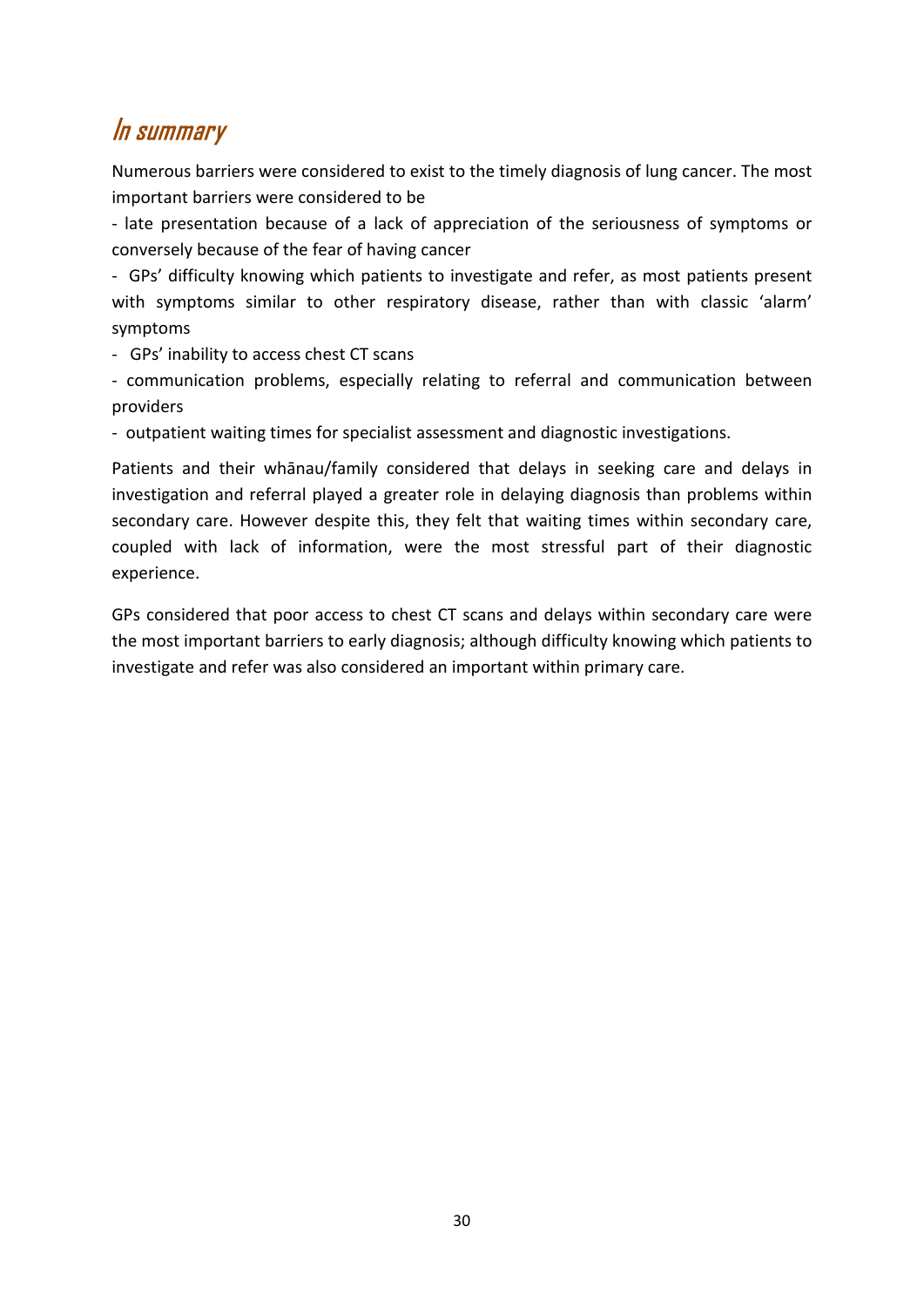### In summary

Numerous barriers were considered to exist to the timely diagnosis of lung cancer. The most important barriers were considered to be

- late presentation because of a lack of appreciation of the seriousness of symptoms or conversely because of the fear of having cancer

- GPs' difficulty knowing which patients to investigate and refer, as most patients present with symptoms similar to other respiratory disease, rather than with classic 'alarm' symptoms

- GPs' inability to access chest CT scans

- communication problems, especially relating to referral and communication between providers

- outpatient waiting times for specialist assessment and diagnostic investigations.

Patients and their whānau/family considered that delays in seeking care and delays in investigation and referral played a greater role in delaying diagnosis than problems within secondary care. However despite this, they felt that waiting times within secondary care, coupled with lack of information, were the most stressful part of their diagnostic experience.

GPs considered that poor access to chest CT scans and delays within secondary care were the most important barriers to early diagnosis; although difficulty knowing which patients to investigate and refer was also considered an important within primary care.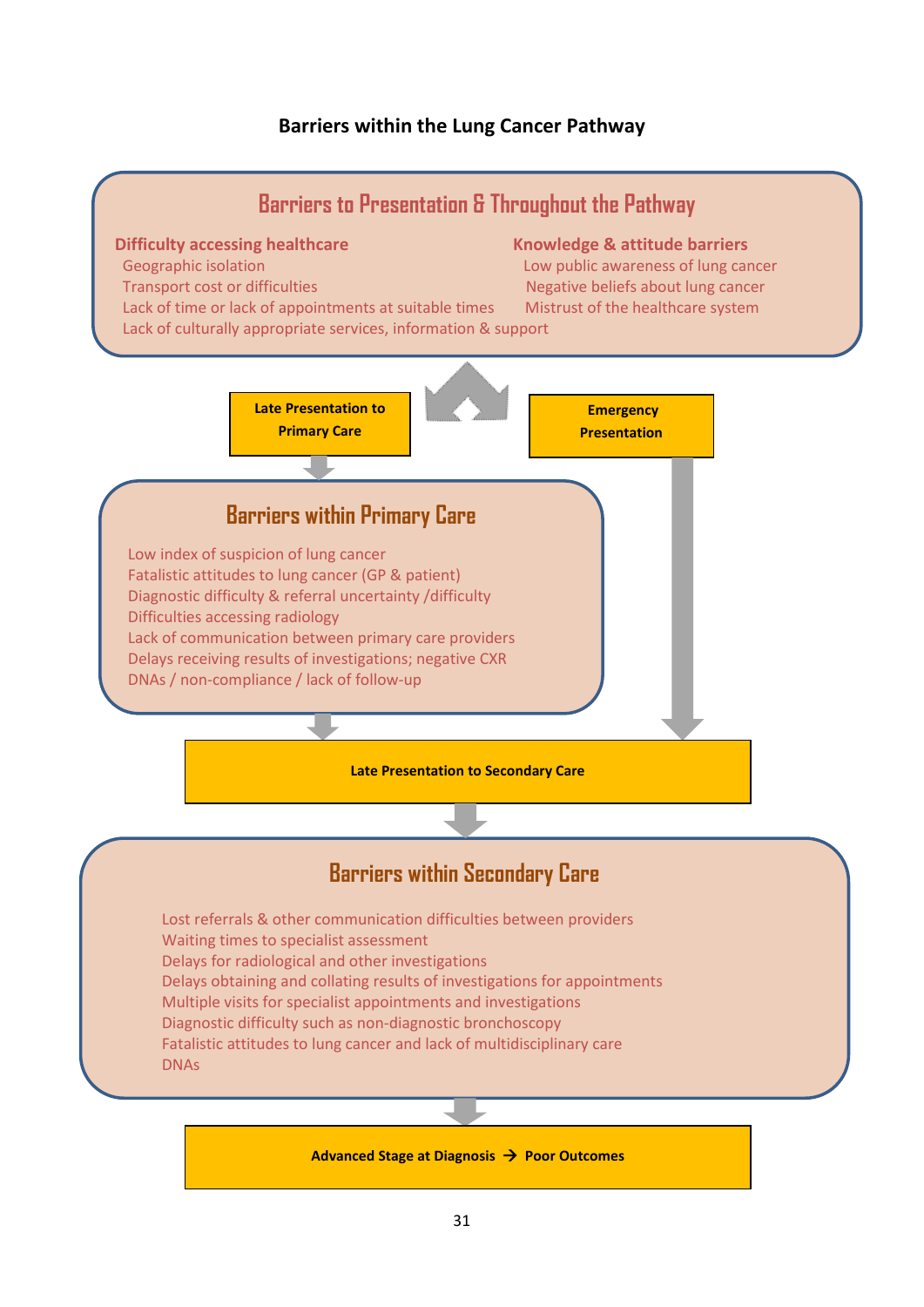#### **Barriers within the Lung Cancer Pathway**

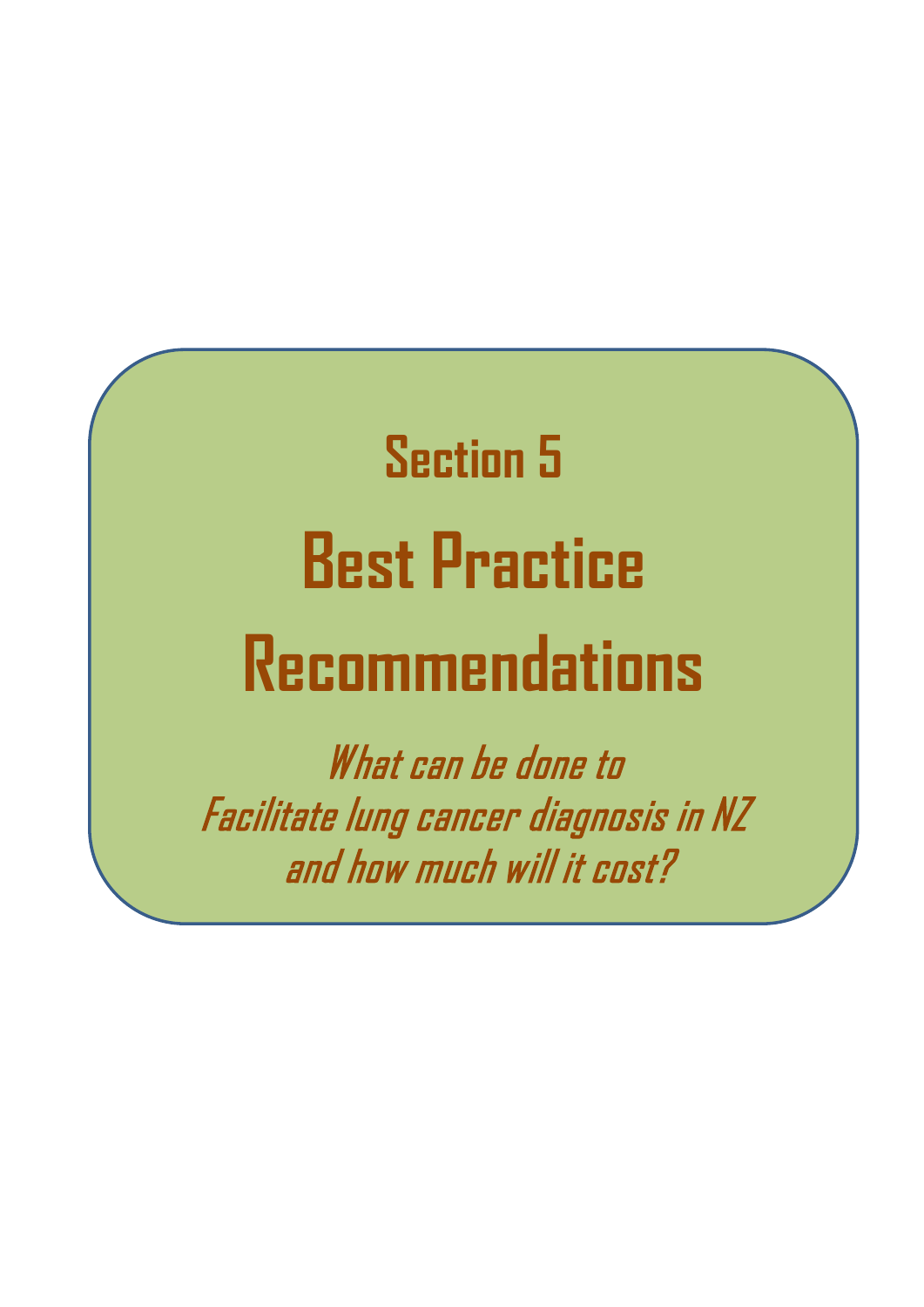# **Section 5 Best Practice Recommendations**

What can be done to Facilitate lung cancer diagnosis in NZ and how much will it cost?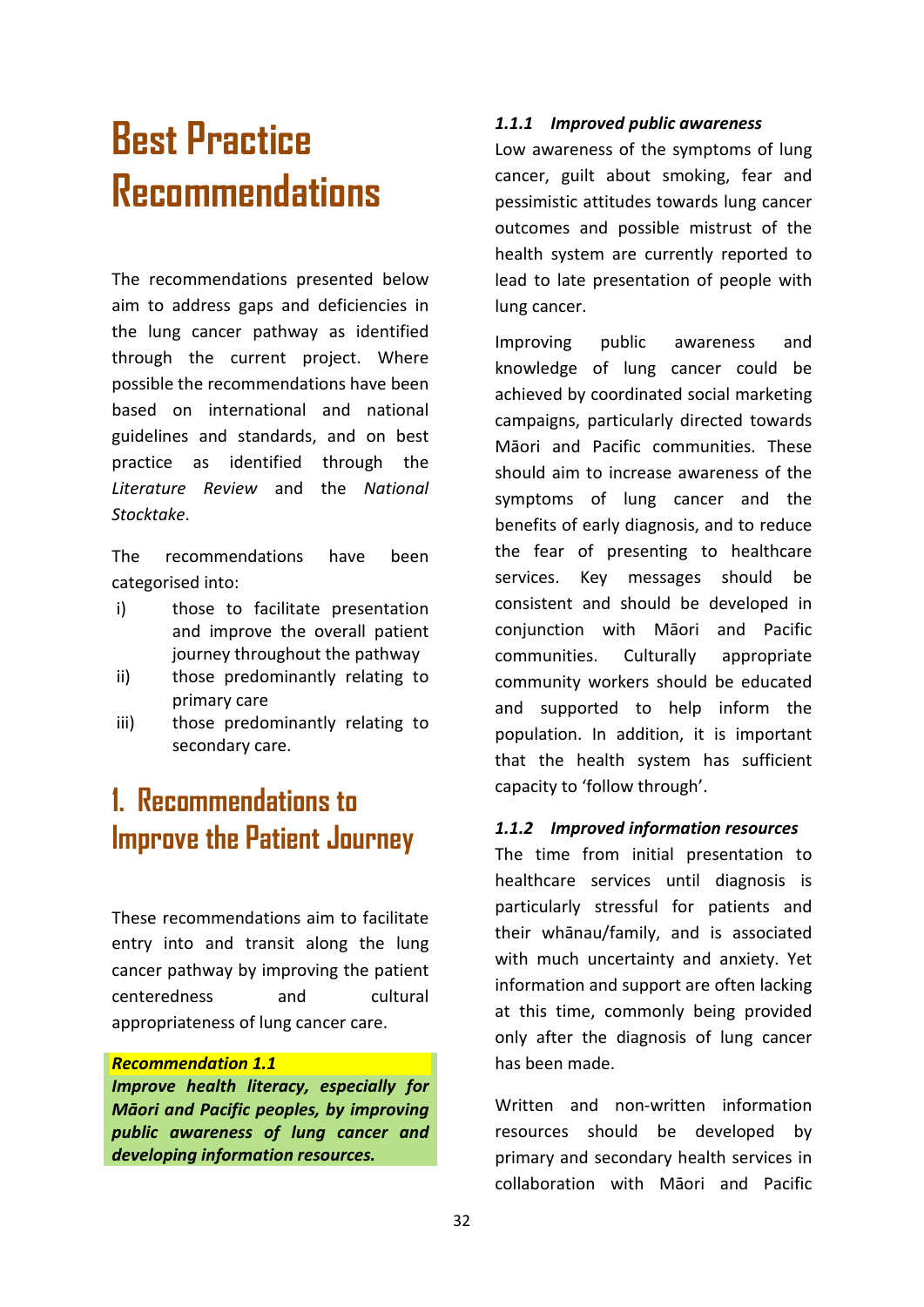## **Best Practice Recommendations**

The recommendations presented below aim to address gaps and deficiencies in the lung cancer pathway as identified through the current project. Where possible the recommendations have been based on international and national guidelines and standards, and on best practice as identified through the *Literature Review* and the *National Stocktake*.

The recommendations have been categorised into:

- i) those to facilitate presentation and improve the overall patient journey throughout the pathway
- ii) those predominantly relating to primary care
- iii) those predominantly relating to secondary care.

## **1. Recommendations to Improve the Patient Journey**

These recommendations aim to facilitate entry into and transit along the lung cancer pathway by improving the patient centeredness and cultural appropriateness of lung cancer care.

#### *Recommendation 1.1*

*Improve health literacy, especially for Māori and Pacific peoples, by improving public awareness of lung cancer and developing information resources.*

#### *1.1.1 Improved public awareness*

Low awareness of the symptoms of lung cancer, guilt about smoking, fear and pessimistic attitudes towards lung cancer outcomes and possible mistrust of the health system are currently reported to lead to late presentation of people with lung cancer.

Improving public awareness and knowledge of lung cancer could be achieved by coordinated social marketing campaigns, particularly directed towards Māori and Pacific communities. These should aim to increase awareness of the symptoms of lung cancer and the benefits of early diagnosis, and to reduce the fear of presenting to healthcare services. Key messages should be consistent and should be developed in conjunction with Māori and Pacific communities. Culturally appropriate community workers should be educated and supported to help inform the population. In addition, it is important that the health system has sufficient capacity to 'follow through'.

#### *1.1.2 Improved information resources*

The time from initial presentation to healthcare services until diagnosis is particularly stressful for patients and their whānau/family, and is associated with much uncertainty and anxiety. Yet information and support are often lacking at this time, commonly being provided only after the diagnosis of lung cancer has been made.

Written and non-written information resources should be developed by primary and secondary health services in collaboration with Māori and Pacific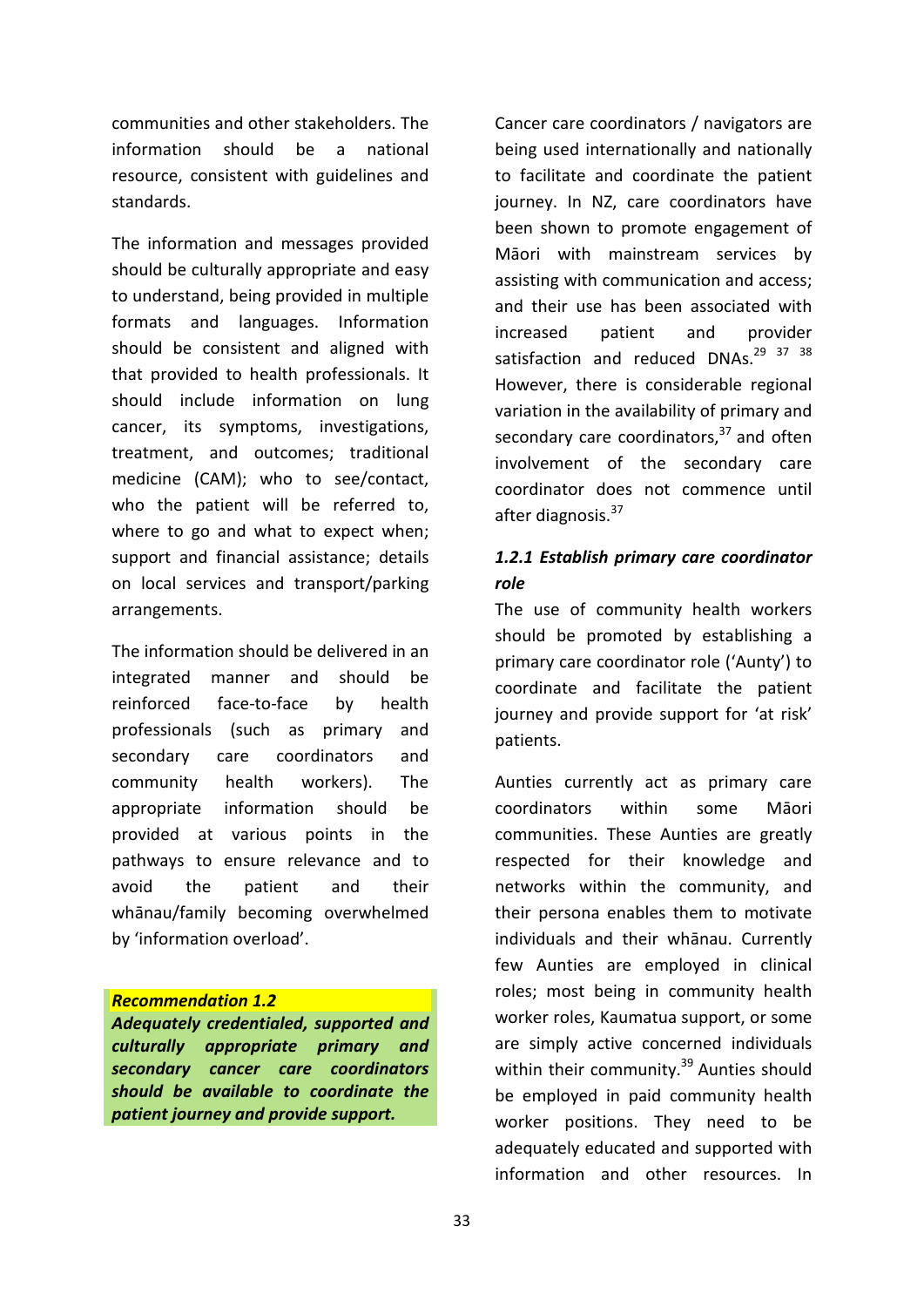communities and other stakeholders. The information should be a national resource, consistent with guidelines and standards.

The information and messages provided should be culturally appropriate and easy to understand, being provided in multiple formats and languages. Information should be consistent and aligned with that provided to health professionals. It should include information on lung cancer, its symptoms, investigations, treatment, and outcomes; traditional medicine (CAM); who to see/contact, who the patient will be referred to, where to go and what to expect when; support and financial assistance; details on local services and transport/parking arrangements.

The information should be delivered in an integrated manner and should be reinforced face-to-face by health professionals (such as primary and secondary care coordinators and community health workers). The appropriate information should be provided at various points in the pathways to ensure relevance and to avoid the patient and their whānau/family becoming overwhelmed by 'information overload'.

#### *Recommendation 1.2*

*Adequately credentialed, supported and culturally appropriate primary and secondary cancer care coordinators should be available to coordinate the patient journey and provide support.*

Cancer care coordinators / navigators are being used internationally and nationally to facilitate and coordinate the patient journey. In NZ, care coordinators have been shown to promote engagement of Māori with mainstream services by assisting with communication and access; and their use has been associated with increased patient and provider satisfaction and reduced DNAs.<sup>29</sup> <sup>37</sup> <sup>38</sup> However, there is considerable regional variation in the availability of primary and secondary care coordinators, $37$  and often involvement of the secondary care coordinator does not commence until after diagnosis.<sup>37</sup>

#### *1.2.1 Establish primary care coordinator role*

The use of community health workers should be promoted by establishing a primary care coordinator role ('Aunty') to coordinate and facilitate the patient journey and provide support for 'at risk' patients.

Aunties currently act as primary care coordinators within some Māori communities. These Aunties are greatly respected for their knowledge and networks within the community, and their persona enables them to motivate individuals and their whānau. Currently few Aunties are employed in clinical roles; most being in community health worker roles, Kaumatua support, or some are simply active concerned individuals within their community.<sup>39</sup> Aunties should be employed in paid community health worker positions. They need to be adequately educated and supported with information and other resources. In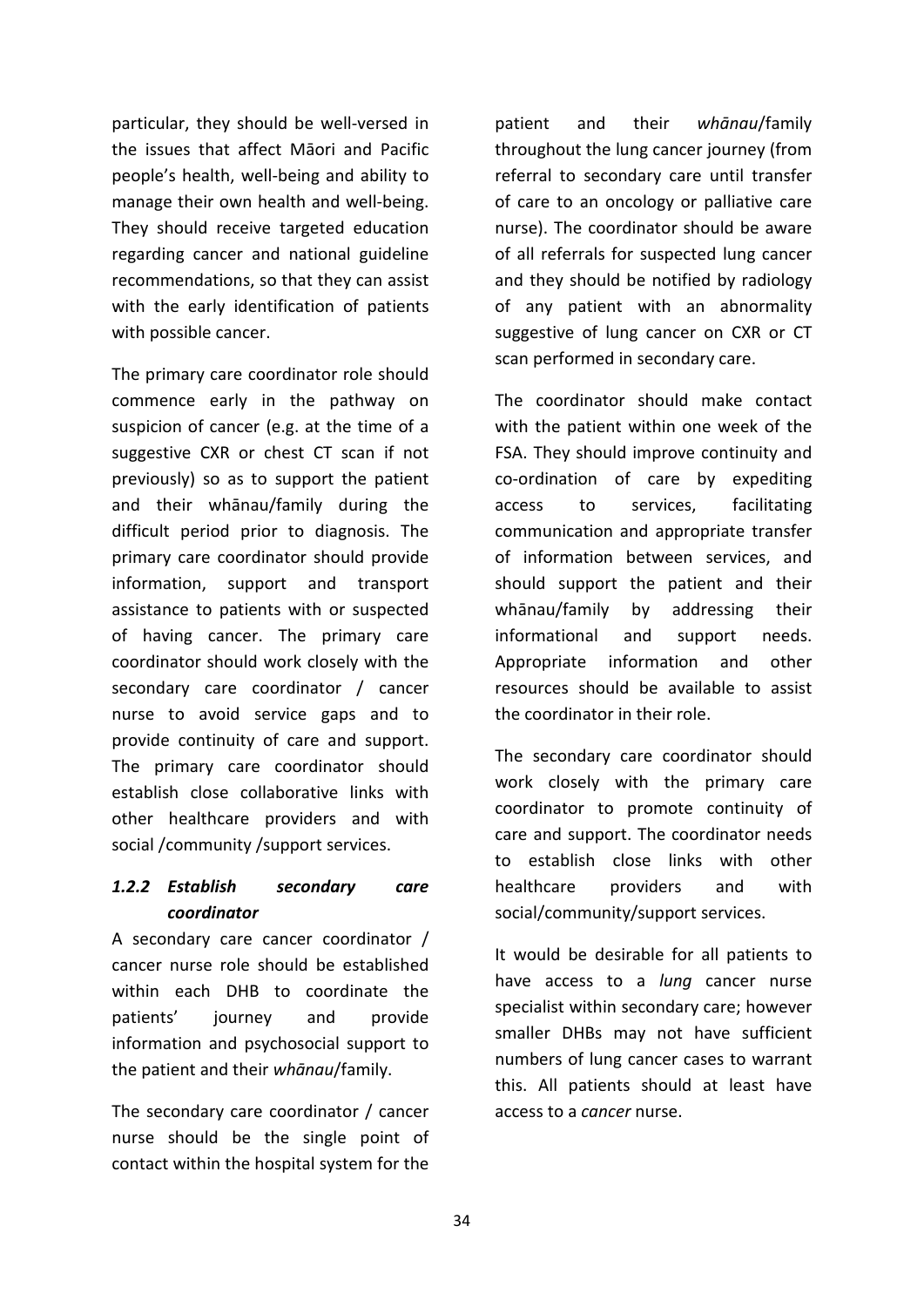particular, they should be well-versed in the issues that affect Māori and Pacific people's health, well-being and ability to manage their own health and well-being. They should receive targeted education regarding cancer and national guideline recommendations, so that they can assist with the early identification of patients with possible cancer.

The primary care coordinator role should commence early in the pathway on suspicion of cancer (e.g. at the time of a suggestive CXR or chest CT scan if not previously) so as to support the patient and their whānau/family during the difficult period prior to diagnosis. The primary care coordinator should provide information, support and transport assistance to patients with or suspected of having cancer. The primary care coordinator should work closely with the secondary care coordinator / cancer nurse to avoid service gaps and to provide continuity of care and support. The primary care coordinator should establish close collaborative links with other healthcare providers and with social /community /support services.

#### *1.2.2 Establish secondary care coordinator*

A secondary care cancer coordinator / cancer nurse role should be established within each DHB to coordinate the patients' journey and provide information and psychosocial support to the patient and their *whānau*/family.

The secondary care coordinator / cancer nurse should be the single point of contact within the hospital system for the patient and their *whānau*/family throughout the lung cancer journey (from referral to secondary care until transfer of care to an oncology or palliative care nurse). The coordinator should be aware of all referrals for suspected lung cancer and they should be notified by radiology of any patient with an abnormality suggestive of lung cancer on CXR or CT scan performed in secondary care.

The coordinator should make contact with the patient within one week of the FSA. They should improve continuity and co-ordination of care by expediting access to services, facilitating communication and appropriate transfer of information between services, and should support the patient and their whānau/family by addressing their informational and support needs. Appropriate information and other resources should be available to assist the coordinator in their role.

The secondary care coordinator should work closely with the primary care coordinator to promote continuity of care and support. The coordinator needs to establish close links with other healthcare providers and with social/community/support services.

It would be desirable for all patients to have access to a *lung* cancer nurse specialist within secondary care; however smaller DHBs may not have sufficient numbers of lung cancer cases to warrant this. All patients should at least have access to a *cancer* nurse.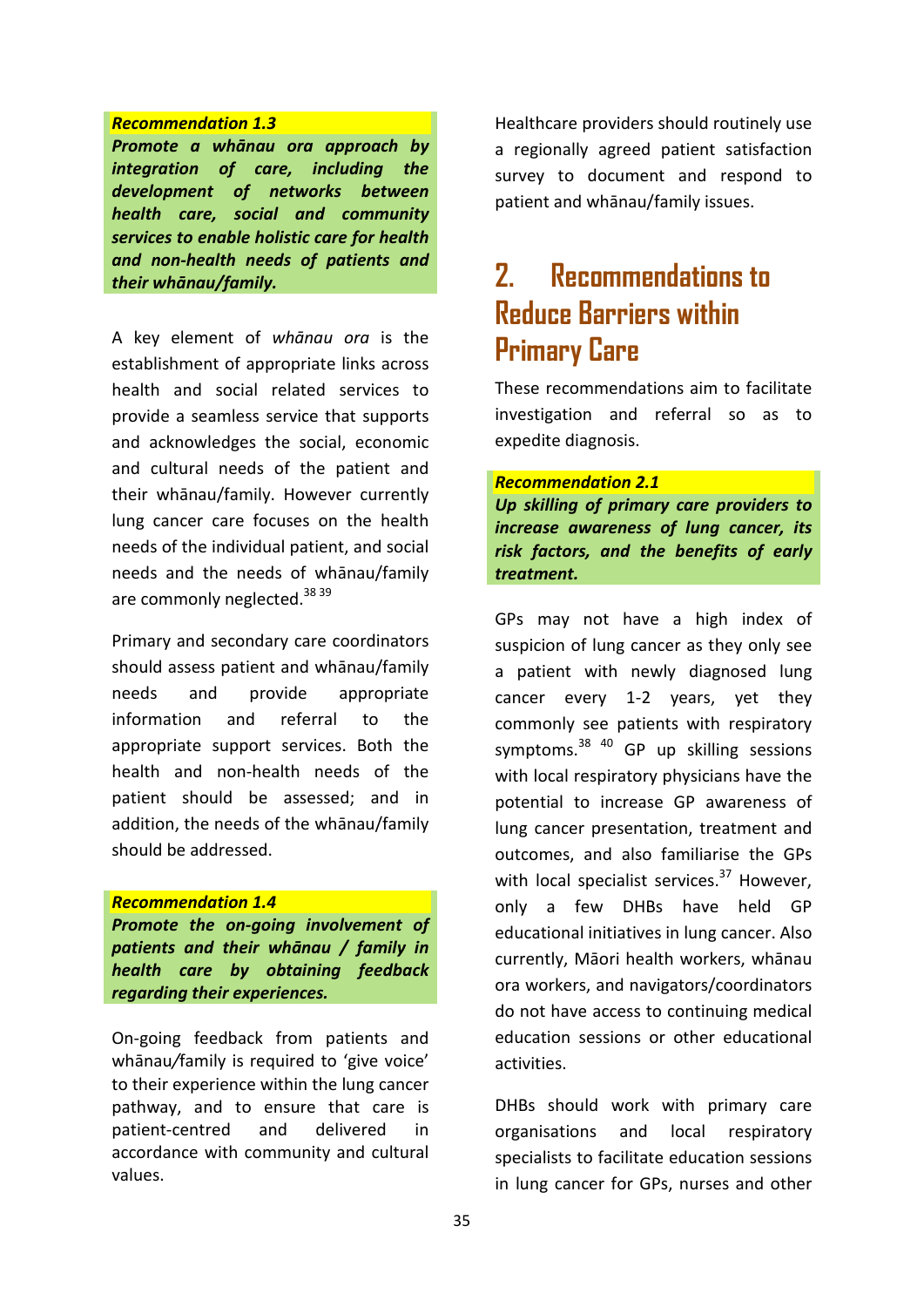#### *Recommendation 1.3*

*Promote a whānau ora approach by integration of care, including the development of networks between health care, social and community services to enable holistic care for health and non-health needs of patients and their whānau/family.*

A key element of *whānau ora* is the establishment of appropriate links across health and social related services to provide a seamless service that supports and acknowledges the social, economic and cultural needs of the patient and their whānau/family. However currently lung cancer care focuses on the health needs of the individual patient, and social needs and the needs of whānau/family are commonly neglected.<sup>38 39</sup>

Primary and secondary care coordinators should assess patient and whānau/family needs and provide appropriate information and referral to the appropriate support services. Both the health and non-health needs of the patient should be assessed; and in addition, the needs of the whānau/family should be addressed.

#### *Recommendation 1.4*

*Promote the on-going involvement of patients and their whānau / family in health care by obtaining feedback regarding their experiences.*

On-going feedback from patients and whānau*/*family is required to 'give voice' to their experience within the lung cancer pathway, and to ensure that care is patient-centred and delivered in accordance with community and cultural values.

Healthcare providers should routinely use a regionally agreed patient satisfaction survey to document and respond to patient and whānau/family issues.

## **2. Recommendations to Reduce Barriers within Primary Care**

These recommendations aim to facilitate investigation and referral so as to expedite diagnosis.

#### *Recommendation 2.1*

*Up skilling of primary care providers to increase awareness of lung cancer, its risk factors, and the benefits of early treatment.*

GPs may not have a high index of suspicion of lung cancer as they only see a patient with newly diagnosed lung cancer every 1-2 years, yet they commonly see patients with respiratory symptoms.38 40 GP up skilling sessions with local respiratory physicians have the potential to increase GP awareness of lung cancer presentation, treatment and outcomes, and also familiarise the GPs with local specialist services.<sup>37</sup> However, only a few DHBs have held GP educational initiatives in lung cancer. Also currently, Māori health workers, whānau ora workers, and navigators/coordinators do not have access to continuing medical education sessions or other educational activities.

DHBs should work with primary care organisations and local respiratory specialists to facilitate education sessions in lung cancer for GPs, nurses and other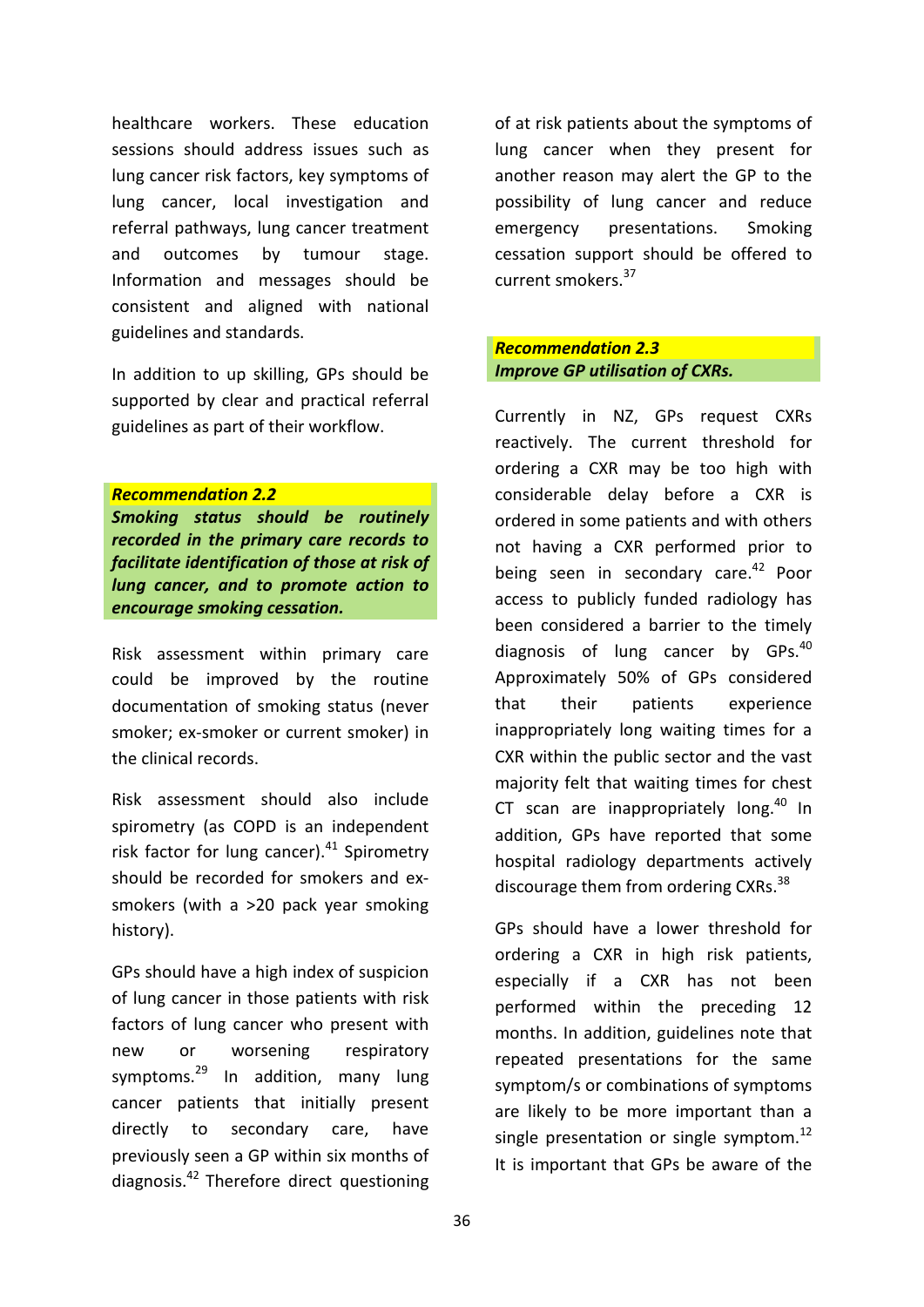healthcare workers. These education sessions should address issues such as lung cancer risk factors, key symptoms of lung cancer, local investigation and referral pathways, lung cancer treatment and outcomes by tumour stage. Information and messages should be consistent and aligned with national guidelines and standards.

In addition to up skilling, GPs should be supported by clear and practical referral guidelines as part of their workflow.

#### *Recommendation 2.2*

*Smoking status should be routinely recorded in the primary care records to facilitate identification of those at risk of lung cancer, and to promote action to encourage smoking cessation.*

Risk assessment within primary care could be improved by the routine documentation of smoking status (never smoker; ex-smoker or current smoker) in the clinical records.

Risk assessment should also include spirometry (as COPD is an independent risk factor for lung cancer). $41$  Spirometry should be recorded for smokers and exsmokers (with a >20 pack year smoking history).

GPs should have a high index of suspicion of lung cancer in those patients with risk factors of lung cancer who present with new or worsening respiratory symptoms. $^{29}$  In addition, many lung cancer patients that initially present directly to secondary care, have previously seen a GP within six months of diagnosis.42 Therefore direct questioning

of at risk patients about the symptoms of lung cancer when they present for another reason may alert the GP to the possibility of lung cancer and reduce emergency presentations. Smoking cessation support should be offered to current smokers.<sup>37</sup>

#### *Recommendation 2.3 Improve GP utilisation of CXRs.*

Currently in NZ, GPs request CXRs reactively. The current threshold for ordering a CXR may be too high with considerable delay before a CXR is ordered in some patients and with others not having a CXR performed prior to being seen in secondary care.<sup>42</sup> Poor access to publicly funded radiology has been considered a barrier to the timely diagnosis of lung cancer by GPs.<sup>40</sup> Approximately 50% of GPs considered that their patients experience inappropriately long waiting times for a CXR within the public sector and the vast majority felt that waiting times for chest CT scan are inappropriately  $\log^{40}$  In addition, GPs have reported that some hospital radiology departments actively discourage them from ordering CXRs.<sup>38</sup>

GPs should have a lower threshold for ordering a CXR in high risk patients, especially if a CXR has not been performed within the preceding 12 months. In addition, guidelines note that repeated presentations for the same symptom/s or combinations of symptoms are likely to be more important than a single presentation or single symptom.<sup>12</sup> It is important that GPs be aware of the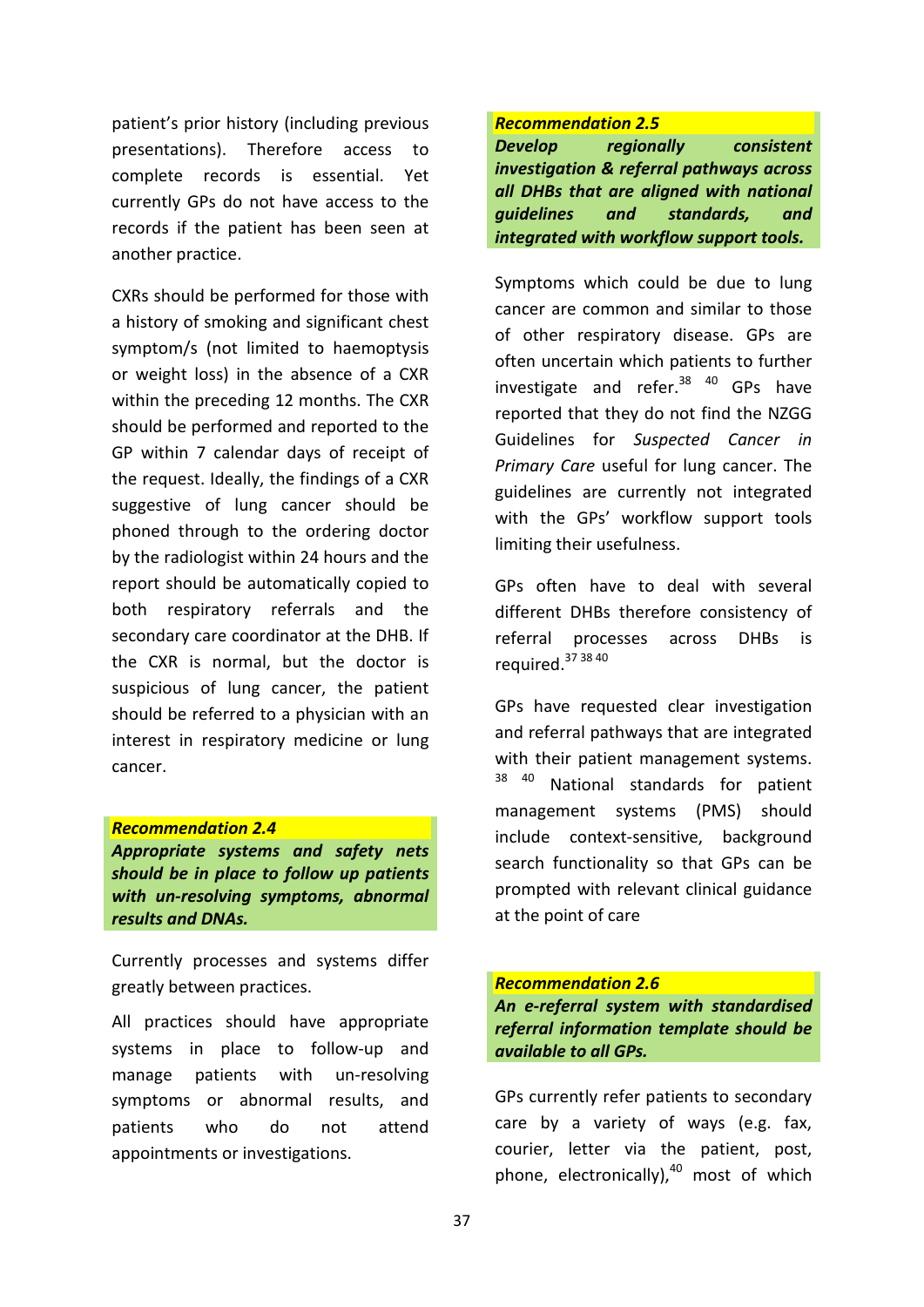patient's prior history (including previous presentations). Therefore access to complete records is essential. Yet currently GPs do not have access to the records if the patient has been seen at another practice.

CXRs should be performed for those with a history of smoking and significant chest symptom/s (not limited to haemoptysis or weight loss) in the absence of a CXR within the preceding 12 months. The CXR should be performed and reported to the GP within 7 calendar days of receipt of the request. Ideally, the findings of a CXR suggestive of lung cancer should be phoned through to the ordering doctor by the radiologist within 24 hours and the report should be automatically copied to both respiratory referrals and the secondary care coordinator at the DHB. If the CXR is normal, but the doctor is suspicious of lung cancer, the patient should be referred to a physician with an interest in respiratory medicine or lung cancer.

#### *Recommendation 2.4*

*Appropriate systems and safety nets should be in place to follow up patients with un-resolving symptoms, abnormal results and DNAs.*

Currently processes and systems differ greatly between practices.

All practices should have appropriate systems in place to follow-up and manage patients with un-resolving symptoms or abnormal results, and patients who do not attend appointments or investigations.

#### *Recommendation 2.5*

*Develop regionally consistent investigation & referral pathways across all DHBs that are aligned with national guidelines and standards, and integrated with workflow support tools.*

Symptoms which could be due to lung cancer are common and similar to those of other respiratory disease. GPs are often uncertain which patients to further investigate and refer. $38^{40}$  GPs have reported that they do not find the NZGG Guidelines for *Suspected Cancer in Primary Care* useful for lung cancer. The guidelines are currently not integrated with the GPs' workflow support tools limiting their usefulness.

GPs often have to deal with several different DHBs therefore consistency of referral processes across DHBs is required. 37 38 40

GPs have requested clear investigation and referral pathways that are integrated with their patient management systems. <sup>38 40</sup> National standards for patient management systems (PMS) should include context-sensitive, background search functionality so that GPs can be prompted with relevant clinical guidance at the point of care

*Recommendation 2.6 An e-referral system with standardised referral information template should be available to all GPs.*

GPs currently refer patients to secondary care by a variety of ways (e.g. fax, courier, letter via the patient, post, phone, electronically), $40$  most of which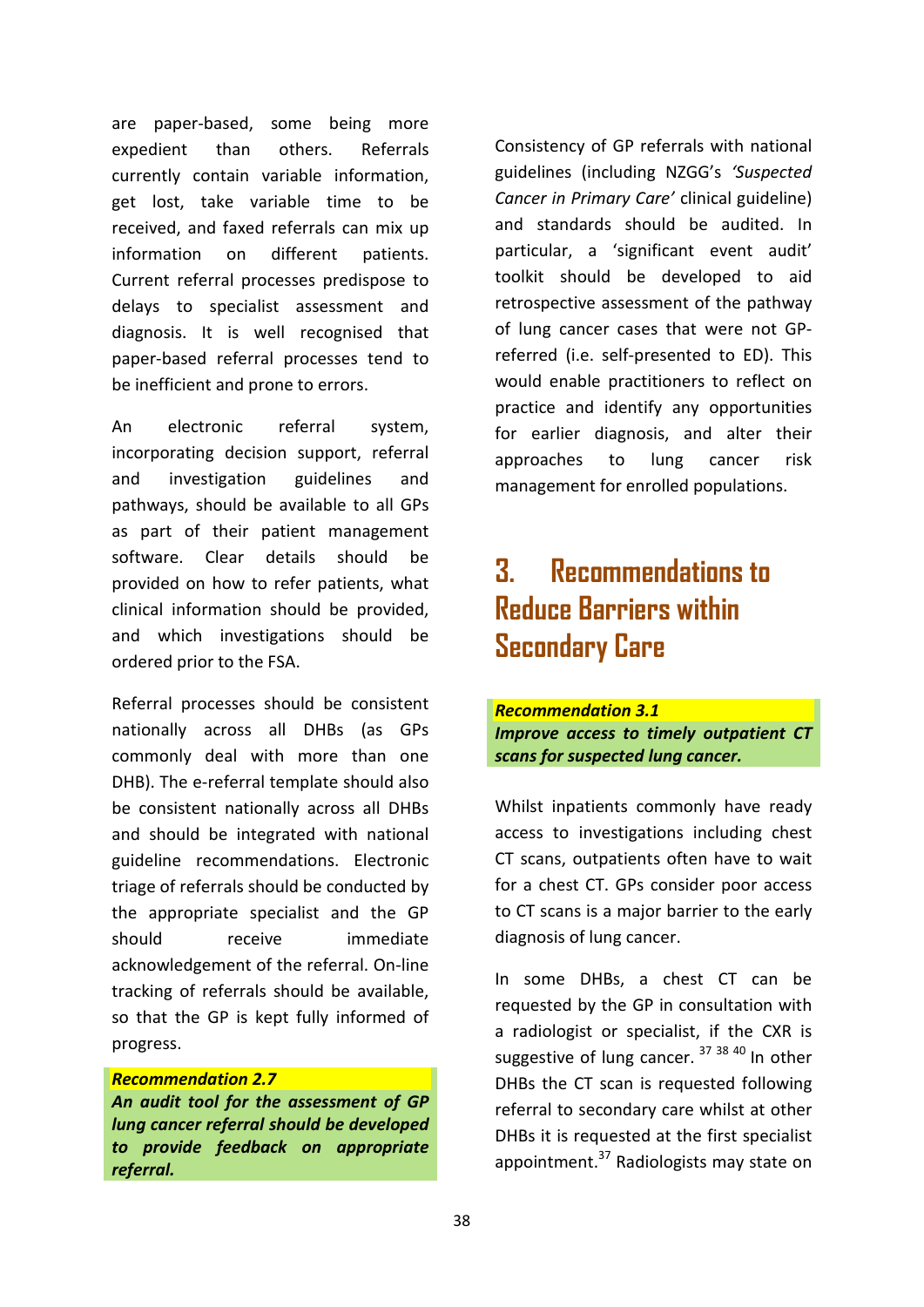are paper-based, some being more expedient than others. Referrals currently contain variable information, get lost, take variable time to be received, and faxed referrals can mix up information on different patients. Current referral processes predispose to delays to specialist assessment and diagnosis. It is well recognised that paper-based referral processes tend to be inefficient and prone to errors.

An electronic referral system, incorporating decision support, referral and investigation guidelines and pathways, should be available to all GPs as part of their patient management software. Clear details should be provided on how to refer patients, what clinical information should be provided, and which investigations should be ordered prior to the FSA.

Referral processes should be consistent nationally across all DHBs (as GPs commonly deal with more than one DHB). The e-referral template should also be consistent nationally across all DHBs and should be integrated with national guideline recommendations. Electronic triage of referrals should be conducted by the appropriate specialist and the GP should receive immediate acknowledgement of the referral. On-line tracking of referrals should be available, so that the GP is kept fully informed of progress.

#### *Recommendation 2.7*

*An audit tool for the assessment of GP lung cancer referral should be developed to provide feedback on appropriate referral.*

Consistency of GP referrals with national guidelines (including NZGG's *'Suspected Cancer in Primary Care'* clinical guideline) and standards should be audited. In particular, a 'significant event audit' toolkit should be developed to aid retrospective assessment of the pathway of lung cancer cases that were not GPreferred (i.e. self-presented to ED). This would enable practitioners to reflect on practice and identify any opportunities for earlier diagnosis, and alter their approaches to lung cancer risk management for enrolled populations.

## **3. Recommendations to Reduce Barriers within Secondary Care**

*Recommendation 3.1 Improve access to timely outpatient CT scans for suspected lung cancer.*

Whilst inpatients commonly have ready access to investigations including chest CT scans, outpatients often have to wait for a chest CT. GPs consider poor access to CT scans is a major barrier to the early diagnosis of lung cancer.

In some DHBs, a chest CT can be requested by the GP in consultation with a radiologist or specialist, if the CXR is suggestive of lung cancer. <sup>37 38 40</sup> In other DHBs the CT scan is requested following referral to secondary care whilst at other DHBs it is requested at the first specialist appointment.<sup>37</sup> Radiologists may state on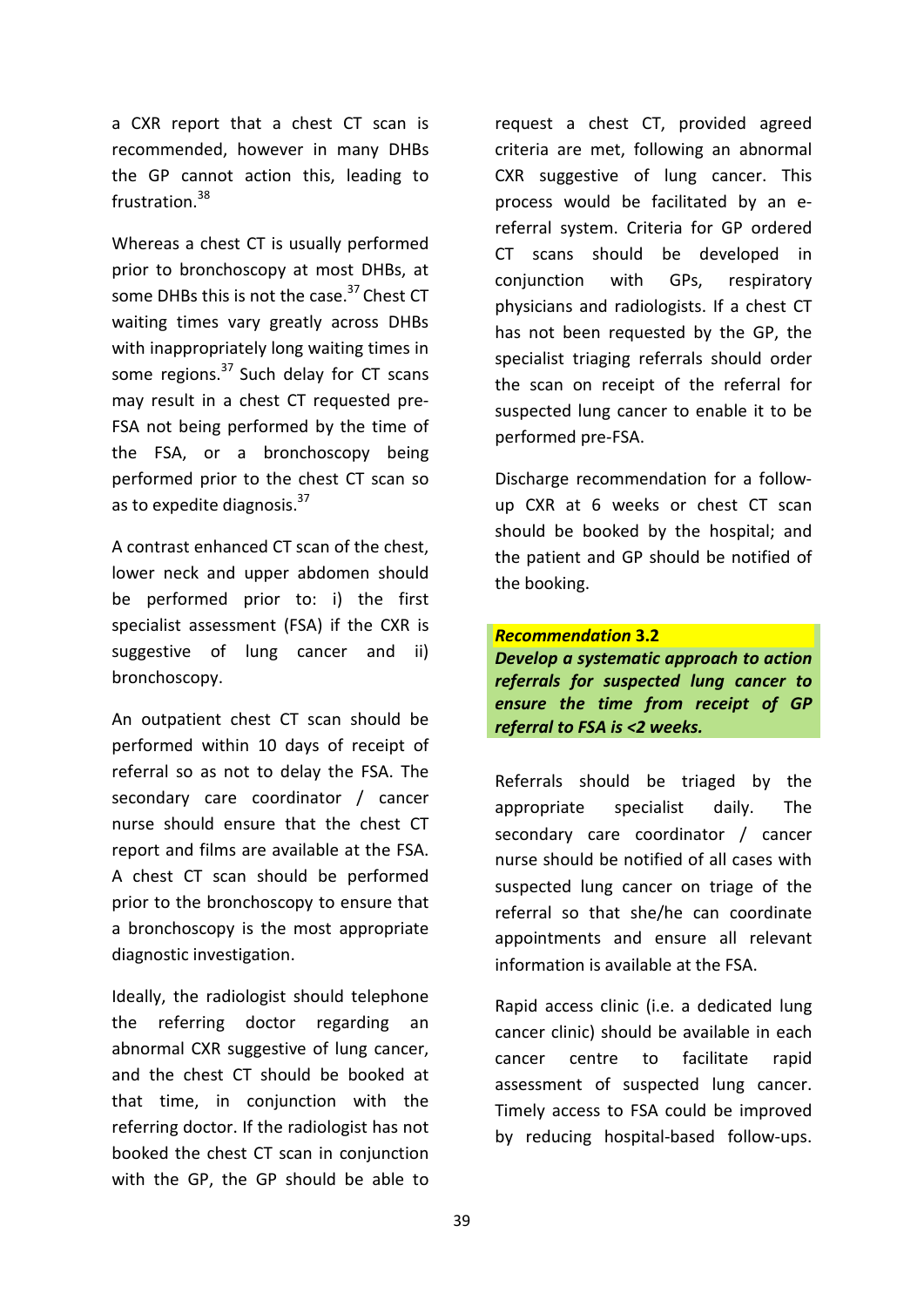a CXR report that a chest CT scan is recommended, however in many DHBs the GP cannot action this, leading to frustration.<sup>38</sup>

Whereas a chest CT is usually performed prior to bronchoscopy at most DHBs, at some DHBs this is not the case.<sup>37</sup> Chest CT waiting times vary greatly across DHBs with inappropriately long waiting times in some regions.<sup>37</sup> Such delay for CT scans may result in a chest CT requested pre-FSA not being performed by the time of the FSA, or a bronchoscopy being performed prior to the chest CT scan so as to expedite diagnosis.<sup>37</sup>

A contrast enhanced CT scan of the chest, lower neck and upper abdomen should be performed prior to: i) the first specialist assessment (FSA) if the CXR is suggestive of lung cancer and ii) bronchoscopy.

An outpatient chest CT scan should be performed within 10 days of receipt of referral so as not to delay the FSA. The secondary care coordinator / cancer nurse should ensure that the chest CT report and films are available at the FSA. A chest CT scan should be performed prior to the bronchoscopy to ensure that a bronchoscopy is the most appropriate diagnostic investigation.

Ideally, the radiologist should telephone the referring doctor regarding an abnormal CXR suggestive of lung cancer, and the chest CT should be booked at that time, in conjunction with the referring doctor. If the radiologist has not booked the chest CT scan in conjunction with the GP, the GP should be able to request a chest CT, provided agreed criteria are met, following an abnormal CXR suggestive of lung cancer. This process would be facilitated by an ereferral system. Criteria for GP ordered CT scans should be developed in conjunction with GPs, respiratory physicians and radiologists. If a chest CT has not been requested by the GP, the specialist triaging referrals should order the scan on receipt of the referral for suspected lung cancer to enable it to be performed pre-FSA.

Discharge recommendation for a followup CXR at 6 weeks or chest CT scan should be booked by the hospital; and the patient and GP should be notified of the booking.

*Recommendation* **3.2**  *Develop a systematic approach to action referrals for suspected lung cancer to ensure the time from receipt of GP referral to FSA is <2 weeks.*

Referrals should be triaged by the appropriate specialist daily. The secondary care coordinator / cancer nurse should be notified of all cases with suspected lung cancer on triage of the referral so that she/he can coordinate appointments and ensure all relevant information is available at the FSA.

Rapid access clinic (i.e. a dedicated lung cancer clinic) should be available in each cancer centre to facilitate rapid assessment of suspected lung cancer. Timely access to FSA could be improved by reducing hospital-based follow-ups.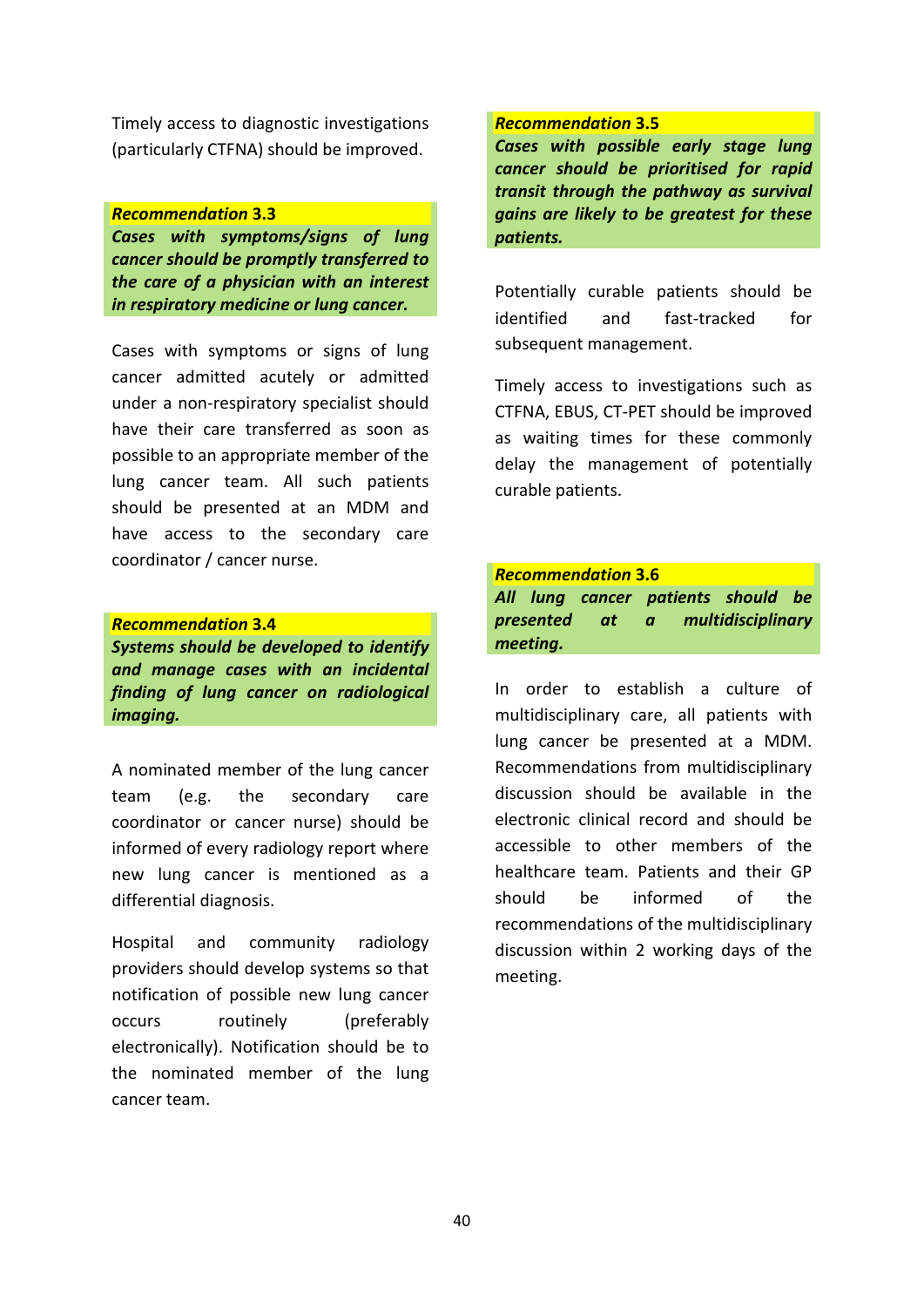Timely access to diagnostic investigations (particularly CTFNA) should be improved.

#### *Recommendation* **3.3**

*Cases with symptoms/signs of lung cancer should be promptly transferred to the care of a physician with an interest in respiratory medicine or lung cancer.*

Cases with symptoms or signs of lung cancer admitted acutely or admitted under a non-respiratory specialist should have their care transferred as soon as possible to an appropriate member of the lung cancer team. All such patients should be presented at an MDM and have access to the secondary care coordinator / cancer nurse.

#### *Recommendation* **3.4**  *Systems should be developed to identify and manage cases with an incidental finding of lung cancer on radiological imaging.*

A nominated member of the lung cancer team (e.g. the secondary care coordinator or cancer nurse) should be informed of every radiology report where new lung cancer is mentioned as a differential diagnosis.

Hospital and community radiology providers should develop systems so that notification of possible new lung cancer occurs routinely (preferably electronically). Notification should be to the nominated member of the lung cancer team.

#### *Recommendation* **3.5**

*Cases with possible early stage lung cancer should be prioritised for rapid transit through the pathway as survival gains are likely to be greatest for these patients.*

Potentially curable patients should be identified and fast-tracked for subsequent management.

Timely access to investigations such as CTFNA, EBUS, CT-PET should be improved as waiting times for these commonly delay the management of potentially curable patients.

#### *Recommendation* **3.6**

*All lung cancer patients should be presented at a multidisciplinary meeting.*

In order to establish a culture of multidisciplinary care, all patients with lung cancer be presented at a MDM. Recommendations from multidisciplinary discussion should be available in the electronic clinical record and should be accessible to other members of the healthcare team. Patients and their GP should be informed of the recommendations of the multidisciplinary discussion within 2 working days of the meeting.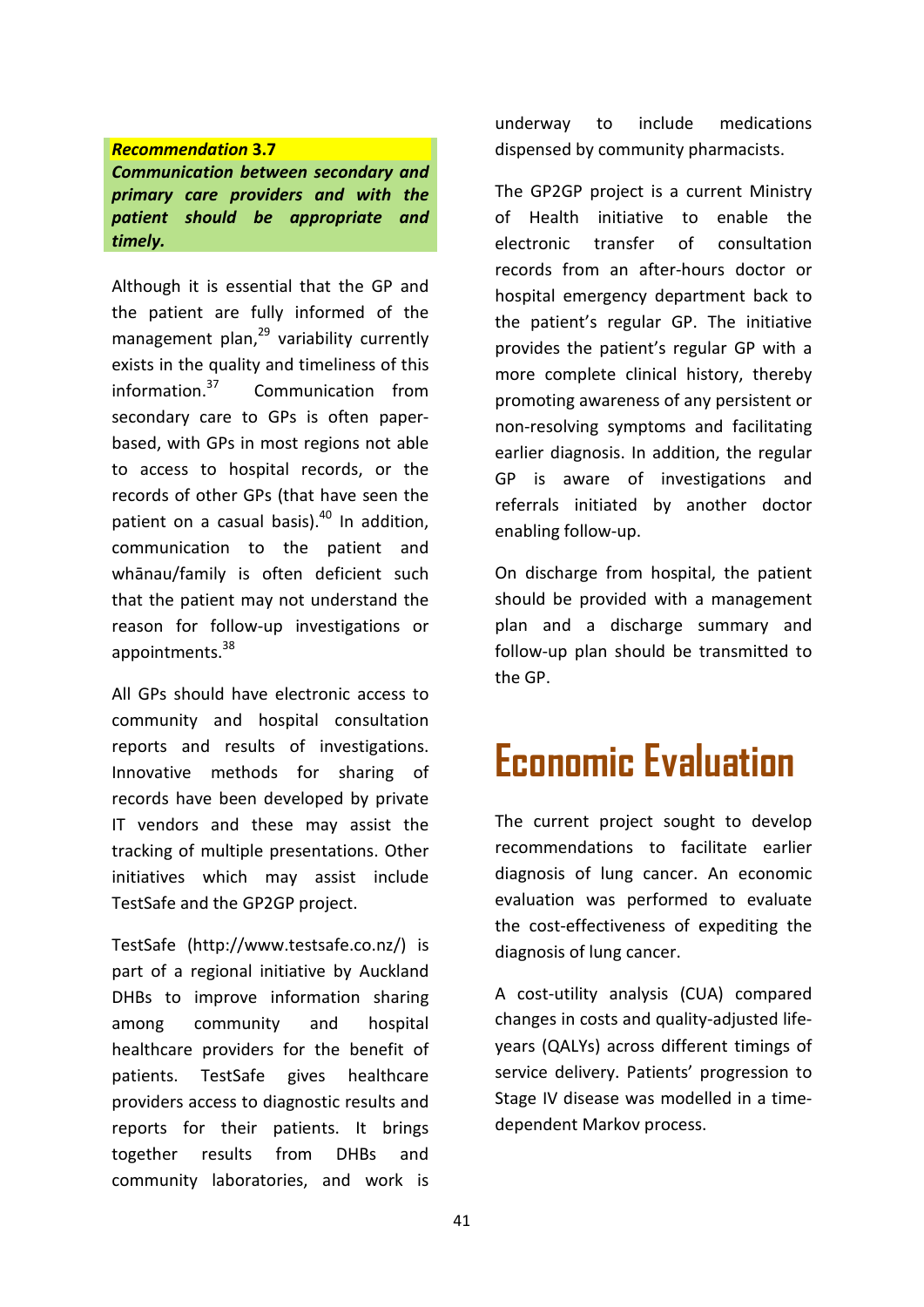#### *Recommendation* **3.7**

*Communication between secondary and primary care providers and with the patient should be appropriate and timely.*

Although it is essential that the GP and the patient are fully informed of the management plan, <sup>29</sup> variability currently exists in the quality and timeliness of this information.37 Communication from secondary care to GPs is often paperbased, with GPs in most regions not able to access to hospital records, or the records of other GPs (that have seen the patient on a casual basis). $40$  In addition, communication to the patient and whānau/family is often deficient such that the patient may not understand the reason for follow-up investigations or appointments.<sup>38</sup>

All GPs should have electronic access to community and hospital consultation reports and results of investigations. Innovative methods for sharing of records have been developed by private IT vendors and these may assist the tracking of multiple presentations. Other initiatives which may assist include TestSafe and the GP2GP project.

TestSafe (http://www.testsafe.co.nz/) is part of a regional initiative by Auckland DHBs to improve information sharing among community and hospital healthcare providers for the benefit of patients. TestSafe gives healthcare providers access to diagnostic results and reports for their patients. It brings together results from DHBs and community laboratories, and work is

underway to include medications dispensed by community pharmacists.

The GP2GP project is a current Ministry of Health initiative to enable the electronic transfer of consultation records from an after-hours doctor or hospital emergency department back to the patient's regular GP. The initiative provides the patient's regular GP with a more complete clinical history, thereby promoting awareness of any persistent or non-resolving symptoms and facilitating earlier diagnosis. In addition, the regular GP is aware of investigations and referrals initiated by another doctor enabling follow-up.

On discharge from hospital, the patient should be provided with a management plan and a discharge summary and follow-up plan should be transmitted to the GP.

## **Economic Evaluation**

The current project sought to develop recommendations to facilitate earlier diagnosis of lung cancer. An economic evaluation was performed to evaluate the cost-effectiveness of expediting the diagnosis of lung cancer.

A cost-utility analysis (CUA) compared changes in costs and quality-adjusted lifeyears (QALYs) across different timings of service delivery. Patients' progression to Stage IV disease was modelled in a timedependent Markov process.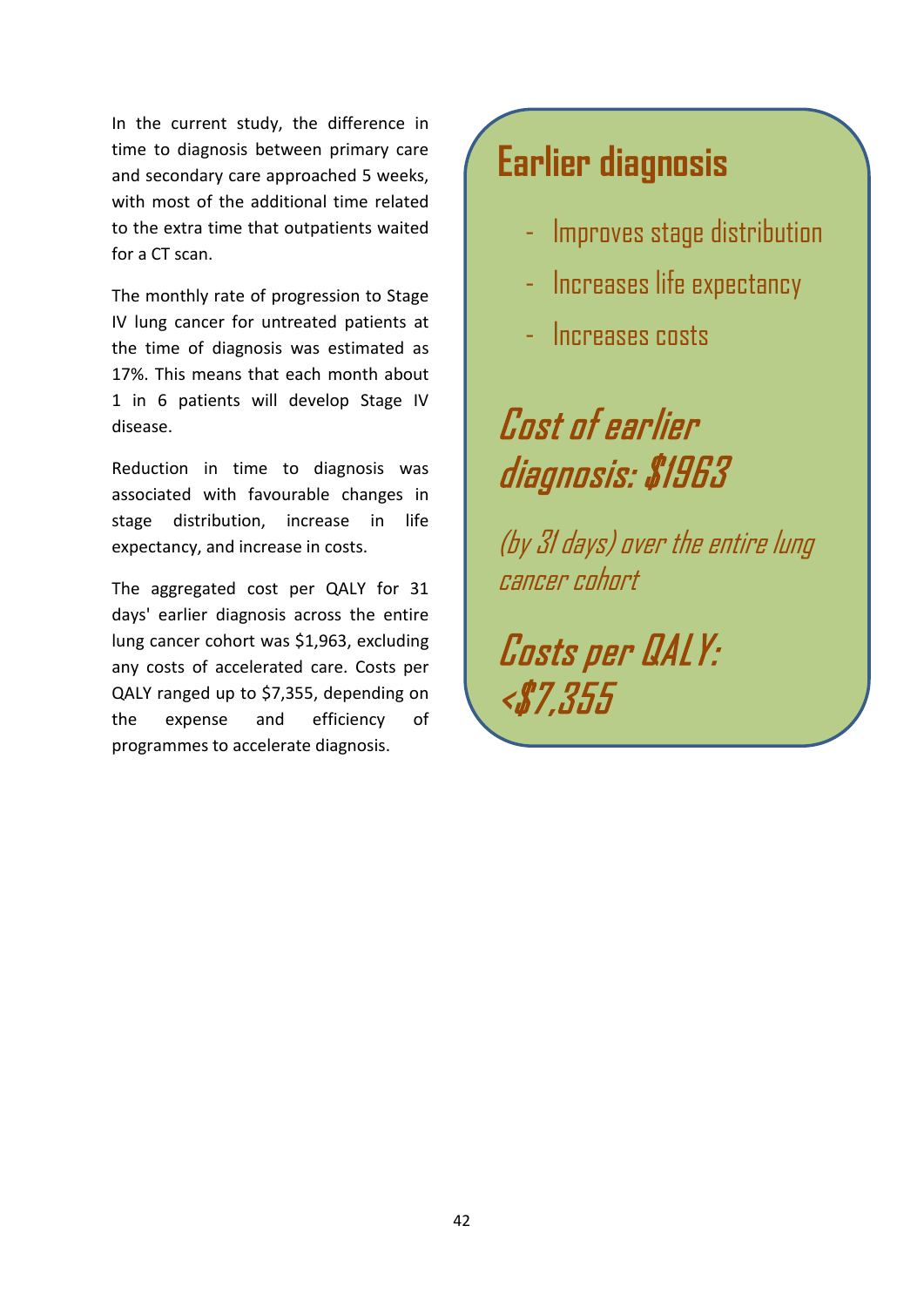In the current study, the difference in time to diagnosis between primary care and secondary care approached 5 weeks, with most of the additional time related to the extra time that outpatients waited for a CT scan.

The monthly rate of progression to Stage IV lung cancer for untreated patients at the time of diagnosis was estimated as 17%. This means that each month about 1 in 6 patients will develop Stage IV disease.

Reduction in time to diagnosis was associated with favourable changes in stage distribution, increase in life expectancy, and increase in costs.

The aggregated cost per QALY for 31 days' earlier diagnosis across the entire lung cancer cohort was \$1,963, excluding any costs of accelerated care. Costs per QALY ranged up to \$7,355, depending on the expense and efficiency of programmes to accelerate diagnosis.

## **Earlier diagnosis**

- Improves stage distribution
- Increases life expectancy
- Increases costs

## Cost of earlier diagnosis: \$1963

(by 31 days) over the entire lung cancer cohort

Costs per QALY: <\$7,355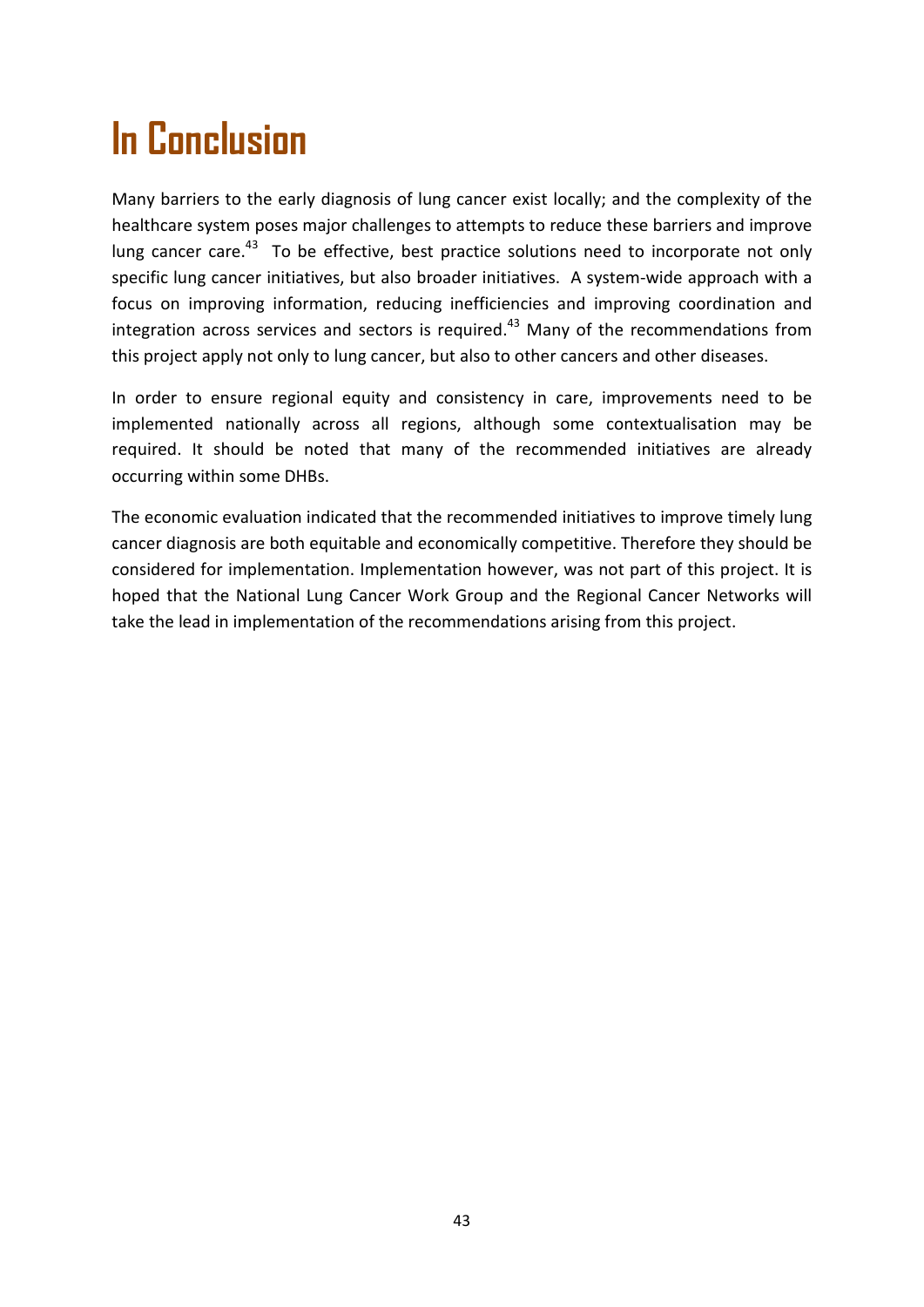## **In Conclusion**

Many barriers to the early diagnosis of lung cancer exist locally; and the complexity of the healthcare system poses major challenges to attempts to reduce these barriers and improve lung cancer care.<sup>43</sup> To be effective, best practice solutions need to incorporate not only specific lung cancer initiatives, but also broader initiatives. A system-wide approach with a focus on improving information, reducing inefficiencies and improving coordination and integration across services and sectors is required.<sup>43</sup> Many of the recommendations from this project apply not only to lung cancer, but also to other cancers and other diseases.

In order to ensure regional equity and consistency in care, improvements need to be implemented nationally across all regions, although some contextualisation may be required. It should be noted that many of the recommended initiatives are already occurring within some DHBs.

The economic evaluation indicated that the recommended initiatives to improve timely lung cancer diagnosis are both equitable and economically competitive. Therefore they should be considered for implementation. Implementation however, was not part of this project. It is hoped that the National Lung Cancer Work Group and the Regional Cancer Networks will take the lead in implementation of the recommendations arising from this project.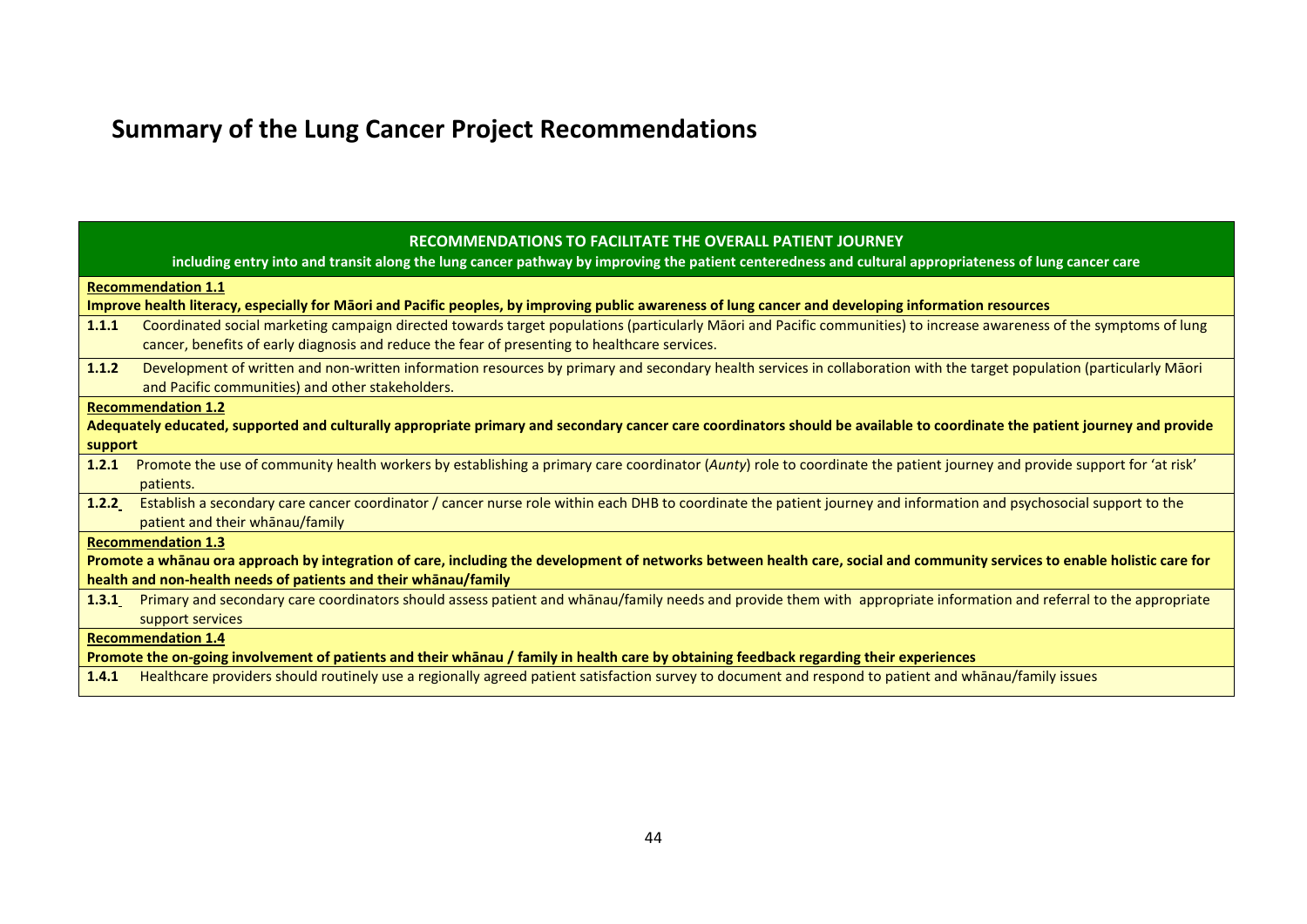## **Summary of the Lung Cancer Project Recommendations**

|                                                                                                                                                                            | RECOMMENDATIONS TO FACILITATE THE OVERALL PATIENT JOURNEY<br>including entry into and transit along the lung cancer pathway by improving the patient centeredness and cultural appropriateness of lung cancer care                                                    |  |
|----------------------------------------------------------------------------------------------------------------------------------------------------------------------------|-----------------------------------------------------------------------------------------------------------------------------------------------------------------------------------------------------------------------------------------------------------------------|--|
|                                                                                                                                                                            | <b>Recommendation 1.1</b>                                                                                                                                                                                                                                             |  |
|                                                                                                                                                                            | Improve health literacy, especially for Māori and Pacific peoples, by improving public awareness of lung cancer and developing information resources                                                                                                                  |  |
| 1.1.1                                                                                                                                                                      | Coordinated social marketing campaign directed towards target populations (particularly Māori and Pacific communities) to increase awareness of the symptoms of lung<br>cancer, benefits of early diagnosis and reduce the fear of presenting to healthcare services. |  |
| 1.1.2                                                                                                                                                                      | Development of written and non-written information resources by primary and secondary health services in collaboration with the target population (particularly Maori<br>and Pacific communities) and other stakeholders.                                             |  |
|                                                                                                                                                                            | <b>Recommendation 1.2</b>                                                                                                                                                                                                                                             |  |
|                                                                                                                                                                            | Adequately educated, supported and culturally appropriate primary and secondary cancer care coordinators should be available to coordinate the patient journey and provide                                                                                            |  |
| support                                                                                                                                                                    |                                                                                                                                                                                                                                                                       |  |
| 1.2.1                                                                                                                                                                      | Promote the use of community health workers by establishing a primary care coordinator (Aunty) role to coordinate the patient journey and provide support for 'at risk'                                                                                               |  |
|                                                                                                                                                                            | patients.                                                                                                                                                                                                                                                             |  |
| 1.2.2                                                                                                                                                                      | Establish a secondary care cancer coordinator / cancer nurse role within each DHB to coordinate the patient journey and information and psychosocial support to the                                                                                                   |  |
|                                                                                                                                                                            | patient and their whanau/family                                                                                                                                                                                                                                       |  |
|                                                                                                                                                                            | <b>Recommendation 1.3</b>                                                                                                                                                                                                                                             |  |
| Promote a whanau ora approach by integration of care, including the development of networks between health care, social and community services to enable holistic care for |                                                                                                                                                                                                                                                                       |  |
| health and non-health needs of patients and their whanau/family                                                                                                            |                                                                                                                                                                                                                                                                       |  |
| 1.3.1                                                                                                                                                                      | Primary and secondary care coordinators should assess patient and whanau/family needs and provide them with appropriate information and referral to the appropriate                                                                                                   |  |
|                                                                                                                                                                            | support services                                                                                                                                                                                                                                                      |  |
| <b>Recommendation 1.4</b>                                                                                                                                                  |                                                                                                                                                                                                                                                                       |  |
| Promote the on-going involvement of patients and their whanau / family in health care by obtaining feedback regarding their experiences                                    |                                                                                                                                                                                                                                                                       |  |
| 1.4.1                                                                                                                                                                      | Healthcare providers should routinely use a regionally agreed patient satisfaction survey to document and respond to patient and whanau/family issues                                                                                                                 |  |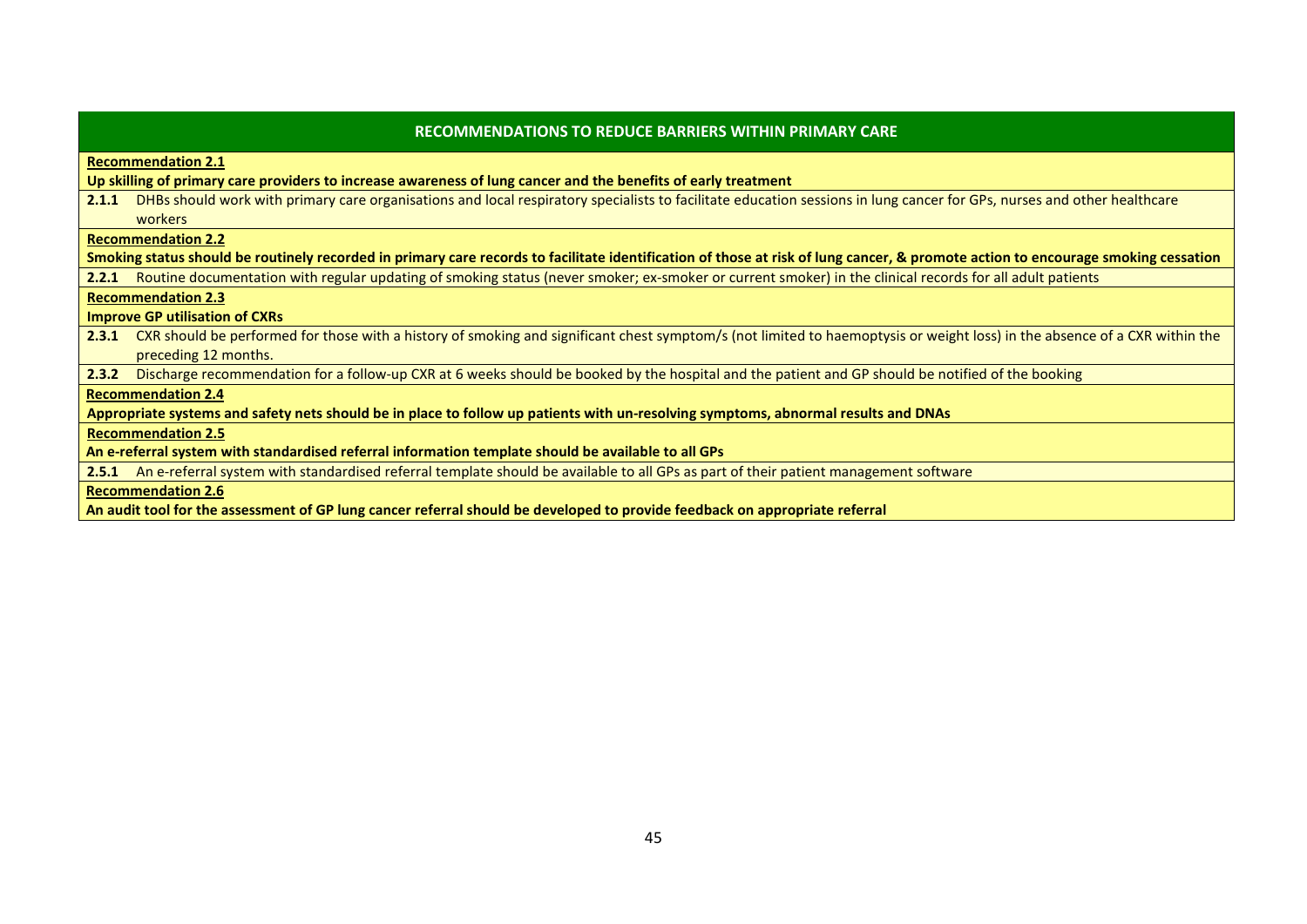| <b>RECOMMENDATIONS TO REDUCE BARRIERS WITHIN PRIMARY CARE</b>                                                                                                                       |  |
|-------------------------------------------------------------------------------------------------------------------------------------------------------------------------------------|--|
| <b>Recommendation 2.1</b>                                                                                                                                                           |  |
| Up skilling of primary care providers to increase awareness of lung cancer and the benefits of early treatment                                                                      |  |
| DHBs should work with primary care organisations and local respiratory specialists to facilitate education sessions in lung cancer for GPs, nurses and other healthcare<br>2.1.1    |  |
| workers                                                                                                                                                                             |  |
| <b>Recommendation 2.2</b>                                                                                                                                                           |  |
| Smoking status should be routinely recorded in primary care records to facilitate identification of those at risk of lung cancer, & promote action to encourage smoking cessation   |  |
| Routine documentation with regular updating of smoking status (never smoker; ex-smoker or current smoker) in the clinical records for all adult patients<br>2.2.1                   |  |
| <b>Recommendation 2.3</b>                                                                                                                                                           |  |
| <b>Improve GP utilisation of CXRs</b>                                                                                                                                               |  |
| CXR should be performed for those with a history of smoking and significant chest symptom/s (not limited to haemoptysis or weight loss) in the absence of a CXR within the<br>2.3.1 |  |
| preceding 12 months.                                                                                                                                                                |  |
| Discharge recommendation for a follow-up CXR at 6 weeks should be booked by the hospital and the patient and GP should be notified of the booking<br>2.3.2                          |  |
| <b>Recommendation 2.4</b>                                                                                                                                                           |  |
| Appropriate systems and safety nets should be in place to follow up patients with un-resolving symptoms, abnormal results and DNAs                                                  |  |
| <b>Recommendation 2.5</b>                                                                                                                                                           |  |
| An e-referral system with standardised referral information template should be available to all GPs                                                                                 |  |
| An e-referral system with standardised referral template should be available to all GPs as part of their patient management software<br>2.5.1                                       |  |
| <b>Recommendation 2.6</b>                                                                                                                                                           |  |

**An audit tool for the assessment of GP lung cancer referral should be developed to provide feedback on appropriate referral**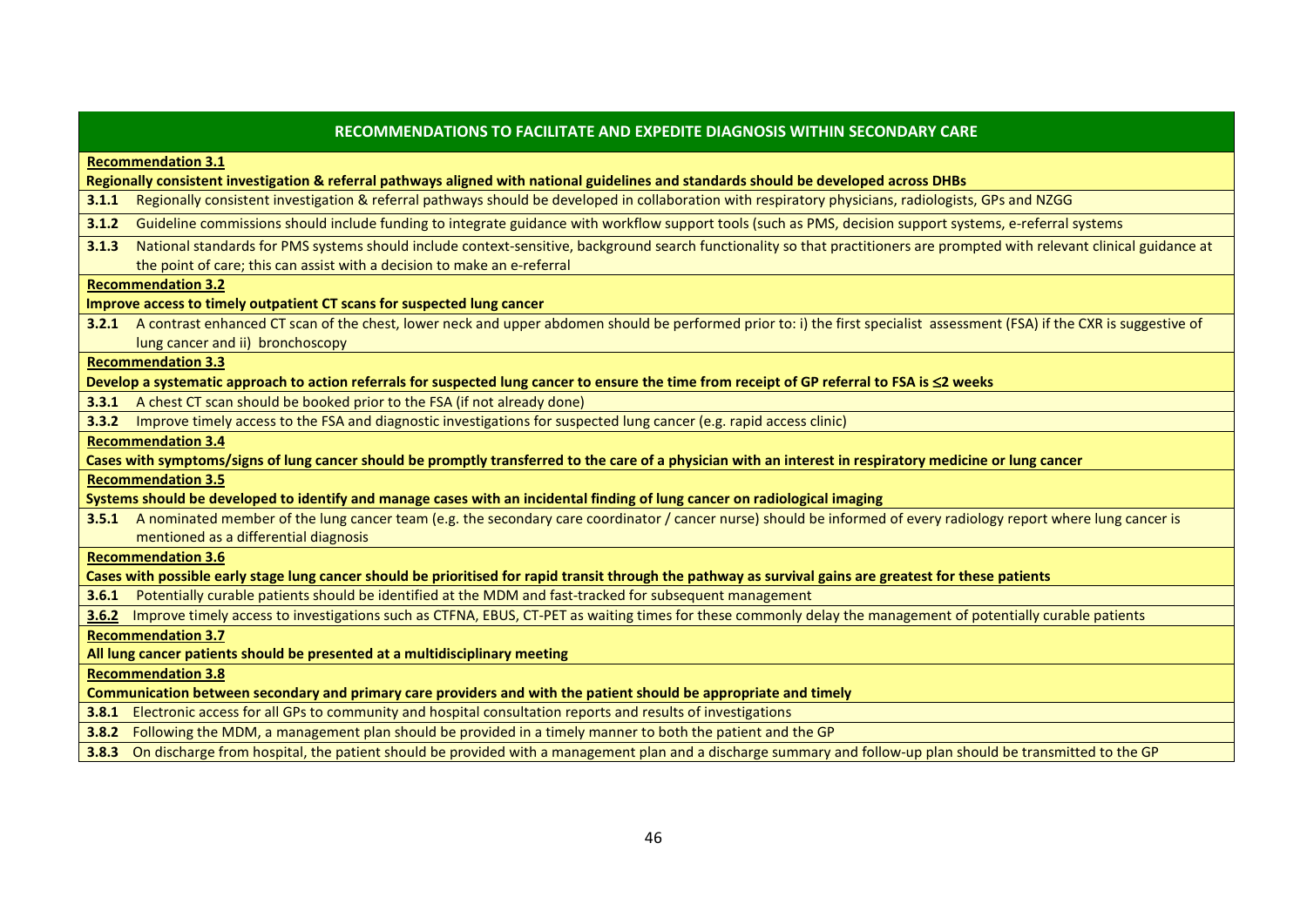| RECOMMENDATIONS TO FACILITATE AND EXPEDITE DIAGNOSIS WITHIN SECONDARY CARE                                                                                                          |
|-------------------------------------------------------------------------------------------------------------------------------------------------------------------------------------|
| <b>Recommendation 3.1</b>                                                                                                                                                           |
| Regionally consistent investigation & referral pathways aligned with national guidelines and standards should be developed across DHBs                                              |
| Regionally consistent investigation & referral pathways should be developed in collaboration with respiratory physicians, radiologists, GPs and NZGG<br>3.1.1                       |
| Guideline commissions should include funding to integrate guidance with workflow support tools (such as PMS, decision support systems, e-referral systems<br>3.1.2                  |
| National standards for PMS systems should include context-sensitive, background search functionality so that practitioners are prompted with relevant clinical guidance at<br>3.1.3 |
| the point of care; this can assist with a decision to make an e-referral                                                                                                            |
| <b>Recommendation 3.2</b>                                                                                                                                                           |
| Improve access to timely outpatient CT scans for suspected lung cancer                                                                                                              |
| 3.2.1 A contrast enhanced CT scan of the chest, lower neck and upper abdomen should be performed prior to: i) the first specialist assessment (FSA) if the CXR is suggestive of     |
| lung cancer and ii) bronchoscopy                                                                                                                                                    |
| <b>Recommendation 3.3</b>                                                                                                                                                           |
| Develop a systematic approach to action referrals for suspected lung cancer to ensure the time from receipt of GP referral to FSA is ≤2 weeks                                       |
| A chest CT scan should be booked prior to the FSA (if not already done)<br>3.3.1                                                                                                    |
| Improve timely access to the FSA and diagnostic investigations for suspected lung cancer (e.g. rapid access clinic)<br>3.3.2                                                        |
| <b>Recommendation 3.4</b>                                                                                                                                                           |
| Cases with symptoms/signs of lung cancer should be promptly transferred to the care of a physician with an interest in respiratory medicine or lung cancer                          |
| <b>Recommendation 3.5</b>                                                                                                                                                           |
| Systems should be developed to identify and manage cases with an incidental finding of lung cancer on radiological imaging                                                          |
| 3.5.1 A nominated member of the lung cancer team (e.g. the secondary care coordinator / cancer nurse) should be informed of every radiology report where lung cancer is             |
| mentioned as a differential diagnosis                                                                                                                                               |
| <b>Recommendation 3.6</b>                                                                                                                                                           |
| Cases with possible early stage lung cancer should be prioritised for rapid transit through the pathway as survival gains are greatest for these patients                           |
| Potentially curable patients should be identified at the MDM and fast-tracked for subsequent management<br>3.6.1                                                                    |
| Improve timely access to investigations such as CTFNA, EBUS, CT-PET as waiting times for these commonly delay the management of potentially curable patients<br>3.6.2               |
| <b>Recommendation 3.7</b>                                                                                                                                                           |
| All lung cancer patients should be presented at a multidisciplinary meeting                                                                                                         |
| <b>Recommendation 3.8</b>                                                                                                                                                           |
| Communication between secondary and primary care providers and with the patient should be appropriate and timely                                                                    |
| 3.8.1 Electronic access for all GPs to community and hospital consultation reports and results of investigations                                                                    |
| 3.8.2 Following the MDM, a management plan should be provided in a timely manner to both the patient and the GP                                                                     |
| 3.8.3 On discharge from hospital, the patient should be provided with a management plan and a discharge summary and follow-up plan should be transmitted to the GP                  |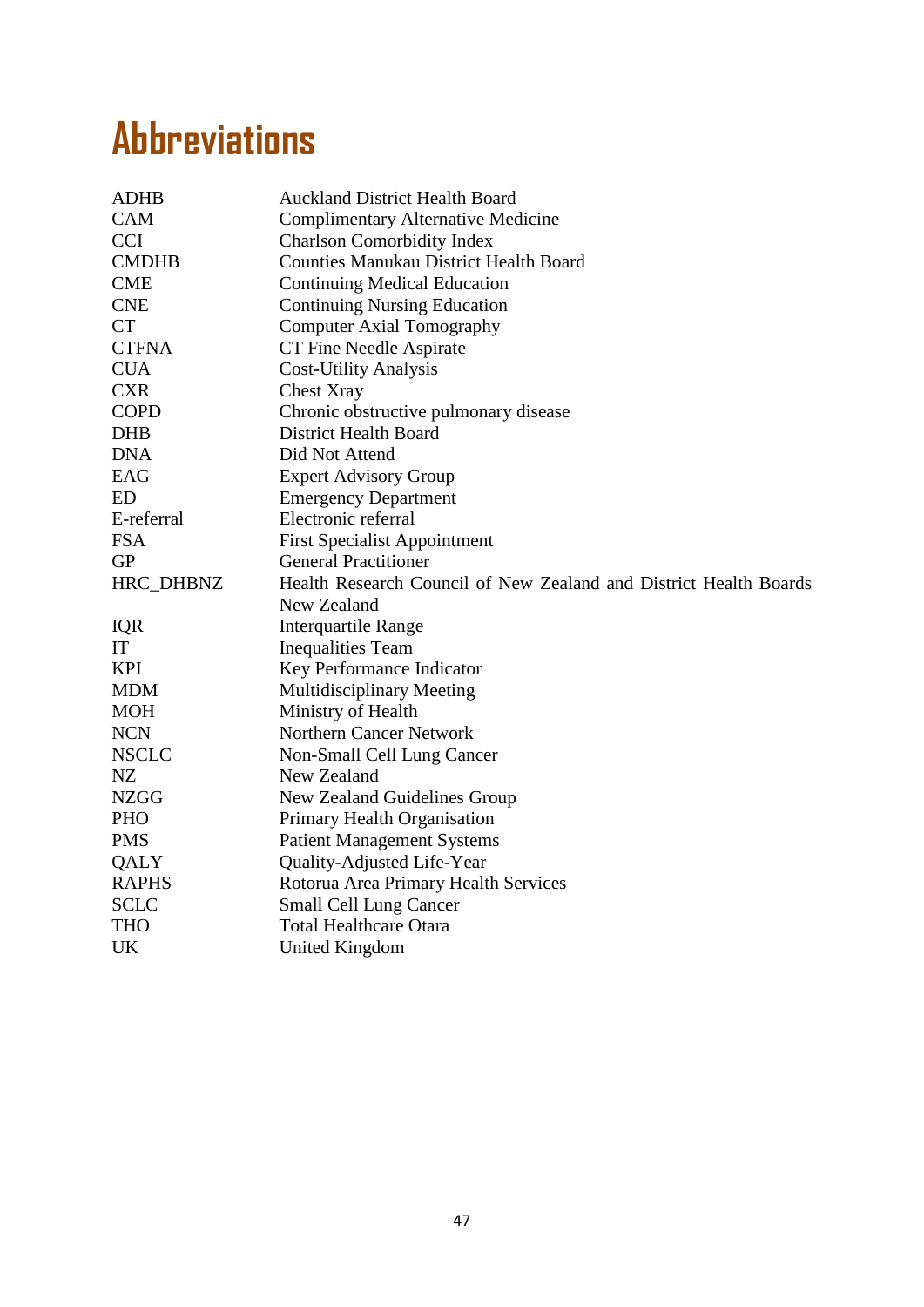## **Abbreviations**

| <b>ADHB</b>  | <b>Auckland District Health Board</b>                             |
|--------------|-------------------------------------------------------------------|
| <b>CAM</b>   | <b>Complimentary Alternative Medicine</b>                         |
| <b>CCI</b>   | <b>Charlson Comorbidity Index</b>                                 |
| <b>CMDHB</b> | <b>Counties Manukau District Health Board</b>                     |
| <b>CME</b>   | <b>Continuing Medical Education</b>                               |
| <b>CNE</b>   | <b>Continuing Nursing Education</b>                               |
| <b>CT</b>    | <b>Computer Axial Tomography</b>                                  |
| <b>CTFNA</b> | CT Fine Needle Aspirate                                           |
| <b>CUA</b>   | <b>Cost-Utility Analysis</b>                                      |
| <b>CXR</b>   | <b>Chest Xray</b>                                                 |
| <b>COPD</b>  | Chronic obstructive pulmonary disease                             |
| <b>DHB</b>   | District Health Board                                             |
| <b>DNA</b>   | Did Not Attend                                                    |
| EAG          | <b>Expert Advisory Group</b>                                      |
| <b>ED</b>    | <b>Emergency Department</b>                                       |
| E-referral   | Electronic referral                                               |
| <b>FSA</b>   | <b>First Specialist Appointment</b>                               |
| <b>GP</b>    | <b>General Practitioner</b>                                       |
| HRC_DHBNZ    | Health Research Council of New Zealand and District Health Boards |
|              | New Zealand                                                       |
| IQR          | <b>Interquartile Range</b>                                        |
| IT           | <b>Inequalities Team</b>                                          |
| <b>KPI</b>   | Key Performance Indicator                                         |
| <b>MDM</b>   | Multidisciplinary Meeting                                         |
| <b>MOH</b>   | Ministry of Health                                                |
| <b>NCN</b>   | Northern Cancer Network                                           |
| <b>NSCLC</b> | Non-Small Cell Lung Cancer                                        |
| NZ           | New Zealand                                                       |
| <b>NZGG</b>  | New Zealand Guidelines Group                                      |
| <b>PHO</b>   | Primary Health Organisation                                       |
| <b>PMS</b>   | <b>Patient Management Systems</b>                                 |
| QALY         | Quality-Adjusted Life-Year                                        |
| <b>RAPHS</b> | Rotorua Area Primary Health Services                              |
| <b>SCLC</b>  | <b>Small Cell Lung Cancer</b>                                     |
| <b>THO</b>   | <b>Total Healthcare Otara</b>                                     |
| UK           | United Kingdom                                                    |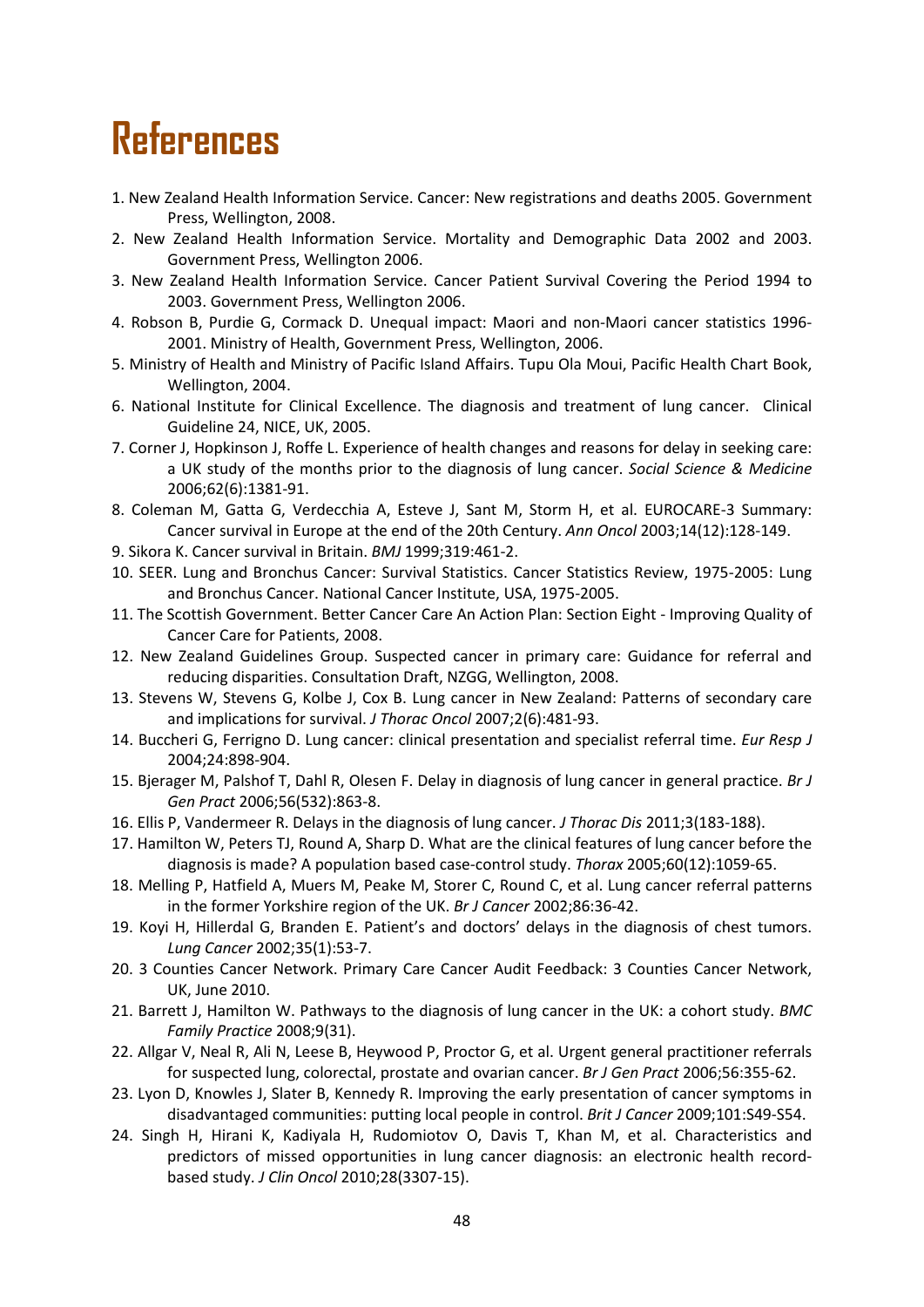## **References**

- 1. New Zealand Health Information Service. Cancer: New registrations and deaths 2005. Government Press, Wellington, 2008.
- 2. New Zealand Health Information Service. Mortality and Demographic Data 2002 and 2003. Government Press, Wellington 2006.
- 3. New Zealand Health Information Service. Cancer Patient Survival Covering the Period 1994 to 2003. Government Press, Wellington 2006.
- 4. Robson B, Purdie G, Cormack D. Unequal impact: Maori and non-Maori cancer statistics 1996- 2001. Ministry of Health, Government Press, Wellington, 2006.
- 5. Ministry of Health and Ministry of Pacific Island Affairs. Tupu Ola Moui, Pacific Health Chart Book, Wellington, 2004.
- 6. National Institute for Clinical Excellence. The diagnosis and treatment of lung cancer. Clinical Guideline 24, NICE, UK, 2005.
- 7. Corner J, Hopkinson J, Roffe L. Experience of health changes and reasons for delay in seeking care: a UK study of the months prior to the diagnosis of lung cancer. *Social Science & Medicine* 2006;62(6):1381-91.
- 8. Coleman M, Gatta G, Verdecchia A, Esteve J, Sant M, Storm H, et al. EUROCARE-3 Summary: Cancer survival in Europe at the end of the 20th Century. *Ann Oncol* 2003;14(12):128-149.
- 9. Sikora K. Cancer survival in Britain. *BMJ* 1999;319:461-2.
- 10. SEER. Lung and Bronchus Cancer: Survival Statistics. Cancer Statistics Review, 1975-2005: Lung and Bronchus Cancer. National Cancer Institute, USA, 1975-2005.
- 11. The Scottish Government. Better Cancer Care An Action Plan: Section Eight Improving Quality of Cancer Care for Patients, 2008.
- 12. New Zealand Guidelines Group. Suspected cancer in primary care: Guidance for referral and reducing disparities. Consultation Draft, NZGG, Wellington, 2008.
- 13. Stevens W, Stevens G, Kolbe J, Cox B. Lung cancer in New Zealand: Patterns of secondary care and implications for survival. *J Thorac Oncol* 2007;2(6):481-93.
- 14. Buccheri G, Ferrigno D. Lung cancer: clinical presentation and specialist referral time. *Eur Resp J* 2004;24:898-904.
- 15. Bjerager M, Palshof T, Dahl R, Olesen F. Delay in diagnosis of lung cancer in general practice. *Br J Gen Pract* 2006;56(532):863-8.
- 16. Ellis P, Vandermeer R. Delays in the diagnosis of lung cancer. *J Thorac Dis* 2011;3(183-188).
- 17. Hamilton W, Peters TJ, Round A, Sharp D. What are the clinical features of lung cancer before the diagnosis is made? A population based case-control study. *Thorax* 2005;60(12):1059-65.
- 18. Melling P, Hatfield A, Muers M, Peake M, Storer C, Round C, et al. Lung cancer referral patterns in the former Yorkshire region of the UK. *Br J Cancer* 2002;86:36-42.
- 19. Koyi H, Hillerdal G, Branden E. Patient's and doctors' delays in the diagnosis of chest tumors. *Lung Cancer* 2002;35(1):53-7.
- 20. 3 Counties Cancer Network. Primary Care Cancer Audit Feedback: 3 Counties Cancer Network, UK, June 2010.
- 21. Barrett J, Hamilton W. Pathways to the diagnosis of lung cancer in the UK: a cohort study. *BMC Family Practice* 2008;9(31).
- 22. Allgar V, Neal R, Ali N, Leese B, Heywood P, Proctor G, et al. Urgent general practitioner referrals for suspected lung, colorectal, prostate and ovarian cancer. *Br J Gen Pract* 2006;56:355-62.
- 23. Lyon D, Knowles J, Slater B, Kennedy R. Improving the early presentation of cancer symptoms in disadvantaged communities: putting local people in control. *Brit J Cancer* 2009;101:S49-S54.
- 24. Singh H, Hirani K, Kadiyala H, Rudomiotov O, Davis T, Khan M, et al. Characteristics and predictors of missed opportunities in lung cancer diagnosis: an electronic health recordbased study. *J Clin Oncol* 2010;28(3307-15).